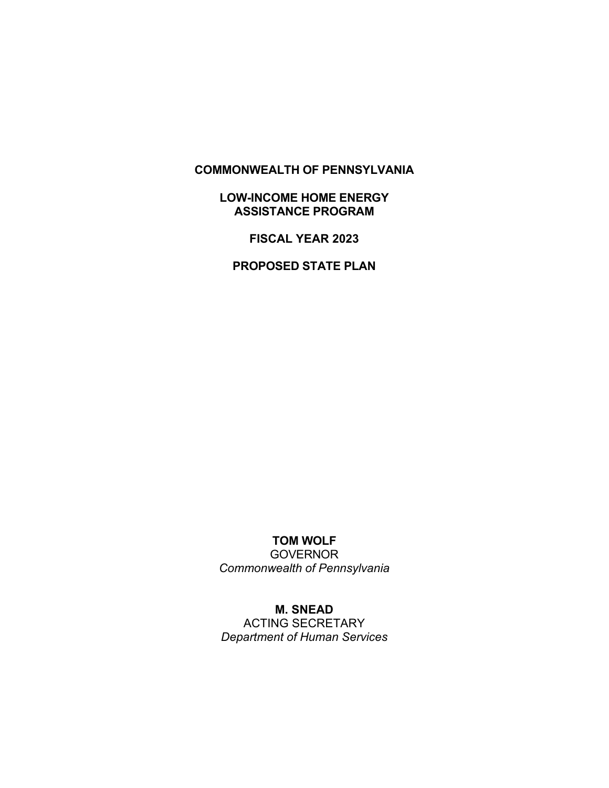### **COMMONWEALTH OF PENNSYLVANIA**

## **LOW-INCOME HOME ENERGY ASSISTANCE PROGRAM**

**FISCAL YEAR 2023**

**PROPOSED STATE PLAN**

# **TOM WOLF**

**GOVERNOR** *Commonwealth of Pennsylvania*

# **M. SNEAD**

ACTING SECRETARY *Department of Human Services*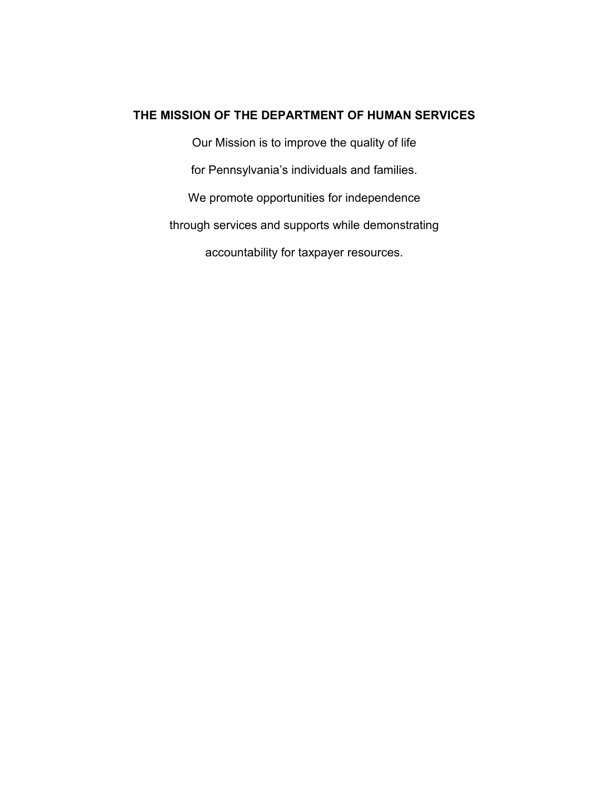### **THE MISSION OF THE DEPARTMENT OF HUMAN SERVICES**

Our Mission is to improve the quality of life for Pennsylvania's individuals and families. We promote opportunities for independence through services and supports while demonstrating accountability for taxpayer resources.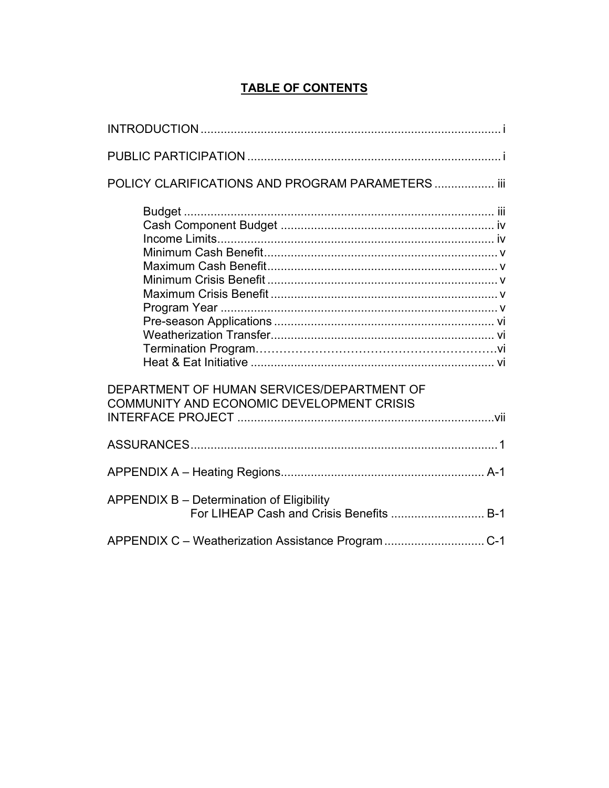# **TABLE OF CONTENTS**

| POLICY CLARIFICATIONS AND PROGRAM PARAMETERS  iii                                       |  |
|-----------------------------------------------------------------------------------------|--|
|                                                                                         |  |
| DEPARTMENT OF HUMAN SERVICES/DEPARTMENT OF<br>COMMUNITY AND ECONOMIC DEVELOPMENT CRISIS |  |
|                                                                                         |  |
|                                                                                         |  |
| APPENDIX B - Determination of Eligibility<br>For LIHEAP Cash and Crisis Benefits  B-1   |  |
|                                                                                         |  |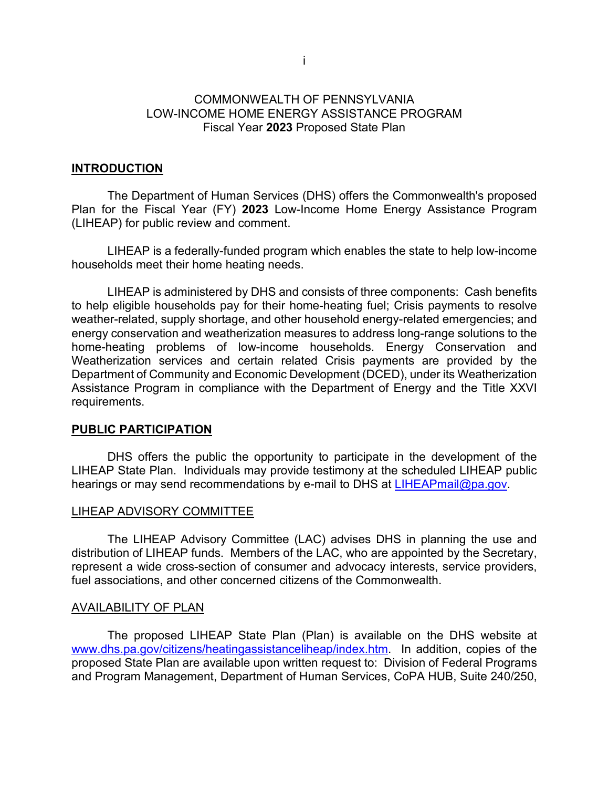# COMMONWEALTH OF PENNSYLVANIA LOW-INCOME HOME ENERGY ASSISTANCE PROGRAM Fiscal Year **2023** Proposed State Plan

### **INTRODUCTION**

The Department of Human Services (DHS) offers the Commonwealth's proposed Plan for the Fiscal Year (FY) **2023** Low-Income Home Energy Assistance Program (LIHEAP) for public review and comment.

LIHEAP is a federally-funded program which enables the state to help low-income households meet their home heating needs.

LIHEAP is administered by DHS and consists of three components: Cash benefits to help eligible households pay for their home-heating fuel; Crisis payments to resolve weather-related, supply shortage, and other household energy-related emergencies; and energy conservation and weatherization measures to address long-range solutions to the home-heating problems of low-income households. Energy Conservation and Weatherization services and certain related Crisis payments are provided by the Department of Community and Economic Development (DCED), under its Weatherization Assistance Program in compliance with the Department of Energy and the Title XXVI requirements.

### **PUBLIC PARTICIPATION**

DHS offers the public the opportunity to participate in the development of the LIHEAP State Plan. Individuals may provide testimony at the scheduled LIHEAP public hearings or may send recommendations by e-mail to DHS at [LIHEAPmail@pa.gov.](mailto:LIHEAPmail@pa.gov)

### LIHEAP ADVISORY COMMITTEE

The LIHEAP Advisory Committee (LAC) advises DHS in planning the use and distribution of LIHEAP funds. Members of the LAC, who are appointed by the Secretary, represent a wide cross-section of consumer and advocacy interests, service providers, fuel associations, and other concerned citizens of the Commonwealth.

#### AVAILABILITY OF PLAN

The proposed LIHEAP State Plan (Plan) is available on the DHS website at [www.dhs.pa.gov/citizens/heatingassistanceliheap/index.htm.](http://www.dhs.pa.gov/citizens/heatingassistanceliheap/index.htm) In addition, copies of the proposed State Plan are available upon written request to: Division of Federal Programs and Program Management, Department of Human Services, CoPA HUB, Suite 240/250,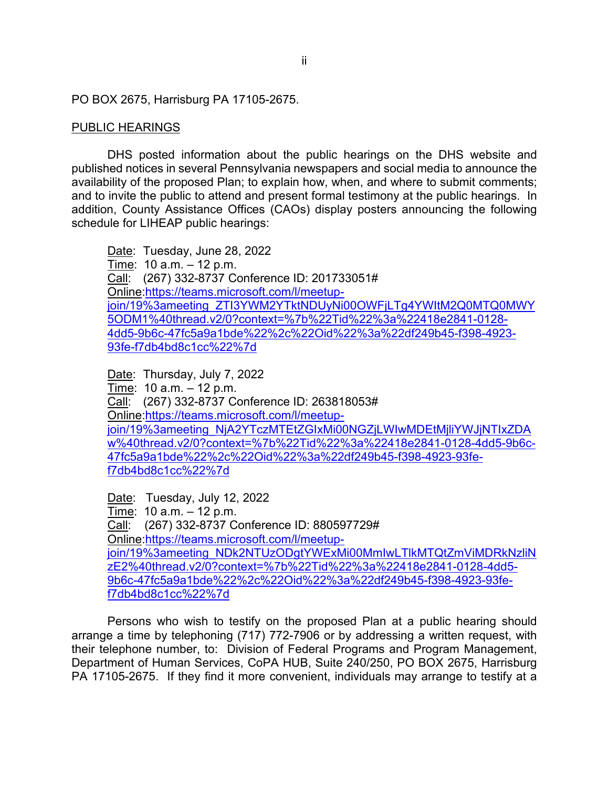### PO BOX 2675, Harrisburg PA 17105-2675.

## PUBLIC HEARINGS

DHS posted information about the public hearings on the DHS website and published notices in several Pennsylvania newspapers and social media to announce the availability of the proposed Plan; to explain how, when, and where to submit comments; and to invite the public to attend and present formal testimony at the public hearings. In addition, County Assistance Offices (CAOs) display posters announcing the following schedule for LIHEAP public hearings:

Date: Tuesday, June 28, 2022 Time: 10 a.m. – 12 p.m. Call: (267) 332-8737 Conference ID: 201733051# Online[:https://teams.microsoft.com/l/meetup](https://teams.microsoft.com/l/meetup-join/19%3ameeting_ZTI3YWM2YTktNDUyNi00OWFjLTg4YWItM2Q0MTQ0MWY5ODM1%40thread.v2/0?context=%7b%22Tid%22%3a%22418e2841-0128-4dd5-9b6c-47fc5a9a1bde%22%2c%22Oid%22%3a%22df249b45-f398-4923-93fe-f7db4bd8c1cc%22%7d)[join/19%3ameeting\\_ZTI3YWM2YTktNDUyNi00OWFjLTg4YWItM2Q0MTQ0MWY](https://teams.microsoft.com/l/meetup-join/19%3ameeting_ZTI3YWM2YTktNDUyNi00OWFjLTg4YWItM2Q0MTQ0MWY5ODM1%40thread.v2/0?context=%7b%22Tid%22%3a%22418e2841-0128-4dd5-9b6c-47fc5a9a1bde%22%2c%22Oid%22%3a%22df249b45-f398-4923-93fe-f7db4bd8c1cc%22%7d) [5ODM1%40thread.v2/0?context=%7b%22Tid%22%3a%22418e2841-0128-](https://teams.microsoft.com/l/meetup-join/19%3ameeting_ZTI3YWM2YTktNDUyNi00OWFjLTg4YWItM2Q0MTQ0MWY5ODM1%40thread.v2/0?context=%7b%22Tid%22%3a%22418e2841-0128-4dd5-9b6c-47fc5a9a1bde%22%2c%22Oid%22%3a%22df249b45-f398-4923-93fe-f7db4bd8c1cc%22%7d) [4dd5-9b6c-47fc5a9a1bde%22%2c%22Oid%22%3a%22df249b45-f398-4923-](https://teams.microsoft.com/l/meetup-join/19%3ameeting_ZTI3YWM2YTktNDUyNi00OWFjLTg4YWItM2Q0MTQ0MWY5ODM1%40thread.v2/0?context=%7b%22Tid%22%3a%22418e2841-0128-4dd5-9b6c-47fc5a9a1bde%22%2c%22Oid%22%3a%22df249b45-f398-4923-93fe-f7db4bd8c1cc%22%7d) [93fe-f7db4bd8c1cc%22%7d](https://teams.microsoft.com/l/meetup-join/19%3ameeting_ZTI3YWM2YTktNDUyNi00OWFjLTg4YWItM2Q0MTQ0MWY5ODM1%40thread.v2/0?context=%7b%22Tid%22%3a%22418e2841-0128-4dd5-9b6c-47fc5a9a1bde%22%2c%22Oid%22%3a%22df249b45-f398-4923-93fe-f7db4bd8c1cc%22%7d) 

Date: Thursday, July 7, 2022 Time: 10 a.m. – 12 p.m. Call: (267) 332-8737 Conference ID: 263818053# Online[:https://teams.microsoft.com/l/meetup](https://teams.microsoft.com/l/meetup-join/19%3ameeting_NjA2YTczMTEtZGIxMi00NGZjLWIwMDEtMjliYWJjNTIxZDAw%40thread.v2/0?context=%7b%22Tid%22%3a%22418e2841-0128-4dd5-9b6c-47fc5a9a1bde%22%2c%22Oid%22%3a%22df249b45-f398-4923-93fe-f7db4bd8c1cc%22%7d)[join/19%3ameeting\\_NjA2YTczMTEtZGIxMi00NGZjLWIwMDEtMjliYWJjNTIxZDA](https://teams.microsoft.com/l/meetup-join/19%3ameeting_NjA2YTczMTEtZGIxMi00NGZjLWIwMDEtMjliYWJjNTIxZDAw%40thread.v2/0?context=%7b%22Tid%22%3a%22418e2841-0128-4dd5-9b6c-47fc5a9a1bde%22%2c%22Oid%22%3a%22df249b45-f398-4923-93fe-f7db4bd8c1cc%22%7d) [w%40thread.v2/0?context=%7b%22Tid%22%3a%22418e2841-0128-4dd5-9b6c-](https://teams.microsoft.com/l/meetup-join/19%3ameeting_NjA2YTczMTEtZGIxMi00NGZjLWIwMDEtMjliYWJjNTIxZDAw%40thread.v2/0?context=%7b%22Tid%22%3a%22418e2841-0128-4dd5-9b6c-47fc5a9a1bde%22%2c%22Oid%22%3a%22df249b45-f398-4923-93fe-f7db4bd8c1cc%22%7d)[47fc5a9a1bde%22%2c%22Oid%22%3a%22df249b45-f398-4923-93fe](https://teams.microsoft.com/l/meetup-join/19%3ameeting_NjA2YTczMTEtZGIxMi00NGZjLWIwMDEtMjliYWJjNTIxZDAw%40thread.v2/0?context=%7b%22Tid%22%3a%22418e2841-0128-4dd5-9b6c-47fc5a9a1bde%22%2c%22Oid%22%3a%22df249b45-f398-4923-93fe-f7db4bd8c1cc%22%7d)[f7db4bd8c1cc%22%7d](https://teams.microsoft.com/l/meetup-join/19%3ameeting_NjA2YTczMTEtZGIxMi00NGZjLWIwMDEtMjliYWJjNTIxZDAw%40thread.v2/0?context=%7b%22Tid%22%3a%22418e2841-0128-4dd5-9b6c-47fc5a9a1bde%22%2c%22Oid%22%3a%22df249b45-f398-4923-93fe-f7db4bd8c1cc%22%7d)

Date: Tuesday, July 12, 2022 Time: 10 a.m. – 12 p.m. Call: (267) 332-8737 Conference ID: 880597729# Online[:https://teams.microsoft.com/l/meetup](https://teams.microsoft.com/l/meetup-join/19%3ameeting_NDk2NTUzODgtYWExMi00MmIwLTlkMTQtZmViMDRkNzliNzE2%40thread.v2/0?context=%7b%22Tid%22%3a%22418e2841-0128-4dd5-9b6c-47fc5a9a1bde%22%2c%22Oid%22%3a%22df249b45-f398-4923-93fe-f7db4bd8c1cc%22%7d)[join/19%3ameeting\\_NDk2NTUzODgtYWExMi00MmIwLTlkMTQtZmViMDRkNzliN](https://teams.microsoft.com/l/meetup-join/19%3ameeting_NDk2NTUzODgtYWExMi00MmIwLTlkMTQtZmViMDRkNzliNzE2%40thread.v2/0?context=%7b%22Tid%22%3a%22418e2841-0128-4dd5-9b6c-47fc5a9a1bde%22%2c%22Oid%22%3a%22df249b45-f398-4923-93fe-f7db4bd8c1cc%22%7d) [zE2%40thread.v2/0?context=%7b%22Tid%22%3a%22418e2841-0128-4dd5-](https://teams.microsoft.com/l/meetup-join/19%3ameeting_NDk2NTUzODgtYWExMi00MmIwLTlkMTQtZmViMDRkNzliNzE2%40thread.v2/0?context=%7b%22Tid%22%3a%22418e2841-0128-4dd5-9b6c-47fc5a9a1bde%22%2c%22Oid%22%3a%22df249b45-f398-4923-93fe-f7db4bd8c1cc%22%7d) [9b6c-47fc5a9a1bde%22%2c%22Oid%22%3a%22df249b45-f398-4923-93fe](https://teams.microsoft.com/l/meetup-join/19%3ameeting_NDk2NTUzODgtYWExMi00MmIwLTlkMTQtZmViMDRkNzliNzE2%40thread.v2/0?context=%7b%22Tid%22%3a%22418e2841-0128-4dd5-9b6c-47fc5a9a1bde%22%2c%22Oid%22%3a%22df249b45-f398-4923-93fe-f7db4bd8c1cc%22%7d)[f7db4bd8c1cc%22%7d](https://teams.microsoft.com/l/meetup-join/19%3ameeting_NDk2NTUzODgtYWExMi00MmIwLTlkMTQtZmViMDRkNzliNzE2%40thread.v2/0?context=%7b%22Tid%22%3a%22418e2841-0128-4dd5-9b6c-47fc5a9a1bde%22%2c%22Oid%22%3a%22df249b45-f398-4923-93fe-f7db4bd8c1cc%22%7d)

Persons who wish to testify on the proposed Plan at a public hearing should arrange a time by telephoning (717) 772-7906 or by addressing a written request, with their telephone number, to: Division of Federal Programs and Program Management, Department of Human Services, CoPA HUB, Suite 240/250, PO BOX 2675, Harrisburg PA 17105-2675. If they find it more convenient, individuals may arrange to testify at a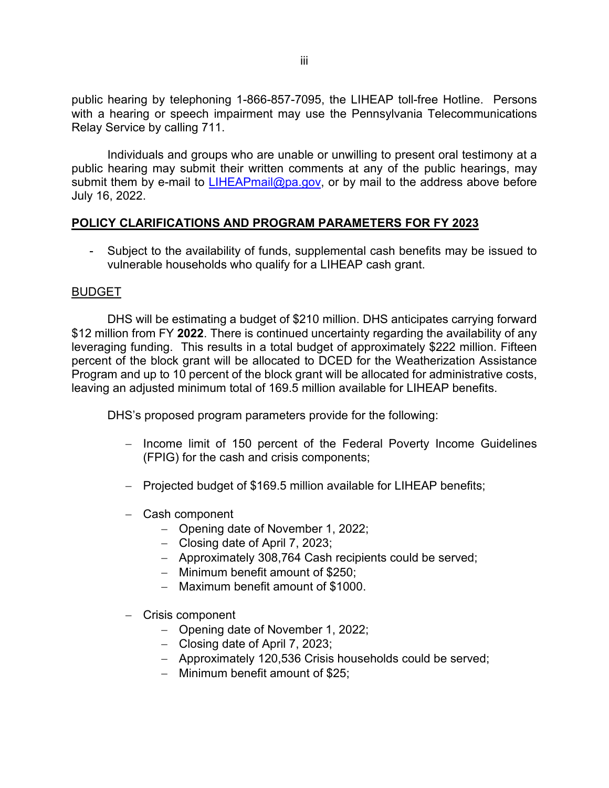public hearing by telephoning 1-866-857-7095, the LIHEAP toll-free Hotline. Persons with a hearing or speech impairment may use the Pennsylvania Telecommunications Relay Service by calling 711.

Individuals and groups who are unable or unwilling to present oral testimony at a public hearing may submit their written comments at any of the public hearings, may submit them by e-mail to [LIHEAPmail@pa.gov,](mailto:LIHEAPmail@pa.gov) or by mail to the address above before July 16, 2022.

# **POLICY CLARIFICATIONS AND PROGRAM PARAMETERS FOR FY 2023**

- Subject to the availability of funds, supplemental cash benefits may be issued to vulnerable households who qualify for a LIHEAP cash grant.

### BUDGET

DHS will be estimating a budget of \$210 million. DHS anticipates carrying forward \$12 million from FY **2022**. There is continued uncertainty regarding the availability of any leveraging funding. This results in a total budget of approximately \$222 million. Fifteen percent of the block grant will be allocated to DCED for the Weatherization Assistance Program and up to 10 percent of the block grant will be allocated for administrative costs, leaving an adjusted minimum total of 169.5 million available for LIHEAP benefits.

DHS's proposed program parameters provide for the following:

- − Income limit of 150 percent of the Federal Poverty Income Guidelines (FPIG) for the cash and crisis components;
- − Projected budget of \$169.5 million available for LIHEAP benefits;
- − Cash component
	- − Opening date of November 1, 2022;
	- − Closing date of April 7, 2023;
	- − Approximately 308,764 Cash recipients could be served;
	- − Minimum benefit amount of \$250;
	- − Maximum benefit amount of \$1000.
- − Crisis component
	- − Opening date of November 1, 2022;
	- − Closing date of April 7, 2023;
	- − Approximately 120,536 Crisis households could be served;
	- − Minimum benefit amount of \$25;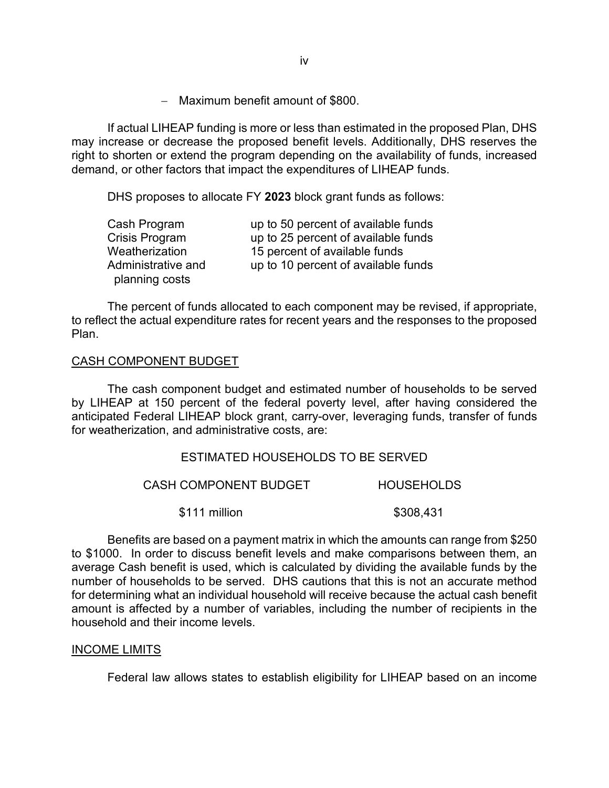− Maximum benefit amount of \$800.

If actual LIHEAP funding is more or less than estimated in the proposed Plan, DHS may increase or decrease the proposed benefit levels. Additionally, DHS reserves the right to shorten or extend the program depending on the availability of funds, increased demand, or other factors that impact the expenditures of LIHEAP funds.

DHS proposes to allocate FY **2023** block grant funds as follows:

| Cash Program       | up to 50 percent of available funds |
|--------------------|-------------------------------------|
| Crisis Program     | up to 25 percent of available funds |
| Weatherization     | 15 percent of available funds       |
| Administrative and | up to 10 percent of available funds |
| planning costs     |                                     |

The percent of funds allocated to each component may be revised, if appropriate, to reflect the actual expenditure rates for recent years and the responses to the proposed Plan.

## CASH COMPONENT BUDGET

The cash component budget and estimated number of households to be served by LIHEAP at 150 percent of the federal poverty level, after having considered the anticipated Federal LIHEAP block grant, carry-over, leveraging funds, transfer of funds for weatherization, and administrative costs, are:

### ESTIMATED HOUSEHOLDS TO BE SERVED

| <b>CASH COMPONENT BUDGET</b> | <b>HOUSEHOLDS</b> |  |
|------------------------------|-------------------|--|
| \$111 million                | \$308,431         |  |

Benefits are based on a payment matrix in which the amounts can range from \$250 to \$1000. In order to discuss benefit levels and make comparisons between them, an average Cash benefit is used, which is calculated by dividing the available funds by the number of households to be served. DHS cautions that this is not an accurate method for determining what an individual household will receive because the actual cash benefit amount is affected by a number of variables, including the number of recipients in the household and their income levels.

### INCOME LIMITS

Federal law allows states to establish eligibility for LIHEAP based on an income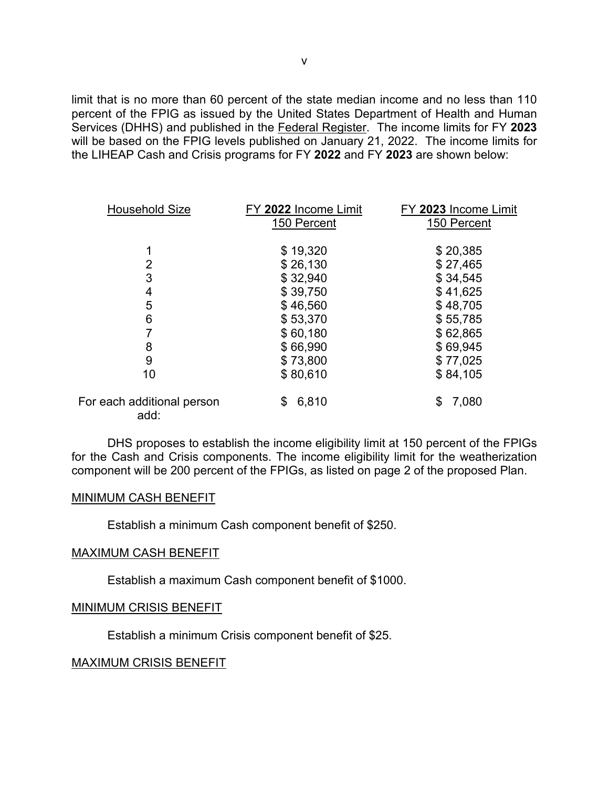limit that is no more than 60 percent of the state median income and no less than 110 percent of the FPIG as issued by the United States Department of Health and Human Services (DHHS) and published in the Federal Register. The income limits for FY **2023** will be based on the FPIG levels published on January 21, 2022. The income limits for the LIHEAP Cash and Crisis programs for FY **2022** and FY **2023** are shown below:

| <b>Household Size</b>              | FY 2022 Income Limit<br>150 Percent | FY 2023 Income Limit<br>150 Percent |
|------------------------------------|-------------------------------------|-------------------------------------|
|                                    | \$19,320                            | \$20,385                            |
| $\overline{2}$                     | \$26,130                            | \$27,465                            |
| 3                                  | \$32,940                            | \$34,545                            |
| 4                                  | \$39,750                            | \$41,625                            |
| 5                                  | \$46,560                            | \$48,705                            |
| 6                                  | \$53,370                            | \$55,785                            |
|                                    | \$60,180                            | \$62,865                            |
| 8                                  | \$66,990                            | \$69,945                            |
| 9                                  | \$73,800                            | \$77,025                            |
| 10                                 | \$80,610                            | \$84,105                            |
| For each additional person<br>add: | 6,810<br>\$                         | 7,080<br>\$                         |

DHS proposes to establish the income eligibility limit at 150 percent of the FPIGs for the Cash and Crisis components. The income eligibility limit for the weatherization component will be 200 percent of the FPIGs, as listed on page 2 of the proposed Plan.

#### MINIMUM CASH BENEFIT

Establish a minimum Cash component benefit of \$250.

### MAXIMUM CASH BENEFIT

Establish a maximum Cash component benefit of \$1000.

### MINIMUM CRISIS BENEFIT

Establish a minimum Crisis component benefit of \$25.

### MAXIMUM CRISIS BENEFIT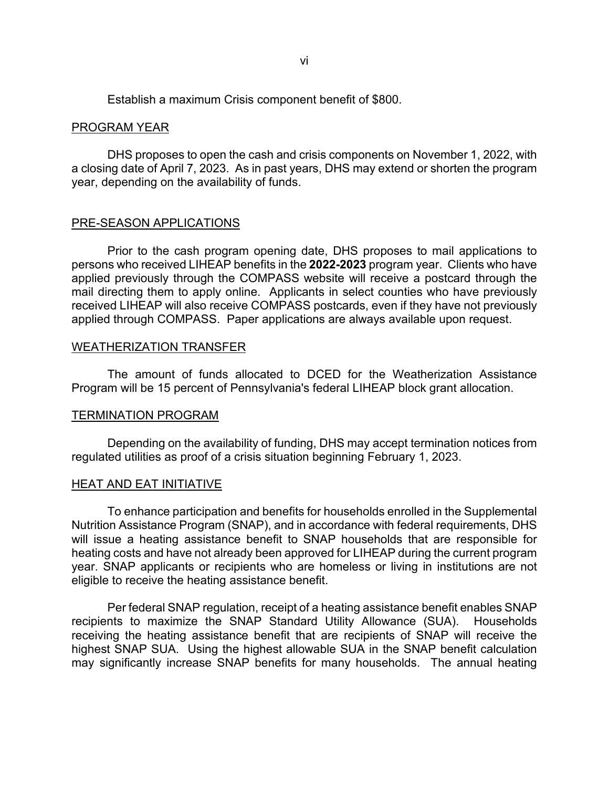Establish a maximum Crisis component benefit of \$800.

#### PROGRAM YEAR

DHS proposes to open the cash and crisis components on November 1, 2022, with a closing date of April 7, 2023. As in past years, DHS may extend or shorten the program year, depending on the availability of funds.

#### PRE-SEASON APPLICATIONS

Prior to the cash program opening date, DHS proposes to mail applications to persons who received LIHEAP benefits in the **2022-2023** program year. Clients who have applied previously through the COMPASS website will receive a postcard through the mail directing them to apply online. Applicants in select counties who have previously received LIHEAP will also receive COMPASS postcards, even if they have not previously applied through COMPASS. Paper applications are always available upon request.

#### WEATHERIZATION TRANSFER

The amount of funds allocated to DCED for the Weatherization Assistance Program will be 15 percent of Pennsylvania's federal LIHEAP block grant allocation.

#### TERMINATION PROGRAM

Depending on the availability of funding, DHS may accept termination notices from regulated utilities as proof of a crisis situation beginning February 1, 2023.

#### HEAT AND EAT INITIATIVE

To enhance participation and benefits for households enrolled in the Supplemental Nutrition Assistance Program (SNAP), and in accordance with federal requirements, DHS will issue a heating assistance benefit to SNAP households that are responsible for heating costs and have not already been approved for LIHEAP during the current program year. SNAP applicants or recipients who are homeless or living in institutions are not eligible to receive the heating assistance benefit.

Per federal SNAP regulation, receipt of a heating assistance benefit enables SNAP recipients to maximize the SNAP Standard Utility Allowance (SUA). Households receiving the heating assistance benefit that are recipients of SNAP will receive the highest SNAP SUA. Using the highest allowable SUA in the SNAP benefit calculation may significantly increase SNAP benefits for many households. The annual heating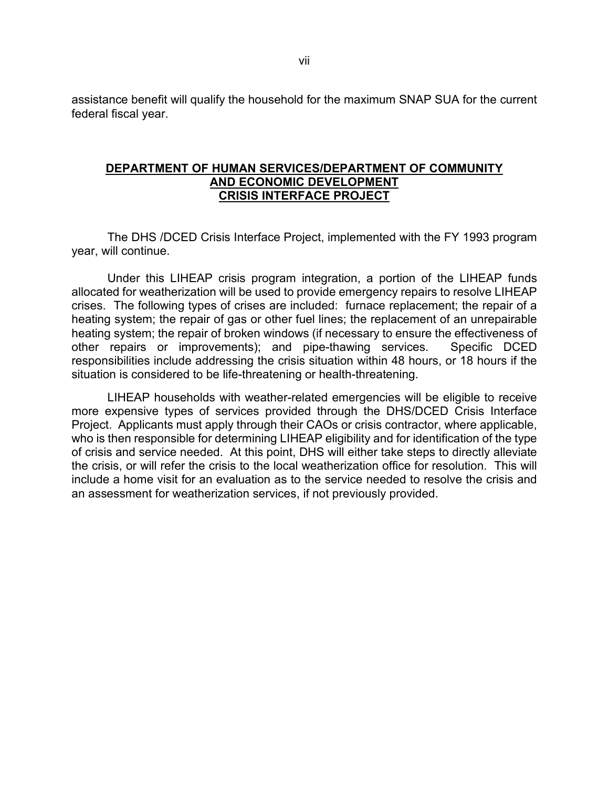assistance benefit will qualify the household for the maximum SNAP SUA for the current federal fiscal year.

### **DEPARTMENT OF HUMAN SERVICES/DEPARTMENT OF COMMUNITY AND ECONOMIC DEVELOPMENT CRISIS INTERFACE PROJECT**

The DHS /DCED Crisis Interface Project, implemented with the FY 1993 program year, will continue.

Under this LIHEAP crisis program integration, a portion of the LIHEAP funds allocated for weatherization will be used to provide emergency repairs to resolve LIHEAP crises. The following types of crises are included: furnace replacement; the repair of a heating system; the repair of gas or other fuel lines; the replacement of an unrepairable heating system; the repair of broken windows (if necessary to ensure the effectiveness of other repairs or improvements); and pipe-thawing services. Specific DCED responsibilities include addressing the crisis situation within 48 hours, or 18 hours if the situation is considered to be life-threatening or health-threatening.

LIHEAP households with weather-related emergencies will be eligible to receive more expensive types of services provided through the DHS/DCED Crisis Interface Project. Applicants must apply through their CAOs or crisis contractor, where applicable, who is then responsible for determining LIHEAP eligibility and for identification of the type of crisis and service needed. At this point, DHS will either take steps to directly alleviate the crisis, or will refer the crisis to the local weatherization office for resolution. This will include a home visit for an evaluation as to the service needed to resolve the crisis and an assessment for weatherization services, if not previously provided.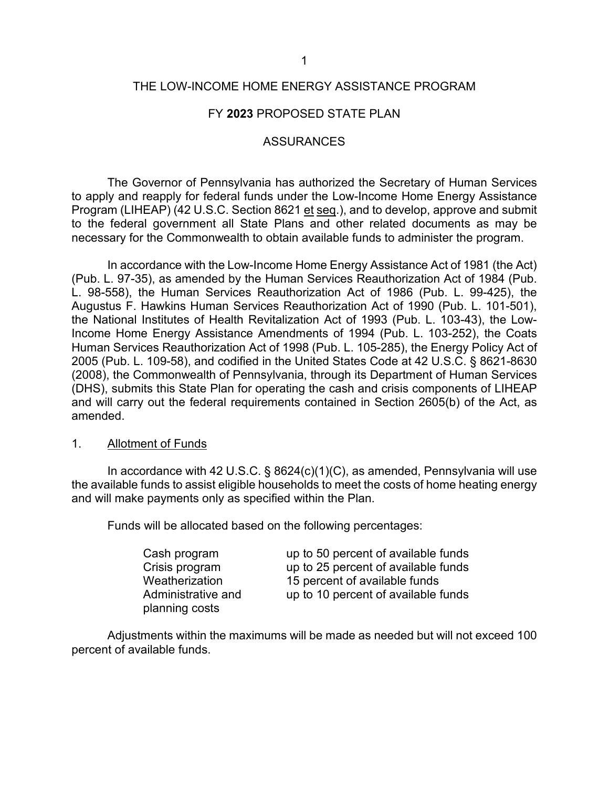### THE LOW-INCOME HOME ENERGY ASSISTANCE PROGRAM

### FY **2023** PROPOSED STATE PLAN

#### ASSURANCES

The Governor of Pennsylvania has authorized the Secretary of Human Services to apply and reapply for federal funds under the Low-Income Home Energy Assistance Program (LIHEAP) (42 U.S.C. Section 8621 et seq.), and to develop, approve and submit to the federal government all State Plans and other related documents as may be necessary for the Commonwealth to obtain available funds to administer the program.

In accordance with the Low-Income Home Energy Assistance Act of 1981 (the Act) (Pub. L. 97-35), as amended by the Human Services Reauthorization Act of 1984 (Pub. L. 98-558), the Human Services Reauthorization Act of 1986 (Pub. L. 99-425), the Augustus F. Hawkins Human Services Reauthorization Act of 1990 (Pub. L. 101-501), the National Institutes of Health Revitalization Act of 1993 (Pub. L. 103-43), the Low-Income Home Energy Assistance Amendments of 1994 (Pub. L. 103-252), the Coats Human Services Reauthorization Act of 1998 (Pub. L. 105-285), the Energy Policy Act of 2005 (Pub. L. 109-58), and codified in the United States Code at 42 U.S.C. § 8621-8630 (2008), the Commonwealth of Pennsylvania, through its Department of Human Services (DHS), submits this State Plan for operating the cash and crisis components of LIHEAP and will carry out the federal requirements contained in Section 2605(b) of the Act, as amended.

#### 1. Allotment of Funds

In accordance with 42 U.S.C.  $\S$  8624(c)(1)(C), as amended, Pennsylvania will use the available funds to assist eligible households to meet the costs of home heating energy and will make payments only as specified within the Plan.

Funds will be allocated based on the following percentages:

| Cash program       | up to 50 percent of available funds |
|--------------------|-------------------------------------|
| Crisis program     | up to 25 percent of available funds |
| Weatherization     | 15 percent of available funds       |
| Administrative and | up to 10 percent of available funds |
| planning costs     |                                     |

Adjustments within the maximums will be made as needed but will not exceed 100 percent of available funds.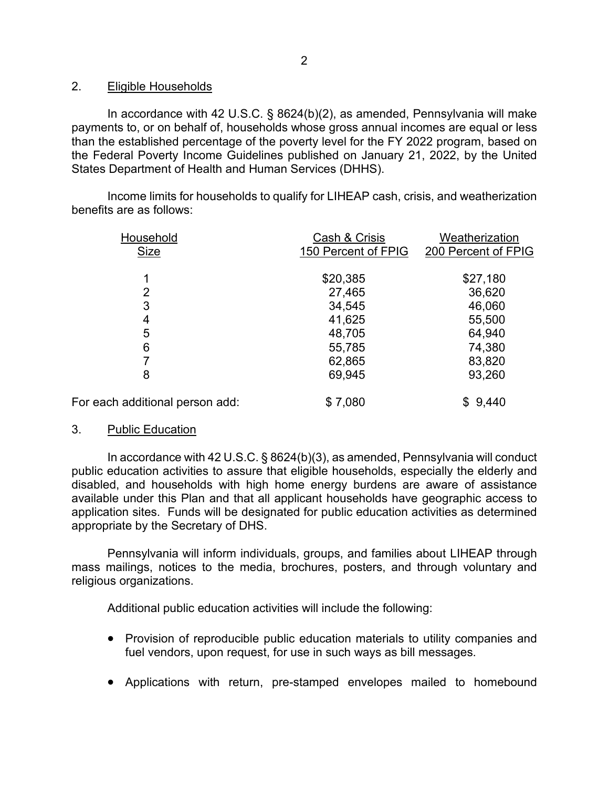## 2. Eligible Households

In accordance with 42 U.S.C. § 8624(b)(2), as amended, Pennsylvania will make payments to, or on behalf of, households whose gross annual incomes are equal or less than the established percentage of the poverty level for the FY 2022 program, based on the Federal Poverty Income Guidelines published on January 21, 2022, by the United States Department of Health and Human Services (DHHS).

Income limits for households to qualify for LIHEAP cash, crisis, and weatherization benefits are as follows:

| Household                       | Cash & Crisis       | Weatherization      |
|---------------------------------|---------------------|---------------------|
| <b>Size</b>                     | 150 Percent of FPIG | 200 Percent of FPIG |
|                                 |                     |                     |
|                                 | \$20,385            | \$27,180            |
| 2                               | 27,465              | 36,620              |
| 3                               | 34,545              | 46,060              |
| 4                               | 41,625              | 55,500              |
| 5                               | 48,705              | 64,940              |
| 6                               | 55,785              | 74,380              |
|                                 | 62,865              | 83,820              |
| 8                               | 69,945              | 93,260              |
| For each additional person add: | \$7,080             | \$9,440             |

# 3. Public Education

In accordance with 42 U.S.C. § 8624(b)(3), as amended, Pennsylvania will conduct public education activities to assure that eligible households, especially the elderly and disabled, and households with high home energy burdens are aware of assistance available under this Plan and that all applicant households have geographic access to application sites. Funds will be designated for public education activities as determined appropriate by the Secretary of DHS.

Pennsylvania will inform individuals, groups, and families about LIHEAP through mass mailings, notices to the media, brochures, posters, and through voluntary and religious organizations.

Additional public education activities will include the following:

- Provision of reproducible public education materials to utility companies and fuel vendors, upon request, for use in such ways as bill messages.
- Applications with return, pre-stamped envelopes mailed to homebound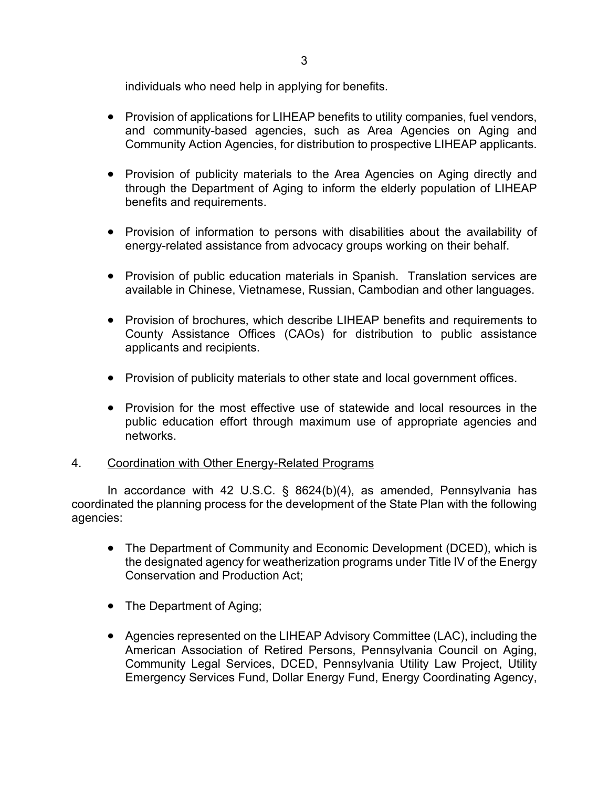individuals who need help in applying for benefits.

- Provision of applications for LIHEAP benefits to utility companies, fuel vendors, and community-based agencies, such as Area Agencies on Aging and Community Action Agencies, for distribution to prospective LIHEAP applicants.
- Provision of publicity materials to the Area Agencies on Aging directly and through the Department of Aging to inform the elderly population of LIHEAP benefits and requirements.
- Provision of information to persons with disabilities about the availability of energy-related assistance from advocacy groups working on their behalf.
- Provision of public education materials in Spanish. Translation services are available in Chinese, Vietnamese, Russian, Cambodian and other languages.
- Provision of brochures, which describe LIHEAP benefits and requirements to County Assistance Offices (CAOs) for distribution to public assistance applicants and recipients.
- Provision of publicity materials to other state and local government offices.
- Provision for the most effective use of statewide and local resources in the public education effort through maximum use of appropriate agencies and networks.

# 4. Coordination with Other Energy-Related Programs

In accordance with 42 U.S.C. § 8624(b)(4), as amended, Pennsylvania has coordinated the planning process for the development of the State Plan with the following agencies:

- The Department of Community and Economic Development (DCED), which is the designated agency for weatherization programs under Title IV of the Energy Conservation and Production Act;
- The Department of Aging;
- Agencies represented on the LIHEAP Advisory Committee (LAC), including the American Association of Retired Persons, Pennsylvania Council on Aging, Community Legal Services, DCED, Pennsylvania Utility Law Project, Utility Emergency Services Fund, Dollar Energy Fund, Energy Coordinating Agency,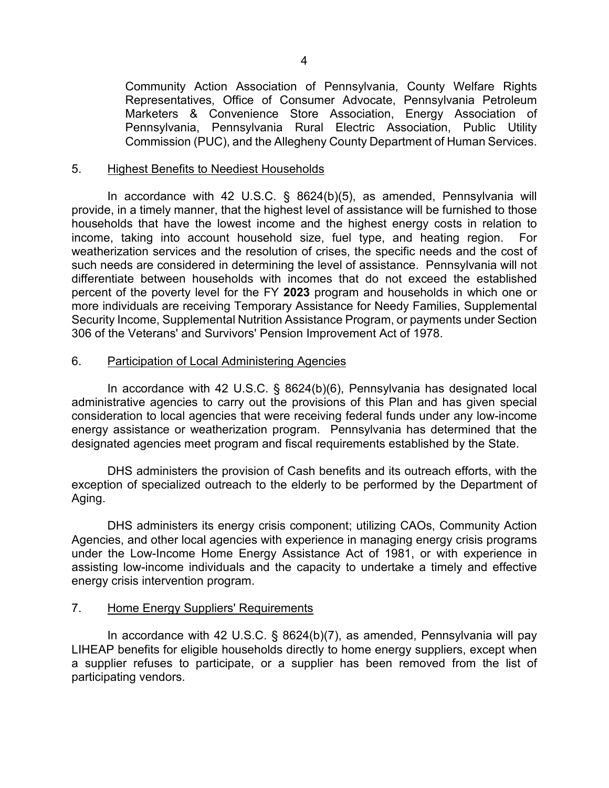Community Action Association of Pennsylvania, County Welfare Rights Representatives, Office of Consumer Advocate, Pennsylvania Petroleum Marketers & Convenience Store Association, Energy Association of Pennsylvania, Pennsylvania Rural Electric Association, Public Utility Commission (PUC), and the Allegheny County Department of Human Services.

### 5. Highest Benefits to Neediest Households

In accordance with 42 U.S.C. § 8624(b)(5), as amended, Pennsylvania will provide, in a timely manner, that the highest level of assistance will be furnished to those households that have the lowest income and the highest energy costs in relation to income, taking into account household size, fuel type, and heating region. For weatherization services and the resolution of crises, the specific needs and the cost of such needs are considered in determining the level of assistance. Pennsylvania will not differentiate between households with incomes that do not exceed the established percent of the poverty level for the FY **2023** program and households in which one or more individuals are receiving Temporary Assistance for Needy Families, Supplemental Security Income, Supplemental Nutrition Assistance Program, or payments under Section 306 of the Veterans' and Survivors' Pension Improvement Act of 1978.

### 6. Participation of Local Administering Agencies

In accordance with 42 U.S.C. § 8624(b)(6), Pennsylvania has designated local administrative agencies to carry out the provisions of this Plan and has given special consideration to local agencies that were receiving federal funds under any low-income energy assistance or weatherization program. Pennsylvania has determined that the designated agencies meet program and fiscal requirements established by the State.

DHS administers the provision of Cash benefits and its outreach efforts, with the exception of specialized outreach to the elderly to be performed by the Department of Aging.

DHS administers its energy crisis component; utilizing CAOs, Community Action Agencies, and other local agencies with experience in managing energy crisis programs under the Low-Income Home Energy Assistance Act of 1981, or with experience in assisting low-income individuals and the capacity to undertake a timely and effective energy crisis intervention program.

### 7. Home Energy Suppliers' Requirements

In accordance with 42 U.S.C. § 8624(b)(7), as amended, Pennsylvania will pay LIHEAP benefits for eligible households directly to home energy suppliers, except when a supplier refuses to participate, or a supplier has been removed from the list of participating vendors.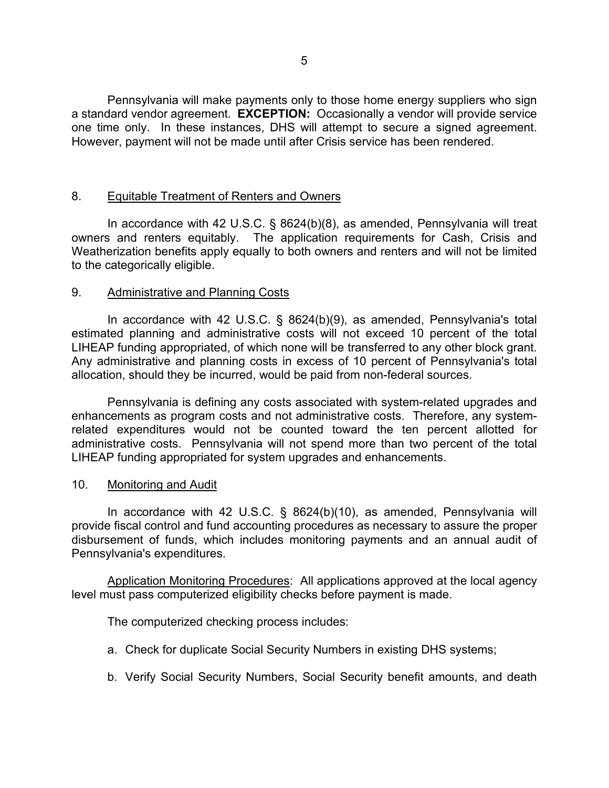Pennsylvania will make payments only to those home energy suppliers who sign a standard vendor agreement. **EXCEPTION:** Occasionally a vendor will provide service one time only. In these instances, DHS will attempt to secure a signed agreement. However, payment will not be made until after Crisis service has been rendered.

## 8. Equitable Treatment of Renters and Owners

In accordance with 42 U.S.C. § 8624(b)(8), as amended, Pennsylvania will treat owners and renters equitably. The application requirements for Cash, Crisis and Weatherization benefits apply equally to both owners and renters and will not be limited to the categorically eligible.

### 9. Administrative and Planning Costs

In accordance with 42 U.S.C. § 8624(b)(9), as amended, Pennsylvania's total estimated planning and administrative costs will not exceed 10 percent of the total LIHEAP funding appropriated, of which none will be transferred to any other block grant. Any administrative and planning costs in excess of 10 percent of Pennsylvania's total allocation, should they be incurred, would be paid from non-federal sources.

Pennsylvania is defining any costs associated with system-related upgrades and enhancements as program costs and not administrative costs. Therefore, any systemrelated expenditures would not be counted toward the ten percent allotted for administrative costs. Pennsylvania will not spend more than two percent of the total LIHEAP funding appropriated for system upgrades and enhancements.

### 10. Monitoring and Audit

In accordance with 42 U.S.C. § 8624(b)(10), as amended, Pennsylvania will provide fiscal control and fund accounting procedures as necessary to assure the proper disbursement of funds, which includes monitoring payments and an annual audit of Pennsylvania's expenditures.

Application Monitoring Procedures: All applications approved at the local agency level must pass computerized eligibility checks before payment is made.

The computerized checking process includes:

- a. Check for duplicate Social Security Numbers in existing DHS systems;
- b. Verify Social Security Numbers, Social Security benefit amounts, and death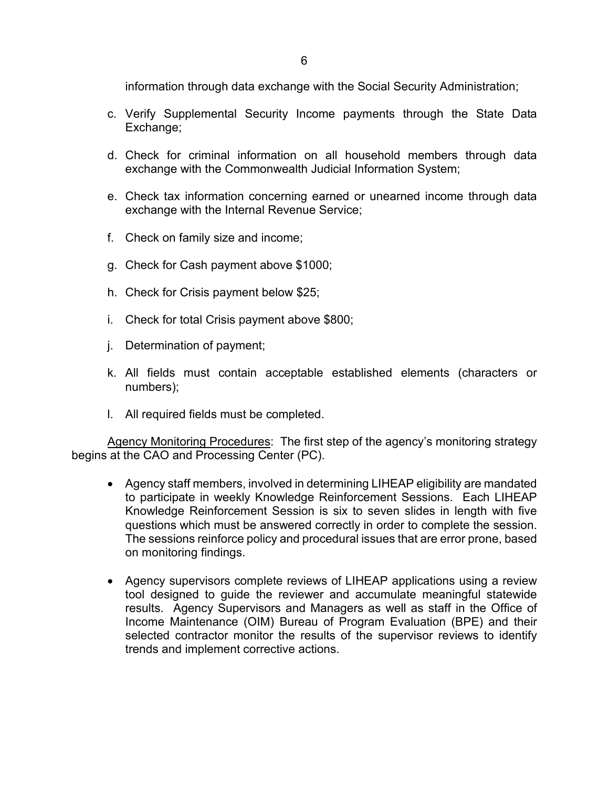information through data exchange with the Social Security Administration;

- c. Verify Supplemental Security Income payments through the State Data Exchange;
- d. Check for criminal information on all household members through data exchange with the Commonwealth Judicial Information System;
- e. Check tax information concerning earned or unearned income through data exchange with the Internal Revenue Service;
- f. Check on family size and income;
- g. Check for Cash payment above \$1000;
- h. Check for Crisis payment below \$25;
- i. Check for total Crisis payment above \$800;
- j. Determination of payment;
- k. All fields must contain acceptable established elements (characters or numbers);
- l. All required fields must be completed.

Agency Monitoring Procedures: The first step of the agency's monitoring strategy begins at the CAO and Processing Center (PC).

- Agency staff members, involved in determining LIHEAP eligibility are mandated to participate in weekly Knowledge Reinforcement Sessions. Each LIHEAP Knowledge Reinforcement Session is six to seven slides in length with five questions which must be answered correctly in order to complete the session. The sessions reinforce policy and procedural issues that are error prone, based on monitoring findings.
- Agency supervisors complete reviews of LIHEAP applications using a review tool designed to guide the reviewer and accumulate meaningful statewide results. Agency Supervisors and Managers as well as staff in the Office of Income Maintenance (OIM) Bureau of Program Evaluation (BPE) and their selected contractor monitor the results of the supervisor reviews to identify trends and implement corrective actions.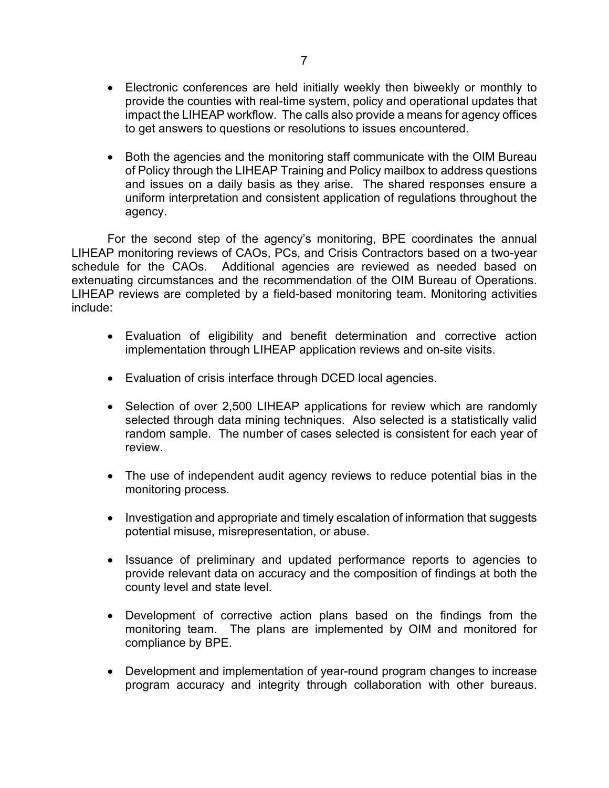- Electronic conferences are held initially weekly then biweekly or monthly to provide the counties with real-time system, policy and operational updates that impact the LIHEAP workflow. The calls also provide a means for agency offices to get answers to questions or resolutions to issues encountered.
- Both the agencies and the monitoring staff communicate with the OIM Bureau of Policy through the LIHEAP Training and Policy mailbox to address questions and issues on a daily basis as they arise. The shared responses ensure a uniform interpretation and consistent application of regulations throughout the agency.

For the second step of the agency's monitoring, BPE coordinates the annual LIHEAP monitoring reviews of CAOs, PCs, and Crisis Contractors based on a two-year schedule for the CAOs. Additional agencies are reviewed as needed based on extenuating circumstances and the recommendation of the OIM Bureau of Operations. LIHEAP reviews are completed by a field-based monitoring team. Monitoring activities include:

- Evaluation of eligibility and benefit determination and corrective action implementation through LIHEAP application reviews and on-site visits.
- Evaluation of crisis interface through DCED local agencies.
- Selection of over 2,500 LIHEAP applications for review which are randomly selected through data mining techniques. Also selected is a statistically valid random sample. The number of cases selected is consistent for each year of review.
- The use of independent audit agency reviews to reduce potential bias in the monitoring process.
- Investigation and appropriate and timely escalation of information that suggests potential misuse, misrepresentation, or abuse.
- Issuance of preliminary and updated performance reports to agencies to provide relevant data on accuracy and the composition of findings at both the county level and state level.
- Development of corrective action plans based on the findings from the monitoring team. The plans are implemented by OIM and monitored for compliance by BPE.
- Development and implementation of year-round program changes to increase program accuracy and integrity through collaboration with other bureaus.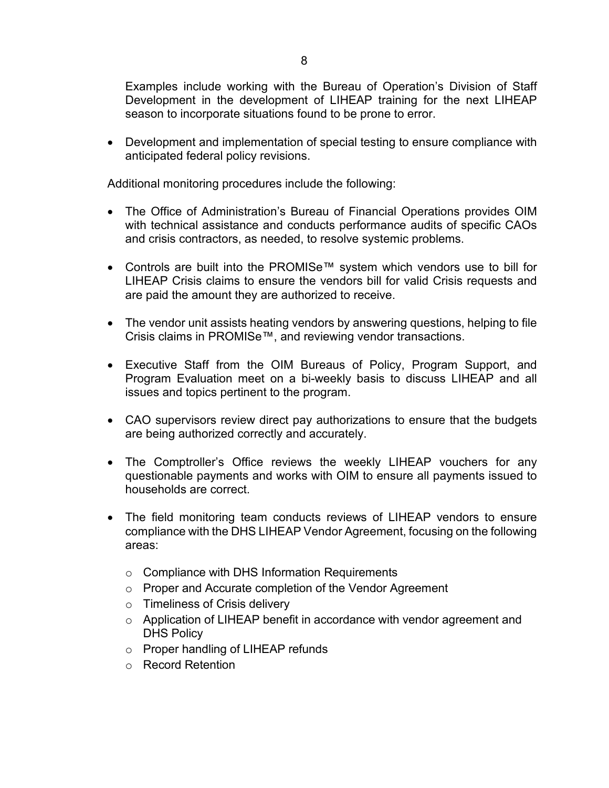• Development and implementation of special testing to ensure compliance with anticipated federal policy revisions.

Additional monitoring procedures include the following:

- The Office of Administration's Bureau of Financial Operations provides OIM with technical assistance and conducts performance audits of specific CAOs and crisis contractors, as needed, to resolve systemic problems.
- Controls are built into the PROMISe™ system which vendors use to bill for LIHEAP Crisis claims to ensure the vendors bill for valid Crisis requests and are paid the amount they are authorized to receive.
- The vendor unit assists heating vendors by answering questions, helping to file Crisis claims in PROMISe™, and reviewing vendor transactions.
- Executive Staff from the OIM Bureaus of Policy, Program Support, and Program Evaluation meet on a bi-weekly basis to discuss LIHEAP and all issues and topics pertinent to the program.
- CAO supervisors review direct pay authorizations to ensure that the budgets are being authorized correctly and accurately.
- The Comptroller's Office reviews the weekly LIHEAP vouchers for any questionable payments and works with OIM to ensure all payments issued to households are correct.
- The field monitoring team conducts reviews of LIHEAP vendors to ensure compliance with the DHS LIHEAP Vendor Agreement, focusing on the following areas:
	- $\circ$  Compliance with DHS Information Requirements
	- o Proper and Accurate completion of the Vendor Agreement
	- o Timeliness of Crisis delivery
	- o Application of LIHEAP benefit in accordance with vendor agreement and DHS Policy
	- o Proper handling of LIHEAP refunds
	- o Record Retention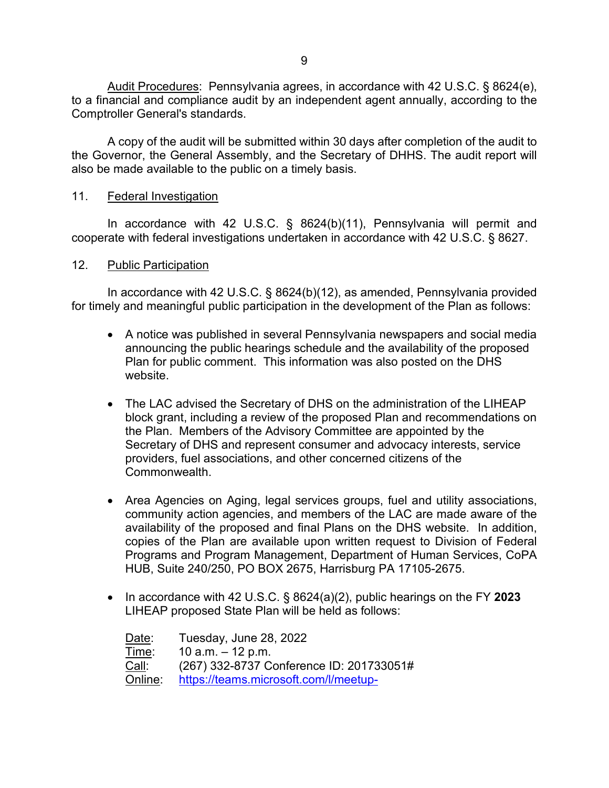Audit Procedures: Pennsylvania agrees, in accordance with 42 U.S.C. § 8624(e), to a financial and compliance audit by an independent agent annually, according to the Comptroller General's standards.

A copy of the audit will be submitted within 30 days after completion of the audit to the Governor, the General Assembly, and the Secretary of DHHS. The audit report will also be made available to the public on a timely basis.

## 11. Federal Investigation

In accordance with 42 U.S.C. § 8624(b)(11), Pennsylvania will permit and cooperate with federal investigations undertaken in accordance with 42 U.S.C. § 8627.

### 12. Public Participation

In accordance with 42 U.S.C. § 8624(b)(12), as amended, Pennsylvania provided for timely and meaningful public participation in the development of the Plan as follows:

- A notice was published in several Pennsylvania newspapers and social media announcing the public hearings schedule and the availability of the proposed Plan for public comment. This information was also posted on the DHS website.
- The LAC advised the Secretary of DHS on the administration of the LIHEAP block grant, including a review of the proposed Plan and recommendations on the Plan. Members of the Advisory Committee are appointed by the Secretary of DHS and represent consumer and advocacy interests, service providers, fuel associations, and other concerned citizens of the Commonwealth.
- Area Agencies on Aging, legal services groups, fuel and utility associations, community action agencies, and members of the LAC are made aware of the availability of the proposed and final Plans on the DHS website. In addition, copies of the Plan are available upon written request to Division of Federal Programs and Program Management, Department of Human Services, CoPA HUB, Suite 240/250, PO BOX 2675, Harrisburg PA 17105-2675.
- In accordance with 42 U.S.C. § 8624(a)(2), public hearings on the FY **2023** LIHEAP proposed State Plan will be held as follows:

| Date:   | Tuesday, June 28, 2022                   |
|---------|------------------------------------------|
| Time:   | 10 a.m. $-$ 12 p.m.                      |
| Call:   | (267) 332-8737 Conference ID: 201733051# |
| Online: | https://teams.microsoft.com/l/meetup-    |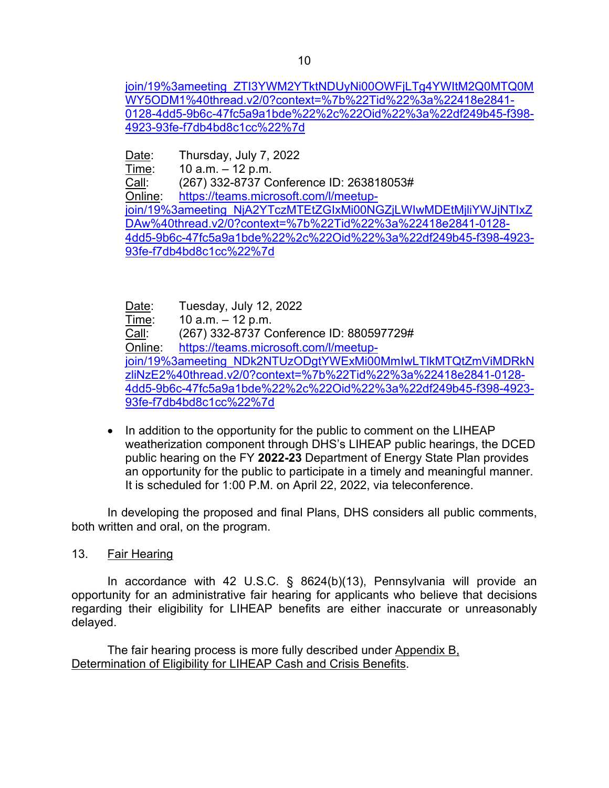[join/19%3ameeting\\_ZTI3YWM2YTktNDUyNi00OWFjLTg4YWItM2Q0MTQ0M](https://teams.microsoft.com/l/meetup-join/19%3ameeting_ZTI3YWM2YTktNDUyNi00OWFjLTg4YWItM2Q0MTQ0MWY5ODM1%40thread.v2/0?context=%7b%22Tid%22%3a%22418e2841-0128-4dd5-9b6c-47fc5a9a1bde%22%2c%22Oid%22%3a%22df249b45-f398-4923-93fe-f7db4bd8c1cc%22%7d) [WY5ODM1%40thread.v2/0?context=%7b%22Tid%22%3a%22418e2841-](https://teams.microsoft.com/l/meetup-join/19%3ameeting_ZTI3YWM2YTktNDUyNi00OWFjLTg4YWItM2Q0MTQ0MWY5ODM1%40thread.v2/0?context=%7b%22Tid%22%3a%22418e2841-0128-4dd5-9b6c-47fc5a9a1bde%22%2c%22Oid%22%3a%22df249b45-f398-4923-93fe-f7db4bd8c1cc%22%7d) [0128-4dd5-9b6c-47fc5a9a1bde%22%2c%22Oid%22%3a%22df249b45-f398-](https://teams.microsoft.com/l/meetup-join/19%3ameeting_ZTI3YWM2YTktNDUyNi00OWFjLTg4YWItM2Q0MTQ0MWY5ODM1%40thread.v2/0?context=%7b%22Tid%22%3a%22418e2841-0128-4dd5-9b6c-47fc5a9a1bde%22%2c%22Oid%22%3a%22df249b45-f398-4923-93fe-f7db4bd8c1cc%22%7d) [4923-93fe-f7db4bd8c1cc%22%7d](https://teams.microsoft.com/l/meetup-join/19%3ameeting_ZTI3YWM2YTktNDUyNi00OWFjLTg4YWItM2Q0MTQ0MWY5ODM1%40thread.v2/0?context=%7b%22Tid%22%3a%22418e2841-0128-4dd5-9b6c-47fc5a9a1bde%22%2c%22Oid%22%3a%22df249b45-f398-4923-93fe-f7db4bd8c1cc%22%7d) 

<u>Date</u>: Thursday, July 7, 2022<br>Time: 10 a.m. – 12 p.m.

 $10$  a.m.  $- 12$  p.m.

Call: (267) 332-8737 Conference ID: 263818053# Online: [https://teams.microsoft.com/l/meetup](https://teams.microsoft.com/l/meetup-join/19%3ameeting_NjA2YTczMTEtZGIxMi00NGZjLWIwMDEtMjliYWJjNTIxZDAw%40thread.v2/0?context=%7b%22Tid%22%3a%22418e2841-0128-4dd5-9b6c-47fc5a9a1bde%22%2c%22Oid%22%3a%22df249b45-f398-4923-93fe-f7db4bd8c1cc%22%7d)[join/19%3ameeting\\_NjA2YTczMTEtZGIxMi00NGZjLWIwMDEtMjliYWJjNTIxZ](https://teams.microsoft.com/l/meetup-join/19%3ameeting_NjA2YTczMTEtZGIxMi00NGZjLWIwMDEtMjliYWJjNTIxZDAw%40thread.v2/0?context=%7b%22Tid%22%3a%22418e2841-0128-4dd5-9b6c-47fc5a9a1bde%22%2c%22Oid%22%3a%22df249b45-f398-4923-93fe-f7db4bd8c1cc%22%7d) [DAw%40thread.v2/0?context=%7b%22Tid%22%3a%22418e2841-0128-](https://teams.microsoft.com/l/meetup-join/19%3ameeting_NjA2YTczMTEtZGIxMi00NGZjLWIwMDEtMjliYWJjNTIxZDAw%40thread.v2/0?context=%7b%22Tid%22%3a%22418e2841-0128-4dd5-9b6c-47fc5a9a1bde%22%2c%22Oid%22%3a%22df249b45-f398-4923-93fe-f7db4bd8c1cc%22%7d) [4dd5-9b6c-47fc5a9a1bde%22%2c%22Oid%22%3a%22df249b45-f398-4923-](https://teams.microsoft.com/l/meetup-join/19%3ameeting_NjA2YTczMTEtZGIxMi00NGZjLWIwMDEtMjliYWJjNTIxZDAw%40thread.v2/0?context=%7b%22Tid%22%3a%22418e2841-0128-4dd5-9b6c-47fc5a9a1bde%22%2c%22Oid%22%3a%22df249b45-f398-4923-93fe-f7db4bd8c1cc%22%7d) [93fe-f7db4bd8c1cc%22%7d](https://teams.microsoft.com/l/meetup-join/19%3ameeting_NjA2YTczMTEtZGIxMi00NGZjLWIwMDEtMjliYWJjNTIxZDAw%40thread.v2/0?context=%7b%22Tid%22%3a%22418e2841-0128-4dd5-9b6c-47fc5a9a1bde%22%2c%22Oid%22%3a%22df249b45-f398-4923-93fe-f7db4bd8c1cc%22%7d)

<u>Date</u>: Tuesday, July 12, 2022<br>Time: 10 a.m. – 12 p.m.  $10$  a.m.  $- 12$  p.m. Call: (267) 332-8737 Conference ID: 880597729# Online: [https://teams.microsoft.com/l/meetup](https://teams.microsoft.com/l/meetup-join/19%3ameeting_NDk2NTUzODgtYWExMi00MmIwLTlkMTQtZmViMDRkNzliNzE2%40thread.v2/0?context=%7b%22Tid%22%3a%22418e2841-0128-4dd5-9b6c-47fc5a9a1bde%22%2c%22Oid%22%3a%22df249b45-f398-4923-93fe-f7db4bd8c1cc%22%7d)[join/19%3ameeting\\_NDk2NTUzODgtYWExMi00MmIwLTlkMTQtZmViMDRkN](https://teams.microsoft.com/l/meetup-join/19%3ameeting_NDk2NTUzODgtYWExMi00MmIwLTlkMTQtZmViMDRkNzliNzE2%40thread.v2/0?context=%7b%22Tid%22%3a%22418e2841-0128-4dd5-9b6c-47fc5a9a1bde%22%2c%22Oid%22%3a%22df249b45-f398-4923-93fe-f7db4bd8c1cc%22%7d) [zliNzE2%40thread.v2/0?context=%7b%22Tid%22%3a%22418e2841-0128-](https://teams.microsoft.com/l/meetup-join/19%3ameeting_NDk2NTUzODgtYWExMi00MmIwLTlkMTQtZmViMDRkNzliNzE2%40thread.v2/0?context=%7b%22Tid%22%3a%22418e2841-0128-4dd5-9b6c-47fc5a9a1bde%22%2c%22Oid%22%3a%22df249b45-f398-4923-93fe-f7db4bd8c1cc%22%7d) [4dd5-9b6c-47fc5a9a1bde%22%2c%22Oid%22%3a%22df249b45-f398-4923-](https://teams.microsoft.com/l/meetup-join/19%3ameeting_NDk2NTUzODgtYWExMi00MmIwLTlkMTQtZmViMDRkNzliNzE2%40thread.v2/0?context=%7b%22Tid%22%3a%22418e2841-0128-4dd5-9b6c-47fc5a9a1bde%22%2c%22Oid%22%3a%22df249b45-f398-4923-93fe-f7db4bd8c1cc%22%7d) [93fe-f7db4bd8c1cc%22%7d](https://teams.microsoft.com/l/meetup-join/19%3ameeting_NDk2NTUzODgtYWExMi00MmIwLTlkMTQtZmViMDRkNzliNzE2%40thread.v2/0?context=%7b%22Tid%22%3a%22418e2841-0128-4dd5-9b6c-47fc5a9a1bde%22%2c%22Oid%22%3a%22df249b45-f398-4923-93fe-f7db4bd8c1cc%22%7d)

• In addition to the opportunity for the public to comment on the LIHEAP weatherization component through DHS's LIHEAP public hearings, the DCED public hearing on the FY **2022-23** Department of Energy State Plan provides an opportunity for the public to participate in a timely and meaningful manner. It is scheduled for 1:00 P.M. on April 22, 2022, via teleconference.

In developing the proposed and final Plans, DHS considers all public comments, both written and oral, on the program.

13. Fair Hearing

In accordance with 42 U.S.C. § 8624(b)(13), Pennsylvania will provide an opportunity for an administrative fair hearing for applicants who believe that decisions regarding their eligibility for LIHEAP benefits are either inaccurate or unreasonably delayed.

The fair hearing process is more fully described under Appendix B, Determination of Eligibility for LIHEAP Cash and Crisis Benefits.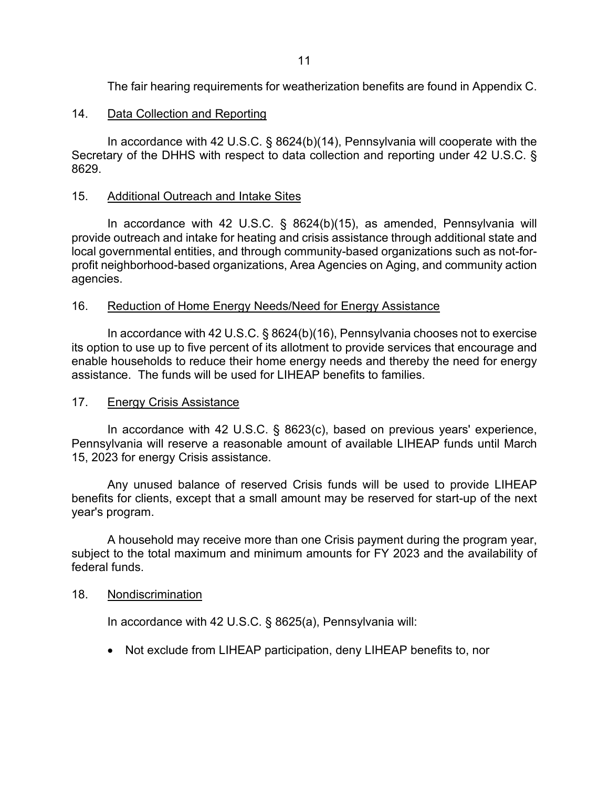The fair hearing requirements for weatherization benefits are found in Appendix C.

# 14. Data Collection and Reporting

In accordance with 42 U.S.C. § 8624(b)(14), Pennsylvania will cooperate with the Secretary of the DHHS with respect to data collection and reporting under 42 U.S.C. § 8629.

# 15. Additional Outreach and Intake Sites

In accordance with 42 U.S.C. § 8624(b)(15), as amended, Pennsylvania will provide outreach and intake for heating and crisis assistance through additional state and local governmental entities, and through community-based organizations such as not-forprofit neighborhood-based organizations, Area Agencies on Aging, and community action agencies.

# 16. Reduction of Home Energy Needs/Need for Energy Assistance

In accordance with 42 U.S.C. § 8624(b)(16), Pennsylvania chooses not to exercise its option to use up to five percent of its allotment to provide services that encourage and enable households to reduce their home energy needs and thereby the need for energy assistance. The funds will be used for LIHEAP benefits to families.

# 17. Energy Crisis Assistance

In accordance with 42 U.S.C. § 8623(c), based on previous years' experience, Pennsylvania will reserve a reasonable amount of available LIHEAP funds until March 15, 2023 for energy Crisis assistance.

Any unused balance of reserved Crisis funds will be used to provide LIHEAP benefits for clients, except that a small amount may be reserved for start-up of the next year's program.

A household may receive more than one Crisis payment during the program year, subject to the total maximum and minimum amounts for FY 2023 and the availability of federal funds.

# 18. Nondiscrimination

In accordance with 42 U.S.C. § 8625(a), Pennsylvania will:

• Not exclude from LIHEAP participation, deny LIHEAP benefits to, nor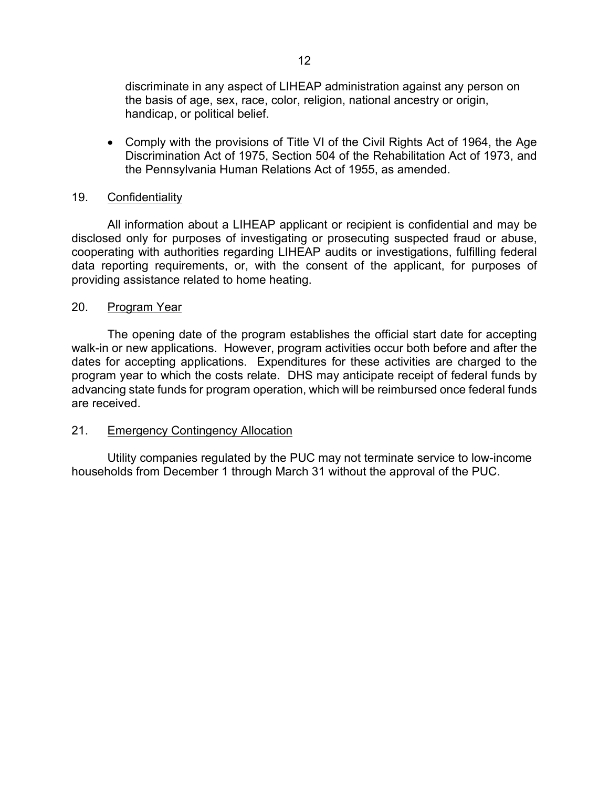discriminate in any aspect of LIHEAP administration against any person on the basis of age, sex, race, color, religion, national ancestry or origin, handicap, or political belief.

• Comply with the provisions of Title VI of the Civil Rights Act of 1964, the Age Discrimination Act of 1975, Section 504 of the Rehabilitation Act of 1973, and the Pennsylvania Human Relations Act of 1955, as amended.

### 19. Confidentiality

All information about a LIHEAP applicant or recipient is confidential and may be disclosed only for purposes of investigating or prosecuting suspected fraud or abuse, cooperating with authorities regarding LIHEAP audits or investigations, fulfilling federal data reporting requirements, or, with the consent of the applicant, for purposes of providing assistance related to home heating.

### 20. Program Year

The opening date of the program establishes the official start date for accepting walk-in or new applications. However, program activities occur both before and after the dates for accepting applications. Expenditures for these activities are charged to the program year to which the costs relate. DHS may anticipate receipt of federal funds by advancing state funds for program operation, which will be reimbursed once federal funds are received.

### 21. Emergency Contingency Allocation

Utility companies regulated by the PUC may not terminate service to low-income households from December 1 through March 31 without the approval of the PUC.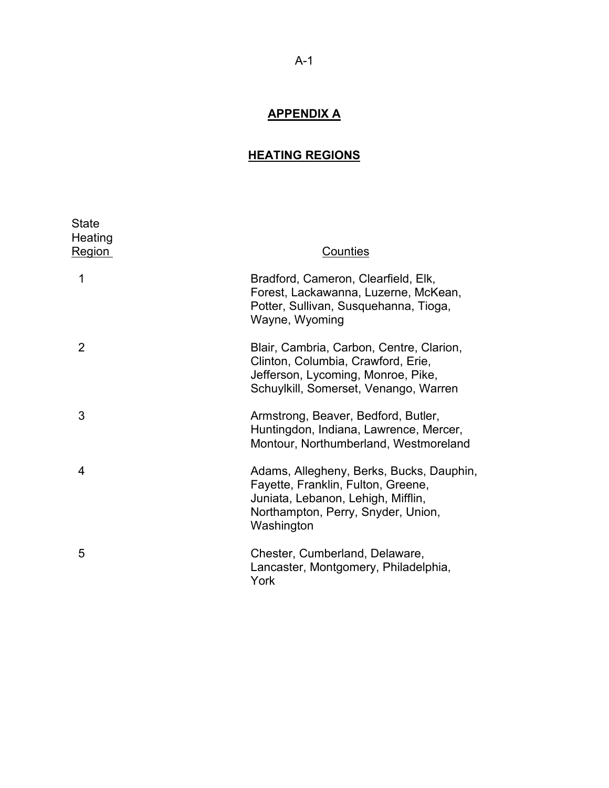# **APPENDIX A**

# **HEATING REGIONS**

| <b>State</b><br>Heating<br>Region | Counties                                                                                                                                                                 |
|-----------------------------------|--------------------------------------------------------------------------------------------------------------------------------------------------------------------------|
| 1                                 | Bradford, Cameron, Clearfield, Elk,<br>Forest, Lackawanna, Luzerne, McKean,<br>Potter, Sullivan, Susquehanna, Tioga,<br>Wayne, Wyoming                                   |
| 2                                 | Blair, Cambria, Carbon, Centre, Clarion,<br>Clinton, Columbia, Crawford, Erie,<br>Jefferson, Lycoming, Monroe, Pike,<br>Schuylkill, Somerset, Venango, Warren            |
| 3                                 | Armstrong, Beaver, Bedford, Butler,<br>Huntingdon, Indiana, Lawrence, Mercer,<br>Montour, Northumberland, Westmoreland                                                   |
| 4                                 | Adams, Allegheny, Berks, Bucks, Dauphin,<br>Fayette, Franklin, Fulton, Greene,<br>Juniata, Lebanon, Lehigh, Mifflin,<br>Northampton, Perry, Snyder, Union,<br>Washington |
| 5                                 | Chester, Cumberland, Delaware,<br>Lancaster, Montgomery, Philadelphia,<br>York                                                                                           |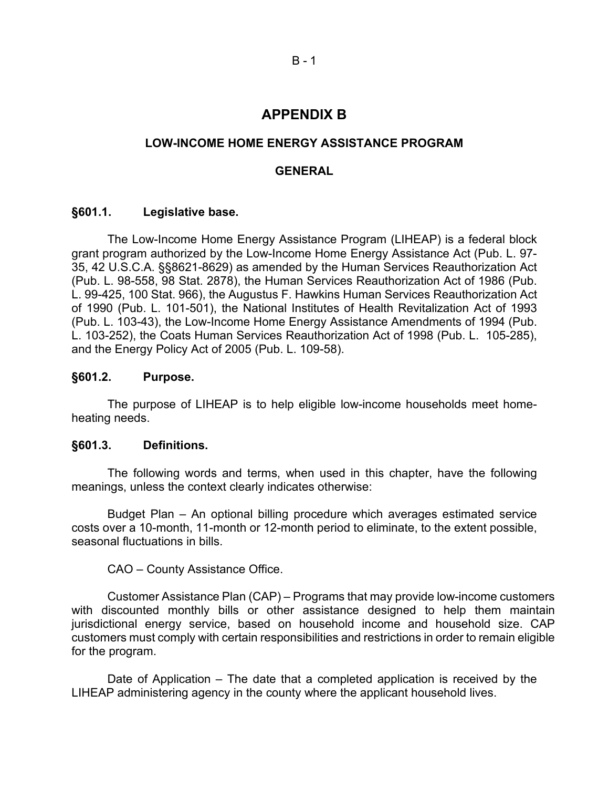# **APPENDIX B**

# **LOW-INCOME HOME ENERGY ASSISTANCE PROGRAM**

# **GENERAL**

### **§601.1. Legislative base.**

The Low-Income Home Energy Assistance Program (LIHEAP) is a federal block grant program authorized by the Low-Income Home Energy Assistance Act (Pub. L. 97- 35, 42 U.S.C.A. §§8621-8629) as amended by the Human Services Reauthorization Act (Pub. L. 98-558, 98 Stat. 2878), the Human Services Reauthorization Act of 1986 (Pub. L. 99-425, 100 Stat. 966), the Augustus F. Hawkins Human Services Reauthorization Act of 1990 (Pub. L. 101-501), the National Institutes of Health Revitalization Act of 1993 (Pub. L. 103-43), the Low-Income Home Energy Assistance Amendments of 1994 (Pub. L. 103-252), the Coats Human Services Reauthorization Act of 1998 (Pub. L. 105-285), and the Energy Policy Act of 2005 (Pub. L. 109-58).

### **§601.2. Purpose.**

The purpose of LIHEAP is to help eligible low-income households meet homeheating needs.

### **§601.3. Definitions.**

The following words and terms, when used in this chapter, have the following meanings, unless the context clearly indicates otherwise:

Budget Plan – An optional billing procedure which averages estimated service costs over a 10-month, 11-month or 12-month period to eliminate, to the extent possible, seasonal fluctuations in bills.

# CAO – County Assistance Office.

Customer Assistance Plan (CAP) – Programs that may provide low-income customers with discounted monthly bills or other assistance designed to help them maintain jurisdictional energy service, based on household income and household size. CAP customers must comply with certain responsibilities and restrictions in order to remain eligible for the program.

Date of Application – The date that a completed application is received by the LIHEAP administering agency in the county where the applicant household lives.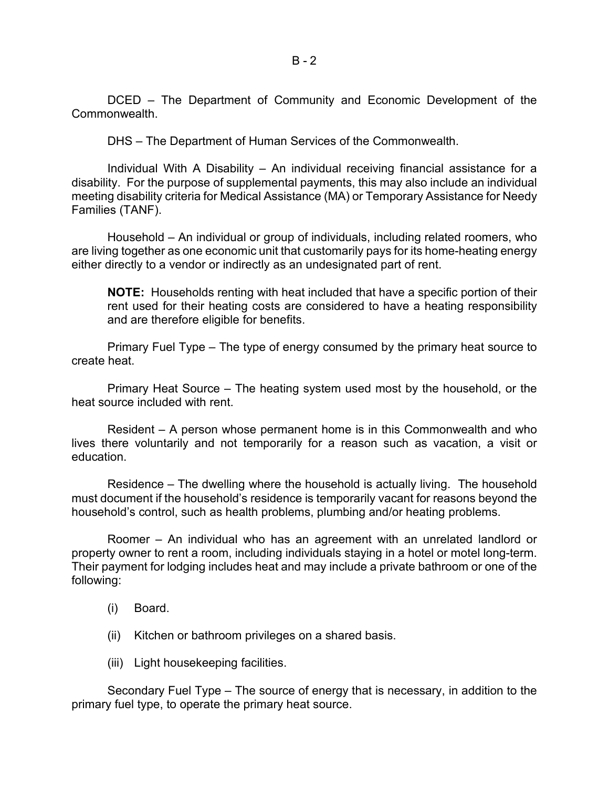DCED – The Department of Community and Economic Development of the Commonwealth.

DHS – The Department of Human Services of the Commonwealth.

Individual With A Disability – An individual receiving financial assistance for a disability. For the purpose of supplemental payments, this may also include an individual meeting disability criteria for Medical Assistance (MA) or Temporary Assistance for Needy Families (TANF).

Household – An individual or group of individuals, including related roomers, who are living together as one economic unit that customarily pays for its home-heating energy either directly to a vendor or indirectly as an undesignated part of rent.

**NOTE:** Households renting with heat included that have a specific portion of their rent used for their heating costs are considered to have a heating responsibility and are therefore eligible for benefits.

Primary Fuel Type – The type of energy consumed by the primary heat source to create heat.

Primary Heat Source – The heating system used most by the household, or the heat source included with rent.

Resident – A person whose permanent home is in this Commonwealth and who lives there voluntarily and not temporarily for a reason such as vacation, a visit or education.

Residence – The dwelling where the household is actually living. The household must document if the household's residence is temporarily vacant for reasons beyond the household's control, such as health problems, plumbing and/or heating problems.

Roomer – An individual who has an agreement with an unrelated landlord or property owner to rent a room, including individuals staying in a hotel or motel long-term. Their payment for lodging includes heat and may include a private bathroom or one of the following:

- (i) Board.
- (ii) Kitchen or bathroom privileges on a shared basis.
- (iii) Light housekeeping facilities.

Secondary Fuel Type – The source of energy that is necessary, in addition to the primary fuel type, to operate the primary heat source.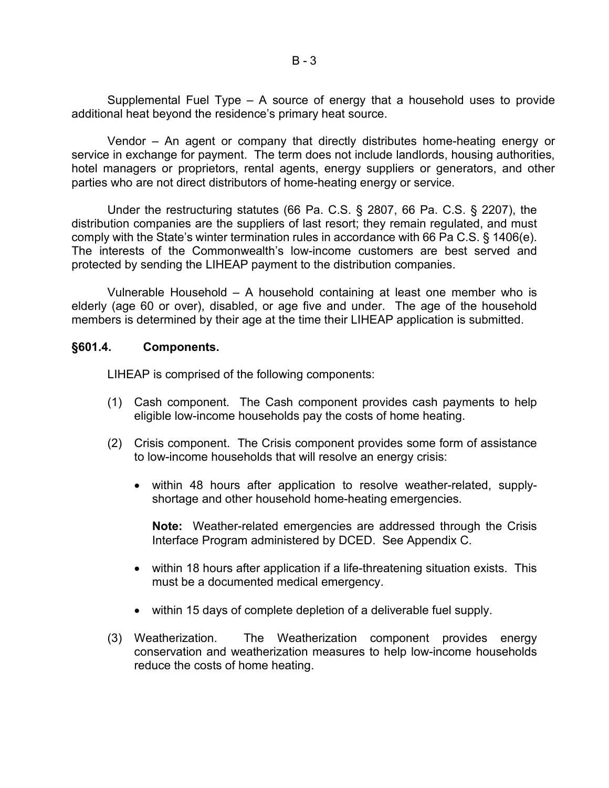Supplemental Fuel Type – A source of energy that a household uses to provide additional heat beyond the residence's primary heat source.

Vendor – An agent or company that directly distributes home-heating energy or service in exchange for payment. The term does not include landlords, housing authorities, hotel managers or proprietors, rental agents, energy suppliers or generators, and other parties who are not direct distributors of home-heating energy or service.

Under the restructuring statutes (66 Pa. C.S. § 2807, 66 Pa. C.S. § 2207), the distribution companies are the suppliers of last resort; they remain regulated, and must comply with the State's winter termination rules in accordance with 66 Pa C.S. § 1406(e). The interests of the Commonwealth's low-income customers are best served and protected by sending the LIHEAP payment to the distribution companies.

Vulnerable Household – A household containing at least one member who is elderly (age 60 or over), disabled, or age five and under. The age of the household members is determined by their age at the time their LIHEAP application is submitted.

### **§601.4. Components.**

LIHEAP is comprised of the following components:

- (1) Cash component. The Cash component provides cash payments to help eligible low-income households pay the costs of home heating.
- (2) Crisis component. The Crisis component provides some form of assistance to low-income households that will resolve an energy crisis:
	- within 48 hours after application to resolve weather-related, supplyshortage and other household home-heating emergencies.

**Note:** Weather-related emergencies are addressed through the Crisis Interface Program administered by DCED. See Appendix C.

- within 18 hours after application if a life-threatening situation exists. This must be a documented medical emergency.
- within 15 days of complete depletion of a deliverable fuel supply.
- (3) Weatherization. The Weatherization component provides energy conservation and weatherization measures to help low-income households reduce the costs of home heating.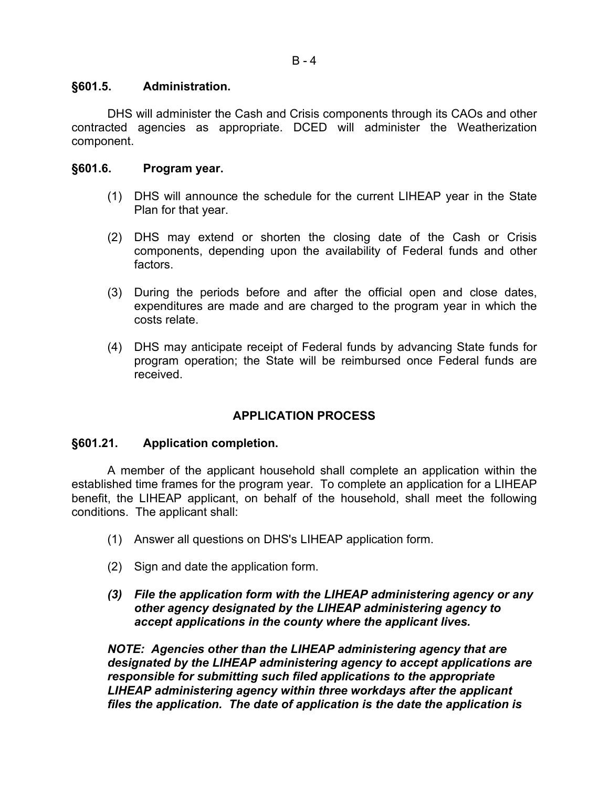# **§601.5. Administration.**

DHS will administer the Cash and Crisis components through its CAOs and other contracted agencies as appropriate. DCED will administer the Weatherization component.

# **§601.6. Program year.**

- (1) DHS will announce the schedule for the current LIHEAP year in the State Plan for that year.
- (2) DHS may extend or shorten the closing date of the Cash or Crisis components, depending upon the availability of Federal funds and other factors.
- (3) During the periods before and after the official open and close dates, expenditures are made and are charged to the program year in which the costs relate.
- (4) DHS may anticipate receipt of Federal funds by advancing State funds for program operation; the State will be reimbursed once Federal funds are received.

# **APPLICATION PROCESS**

# **§601.21. Application completion.**

A member of the applicant household shall complete an application within the established time frames for the program year. To complete an application for a LIHEAP benefit, the LIHEAP applicant, on behalf of the household, shall meet the following conditions. The applicant shall:

- (1) Answer all questions on DHS's LIHEAP application form.
- (2) Sign and date the application form.
- *(3) File the application form with the LIHEAP administering agency or any other agency designated by the LIHEAP administering agency to accept applications in the county where the applicant lives.*

*NOTE: Agencies other than the LIHEAP administering agency that are designated by the LIHEAP administering agency to accept applications are responsible for submitting such filed applications to the appropriate LIHEAP administering agency within three workdays after the applicant files the application. The date of application is the date the application is*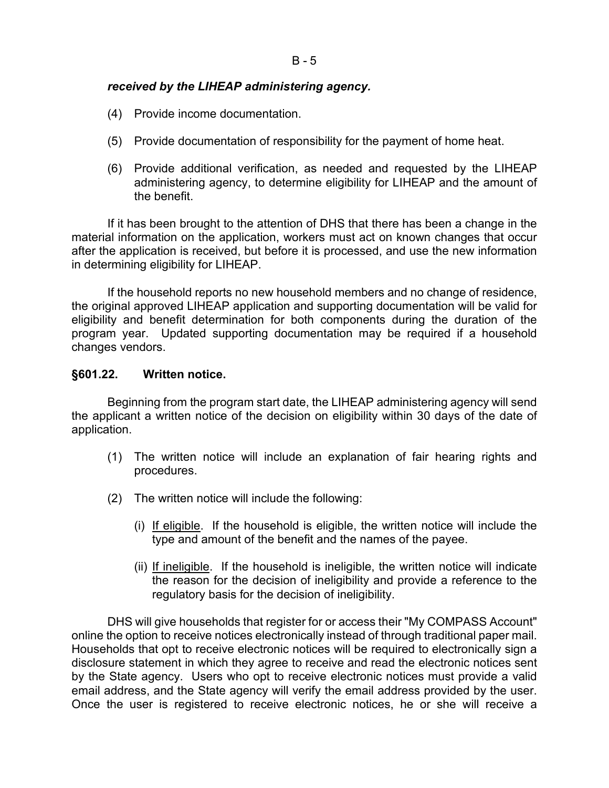# *received by the LIHEAP administering agency.*

- (4) Provide income documentation.
- (5) Provide documentation of responsibility for the payment of home heat.
- (6) Provide additional verification, as needed and requested by the LIHEAP administering agency, to determine eligibility for LIHEAP and the amount of the benefit.

If it has been brought to the attention of DHS that there has been a change in the material information on the application, workers must act on known changes that occur after the application is received, but before it is processed, and use the new information in determining eligibility for LIHEAP.

If the household reports no new household members and no change of residence, the original approved LIHEAP application and supporting documentation will be valid for eligibility and benefit determination for both components during the duration of the program year. Updated supporting documentation may be required if a household changes vendors.

# **§601.22. Written notice.**

Beginning from the program start date, the LIHEAP administering agency will send the applicant a written notice of the decision on eligibility within 30 days of the date of application.

- (1) The written notice will include an explanation of fair hearing rights and procedures.
- (2) The written notice will include the following:
	- (i) If eligible. If the household is eligible, the written notice will include the type and amount of the benefit and the names of the payee.
	- (ii) If ineligible. If the household is ineligible, the written notice will indicate the reason for the decision of ineligibility and provide a reference to the regulatory basis for the decision of ineligibility.

DHS will give households that register for or access their "My COMPASS Account" online the option to receive notices electronically instead of through traditional paper mail. Households that opt to receive electronic notices will be required to electronically sign a disclosure statement in which they agree to receive and read the electronic notices sent by the State agency. Users who opt to receive electronic notices must provide a valid email address, and the State agency will verify the email address provided by the user. Once the user is registered to receive electronic notices, he or she will receive a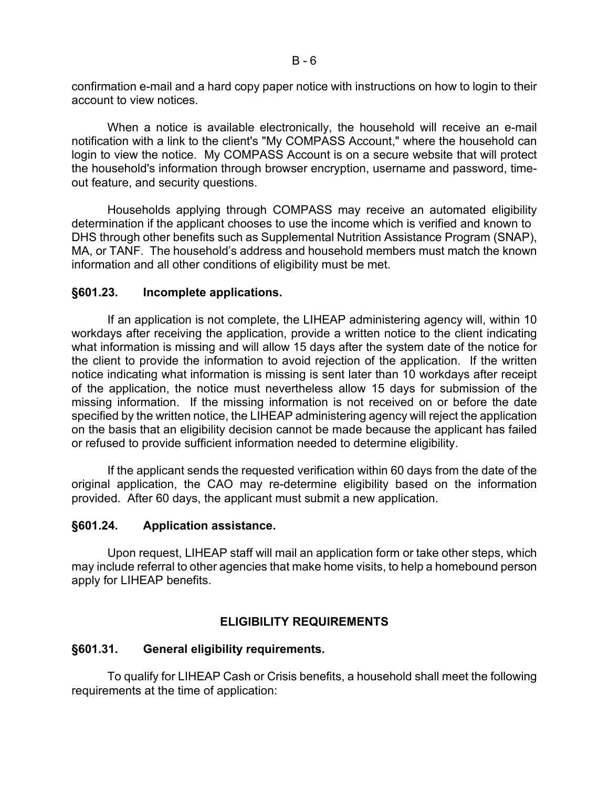confirmation e-mail and a hard copy paper notice with instructions on how to login to their account to view notices.

When a notice is available electronically, the household will receive an e-mail notification with a link to the client's "My COMPASS Account," where the household can login to view the notice. My COMPASS Account is on a secure website that will protect the household's information through browser encryption, username and password, timeout feature, and security questions.

Households applying through COMPASS may receive an automated eligibility determination if the applicant chooses to use the income which is verified and known to DHS through other benefits such as Supplemental Nutrition Assistance Program (SNAP), MA, or TANF. The household's address and household members must match the known information and all other conditions of eligibility must be met.

### **§601.23. Incomplete applications.**

If an application is not complete, the LIHEAP administering agency will, within 10 workdays after receiving the application, provide a written notice to the client indicating what information is missing and will allow 15 days after the system date of the notice for the client to provide the information to avoid rejection of the application. If the written notice indicating what information is missing is sent later than 10 workdays after receipt of the application, the notice must nevertheless allow 15 days for submission of the missing information. If the missing information is not received on or before the date specified by the written notice, the LIHEAP administering agency will reject the application on the basis that an eligibility decision cannot be made because the applicant has failed or refused to provide sufficient information needed to determine eligibility.

If the applicant sends the requested verification within 60 days from the date of the original application, the CAO may re-determine eligibility based on the information provided. After 60 days, the applicant must submit a new application.

# **§601.24. Application assistance.**

Upon request, LIHEAP staff will mail an application form or take other steps, which may include referral to other agencies that make home visits, to help a homebound person apply for LIHEAP benefits.

# **ELIGIBILITY REQUIREMENTS**

### **§601.31. General eligibility requirements.**

To qualify for LIHEAP Cash or Crisis benefits, a household shall meet the following requirements at the time of application: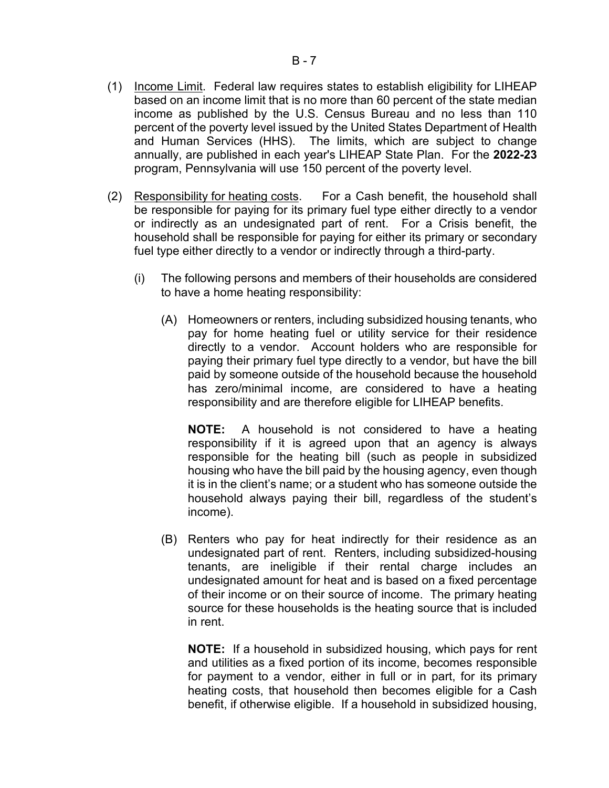- (1) Income Limit. Federal law requires states to establish eligibility for LIHEAP based on an income limit that is no more than 60 percent of the state median income as published by the U.S. Census Bureau and no less than 110 percent of the poverty level issued by the United States Department of Health and Human Services (HHS). The limits, which are subject to change annually, are published in each year's LIHEAP State Plan. For the **2022-23** program, Pennsylvania will use 150 percent of the poverty level.
- (2) Responsibility for heating costs. For a Cash benefit, the household shall be responsible for paying for its primary fuel type either directly to a vendor or indirectly as an undesignated part of rent. For a Crisis benefit, the household shall be responsible for paying for either its primary or secondary fuel type either directly to a vendor or indirectly through a third-party.
	- (i) The following persons and members of their households are considered to have a home heating responsibility:
		- (A) Homeowners or renters, including subsidized housing tenants, who pay for home heating fuel or utility service for their residence directly to a vendor. Account holders who are responsible for paying their primary fuel type directly to a vendor, but have the bill paid by someone outside of the household because the household has zero/minimal income, are considered to have a heating responsibility and are therefore eligible for LIHEAP benefits.

**NOTE:** A household is not considered to have a heating responsibility if it is agreed upon that an agency is always responsible for the heating bill (such as people in subsidized housing who have the bill paid by the housing agency, even though it is in the client's name; or a student who has someone outside the household always paying their bill, regardless of the student's income).

(B) Renters who pay for heat indirectly for their residence as an undesignated part of rent. Renters, including subsidized-housing tenants, are ineligible if their rental charge includes an undesignated amount for heat and is based on a fixed percentage of their income or on their source of income. The primary heating source for these households is the heating source that is included in rent.

**NOTE:** If a household in subsidized housing, which pays for rent and utilities as a fixed portion of its income, becomes responsible for payment to a vendor, either in full or in part, for its primary heating costs, that household then becomes eligible for a Cash benefit, if otherwise eligible. If a household in subsidized housing,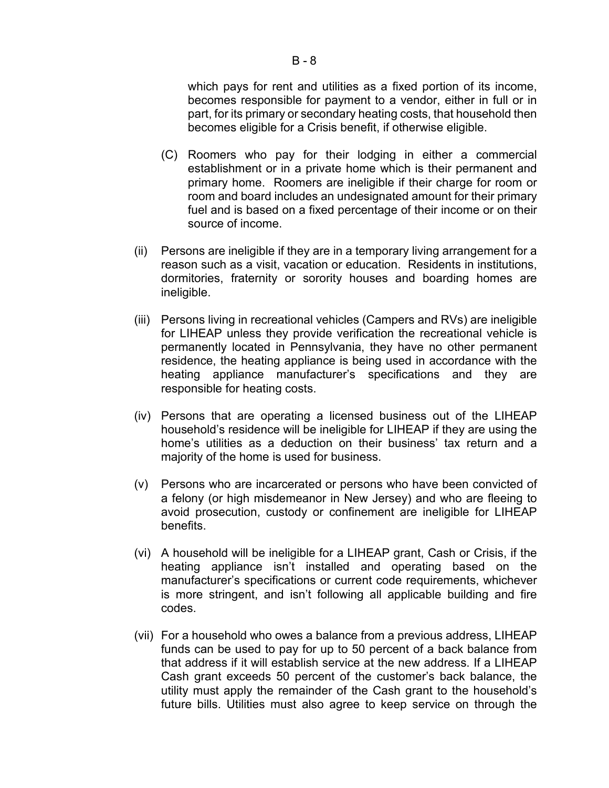### which pays for rent and utilities as a fixed portion of its income, becomes responsible for payment to a vendor, either in full or in part, for its primary or secondary heating costs, that household then becomes eligible for a Crisis benefit, if otherwise eligible.

- (C) Roomers who pay for their lodging in either a commercial establishment or in a private home which is their permanent and primary home. Roomers are ineligible if their charge for room or room and board includes an undesignated amount for their primary fuel and is based on a fixed percentage of their income or on their source of income.
- (ii) Persons are ineligible if they are in a temporary living arrangement for a reason such as a visit, vacation or education. Residents in institutions, dormitories, fraternity or sorority houses and boarding homes are ineligible.
- (iii) Persons living in recreational vehicles (Campers and RVs) are ineligible for LIHEAP unless they provide verification the recreational vehicle is permanently located in Pennsylvania, they have no other permanent residence, the heating appliance is being used in accordance with the heating appliance manufacturer's specifications and they are responsible for heating costs.
- (iv) Persons that are operating a licensed business out of the LIHEAP household's residence will be ineligible for LIHEAP if they are using the home's utilities as a deduction on their business' tax return and a majority of the home is used for business.
- (v) Persons who are incarcerated or persons who have been convicted of a felony (or high misdemeanor in New Jersey) and who are fleeing to avoid prosecution, custody or confinement are ineligible for LIHEAP benefits.
- (vi) A household will be ineligible for a LIHEAP grant, Cash or Crisis, if the heating appliance isn't installed and operating based on the manufacturer's specifications or current code requirements, whichever is more stringent, and isn't following all applicable building and fire codes.
- (vii) For a household who owes a balance from a previous address, LIHEAP funds can be used to pay for up to 50 percent of a back balance from that address if it will establish service at the new address. If a LIHEAP Cash grant exceeds 50 percent of the customer's back balance, the utility must apply the remainder of the Cash grant to the household's future bills. Utilities must also agree to keep service on through the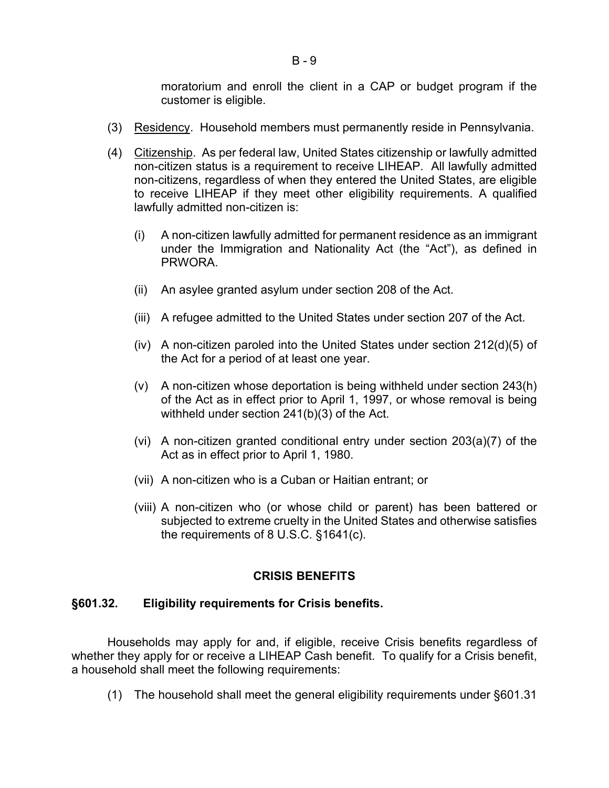moratorium and enroll the client in a CAP or budget program if the customer is eligible.

- (3) Residency. Household members must permanently reside in Pennsylvania.
- (4) Citizenship. As per federal law, United States citizenship or lawfully admitted non-citizen status is a requirement to receive LIHEAP. All lawfully admitted non-citizens, regardless of when they entered the United States, are eligible to receive LIHEAP if they meet other eligibility requirements. A qualified lawfully admitted non-citizen is:
	- (i) A non-citizen lawfully admitted for permanent residence as an immigrant under the Immigration and Nationality Act (the "Act"), as defined in **PRWORA**
	- (ii) An asylee granted asylum under section 208 of the Act.
	- (iii) A refugee admitted to the United States under section 207 of the Act.
	- (iv) A non-citizen paroled into the United States under section 212(d)(5) of the Act for a period of at least one year.
	- (v) A non-citizen whose deportation is being withheld under section 243(h) of the Act as in effect prior to April 1, 1997, or whose removal is being withheld under section 241(b)(3) of the Act.
	- (vi) A non-citizen granted conditional entry under section 203(a)(7) of the Act as in effect prior to April 1, 1980.
	- (vii) A non-citizen who is a Cuban or Haitian entrant; or
	- (viii) A non-citizen who (or whose child or parent) has been battered or subjected to extreme cruelty in the United States and otherwise satisfies the requirements of 8 U.S.C. §1641(c).

# **CRISIS BENEFITS**

# **§601.32. Eligibility requirements for Crisis benefits.**

Households may apply for and, if eligible, receive Crisis benefits regardless of whether they apply for or receive a LIHEAP Cash benefit. To qualify for a Crisis benefit, a household shall meet the following requirements:

(1) The household shall meet the general eligibility requirements under §601.31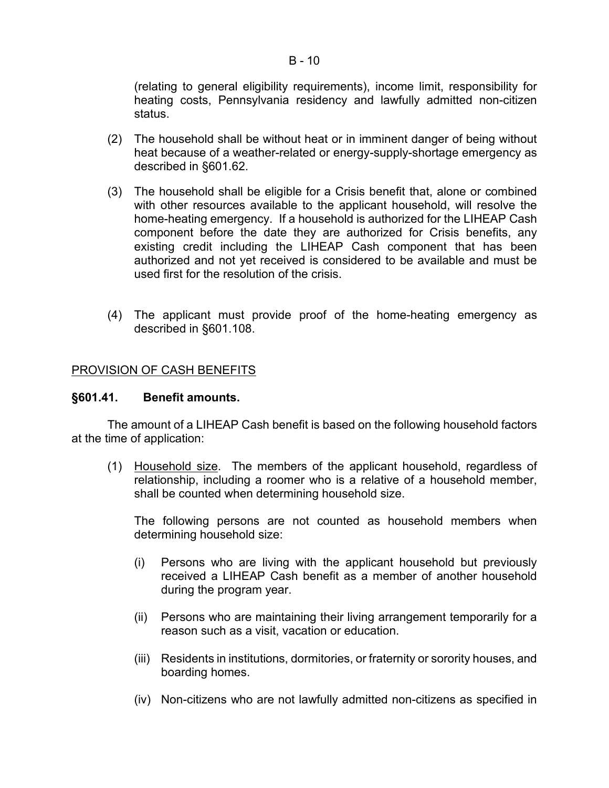# (relating to general eligibility requirements), income limit, responsibility for heating costs, Pennsylvania residency and lawfully admitted non-citizen status.

- (2) The household shall be without heat or in imminent danger of being without heat because of a weather-related or energy-supply-shortage emergency as described in §601.62.
- (3) The household shall be eligible for a Crisis benefit that, alone or combined with other resources available to the applicant household, will resolve the home-heating emergency. If a household is authorized for the LIHEAP Cash component before the date they are authorized for Crisis benefits, any existing credit including the LIHEAP Cash component that has been authorized and not yet received is considered to be available and must be used first for the resolution of the crisis.
- (4) The applicant must provide proof of the home-heating emergency as described in §601.108.

# PROVISION OF CASH BENEFITS

## **§601.41. Benefit amounts.**

The amount of a LIHEAP Cash benefit is based on the following household factors at the time of application:

(1) Household size. The members of the applicant household, regardless of relationship, including a roomer who is a relative of a household member, shall be counted when determining household size.

The following persons are not counted as household members when determining household size:

- (i) Persons who are living with the applicant household but previously received a LIHEAP Cash benefit as a member of another household during the program year.
- (ii) Persons who are maintaining their living arrangement temporarily for a reason such as a visit, vacation or education.
- (iii) Residents in institutions, dormitories, or fraternity or sorority houses, and boarding homes.
- (iv) Non-citizens who are not lawfully admitted non-citizens as specified in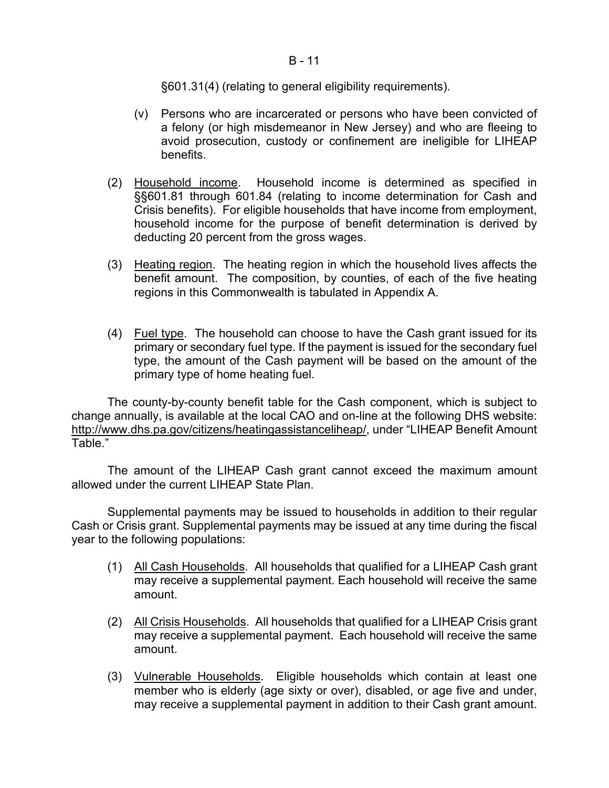### $B - 11$

§601.31(4) (relating to general eligibility requirements).

- (v) Persons who are incarcerated or persons who have been convicted of a felony (or high misdemeanor in New Jersey) and who are fleeing to avoid prosecution, custody or confinement are ineligible for LIHEAP benefits.
- (2) Household income. Household income is determined as specified in §§601.81 through 601.84 (relating to income determination for Cash and Crisis benefits). For eligible households that have income from employment, household income for the purpose of benefit determination is derived by deducting 20 percent from the gross wages.
- (3) Heating region. The heating region in which the household lives affects the benefit amount. The composition, by counties, of each of the five heating regions in this Commonwealth is tabulated in Appendix A.
- (4) Fuel type. The household can choose to have the Cash grant issued for its primary or secondary fuel type. If the payment is issued for the secondary fuel type, the amount of the Cash payment will be based on the amount of the primary type of home heating fuel.

The county-by-county benefit table for the Cash component, which is subject to change annually, is available at the local CAO and on-line at the following DHS website: http://www.dhs.pa.gov/citizens/heatingassistanceliheap/, under "LIHEAP Benefit Amount Table."

The amount of the LIHEAP Cash grant cannot exceed the maximum amount allowed under the current LIHEAP State Plan.

Supplemental payments may be issued to households in addition to their regular Cash or Crisis grant. Supplemental payments may be issued at any time during the fiscal year to the following populations:

- (1) All Cash Households. All households that qualified for a LIHEAP Cash grant may receive a supplemental payment. Each household will receive the same amount.
- (2) All Crisis Households. All households that qualified for a LIHEAP Crisis grant may receive a supplemental payment. Each household will receive the same amount.
- (3) Vulnerable Households. Eligible households which contain at least one member who is elderly (age sixty or over), disabled, or age five and under, may receive a supplemental payment in addition to their Cash grant amount.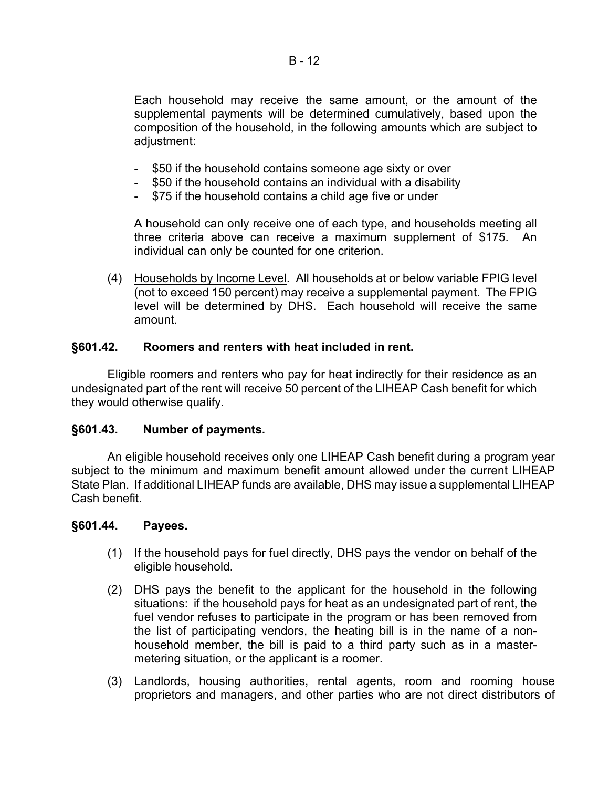Each household may receive the same amount, or the amount of the supplemental payments will be determined cumulatively, based upon the composition of the household, in the following amounts which are subject to adjustment:

- \$50 if the household contains someone age sixty or over
- \$50 if the household contains an individual with a disability
- \$75 if the household contains a child age five or under

A household can only receive one of each type, and households meeting all three criteria above can receive a maximum supplement of \$175. An individual can only be counted for one criterion.

(4) Households by Income Level. All households at or below variable FPIG level (not to exceed 150 percent) may receive a supplemental payment. The FPIG level will be determined by DHS. Each household will receive the same amount.

### **§601.42. Roomers and renters with heat included in rent.**

Eligible roomers and renters who pay for heat indirectly for their residence as an undesignated part of the rent will receive 50 percent of the LIHEAP Cash benefit for which they would otherwise qualify.

### **§601.43. Number of payments.**

An eligible household receives only one LIHEAP Cash benefit during a program year subject to the minimum and maximum benefit amount allowed under the current LIHEAP State Plan. If additional LIHEAP funds are available, DHS may issue a supplemental LIHEAP Cash benefit.

### **§601.44. Payees.**

- (1) If the household pays for fuel directly, DHS pays the vendor on behalf of the eligible household.
- (2) DHS pays the benefit to the applicant for the household in the following situations: if the household pays for heat as an undesignated part of rent, the fuel vendor refuses to participate in the program or has been removed from the list of participating vendors, the heating bill is in the name of a nonhousehold member, the bill is paid to a third party such as in a mastermetering situation, or the applicant is a roomer.
- (3) Landlords, housing authorities, rental agents, room and rooming house proprietors and managers, and other parties who are not direct distributors of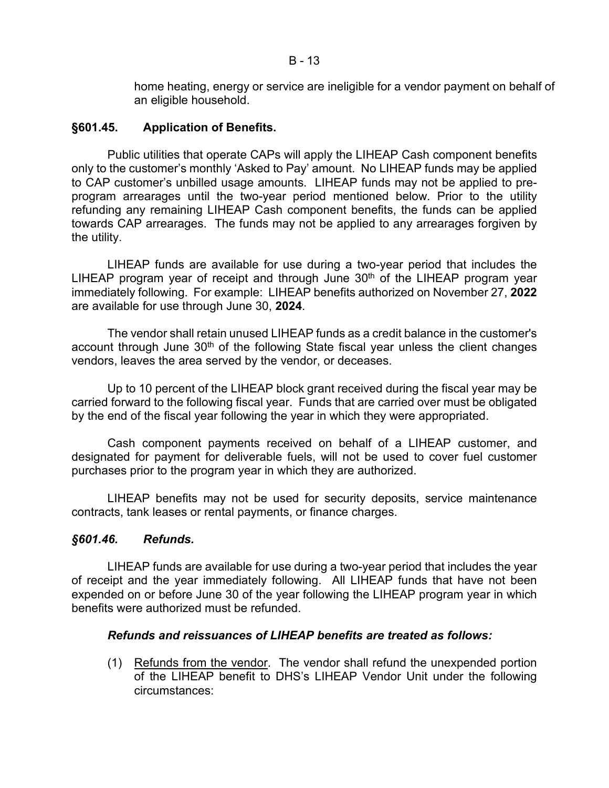home heating, energy or service are ineligible for a vendor payment on behalf of an eligible household.

# **§601.45. Application of Benefits.**

Public utilities that operate CAPs will apply the LIHEAP Cash component benefits only to the customer's monthly 'Asked to Pay' amount. No LIHEAP funds may be applied to CAP customer's unbilled usage amounts. LIHEAP funds may not be applied to preprogram arrearages until the two-year period mentioned below. Prior to the utility refunding any remaining LIHEAP Cash component benefits, the funds can be applied towards CAP arrearages. The funds may not be applied to any arrearages forgiven by the utility.

LIHEAP funds are available for use during a two-year period that includes the LIHEAP program year of receipt and through June  $30<sup>th</sup>$  of the LIHEAP program year immediately following. For example: LIHEAP benefits authorized on November 27, **2022** are available for use through June 30, **2024**.

The vendor shall retain unused LIHEAP funds as a credit balance in the customer's account through June  $30<sup>th</sup>$  of the following State fiscal year unless the client changes vendors, leaves the area served by the vendor, or deceases.

Up to 10 percent of the LIHEAP block grant received during the fiscal year may be carried forward to the following fiscal year. Funds that are carried over must be obligated by the end of the fiscal year following the year in which they were appropriated.

Cash component payments received on behalf of a LIHEAP customer, and designated for payment for deliverable fuels, will not be used to cover fuel customer purchases prior to the program year in which they are authorized.

LIHEAP benefits may not be used for security deposits, service maintenance contracts, tank leases or rental payments, or finance charges.

# *§601.46. Refunds.*

LIHEAP funds are available for use during a two-year period that includes the year of receipt and the year immediately following. All LIHEAP funds that have not been expended on or before June 30 of the year following the LIHEAP program year in which benefits were authorized must be refunded.

# *Refunds and reissuances of LIHEAP benefits are treated as follows:*

(1) Refunds from the vendor. The vendor shall refund the unexpended portion of the LIHEAP benefit to DHS's LIHEAP Vendor Unit under the following circumstances: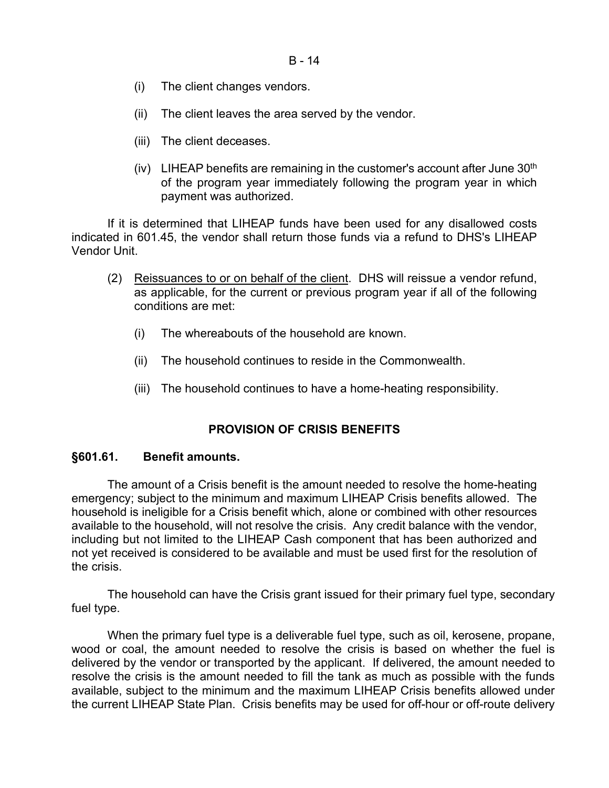- (i) The client changes vendors.
- (ii) The client leaves the area served by the vendor.
- (iii) The client deceases.
- (iv) LIHEAP benefits are remaining in the customer's account after June  $30<sup>th</sup>$ of the program year immediately following the program year in which payment was authorized.

If it is determined that LIHEAP funds have been used for any disallowed costs indicated in 601.45, the vendor shall return those funds via a refund to DHS's LIHEAP Vendor Unit.

- (2) Reissuances to or on behalf of the client. DHS will reissue a vendor refund, as applicable, for the current or previous program year if all of the following conditions are met:
	- (i) The whereabouts of the household are known.
	- (ii) The household continues to reside in the Commonwealth.
	- (iii) The household continues to have a home-heating responsibility.

# **PROVISION OF CRISIS BENEFITS**

### **§601.61. Benefit amounts.**

The amount of a Crisis benefit is the amount needed to resolve the home-heating emergency; subject to the minimum and maximum LIHEAP Crisis benefits allowed. The household is ineligible for a Crisis benefit which, alone or combined with other resources available to the household, will not resolve the crisis. Any credit balance with the vendor, including but not limited to the LIHEAP Cash component that has been authorized and not yet received is considered to be available and must be used first for the resolution of the crisis.

The household can have the Crisis grant issued for their primary fuel type, secondary fuel type.

When the primary fuel type is a deliverable fuel type, such as oil, kerosene, propane, wood or coal, the amount needed to resolve the crisis is based on whether the fuel is delivered by the vendor or transported by the applicant. If delivered, the amount needed to resolve the crisis is the amount needed to fill the tank as much as possible with the funds available, subject to the minimum and the maximum LIHEAP Crisis benefits allowed under the current LIHEAP State Plan. Crisis benefits may be used for off-hour or off-route delivery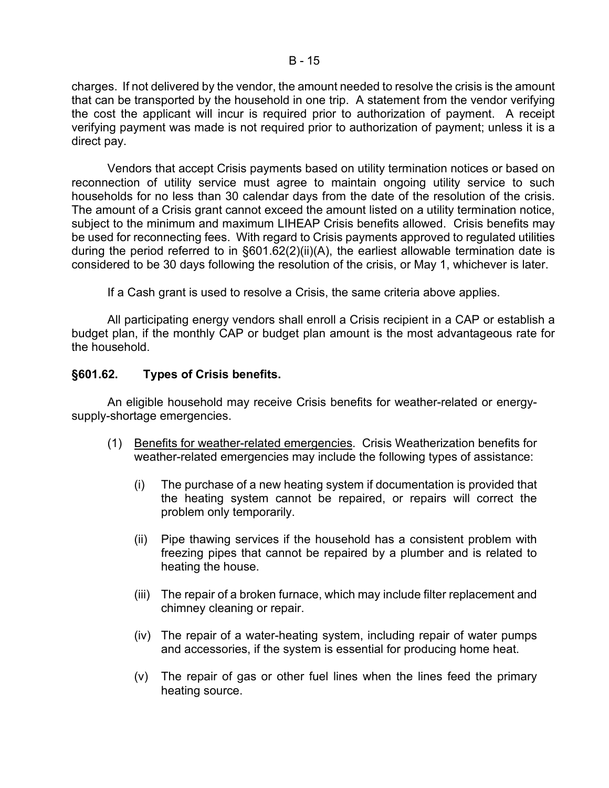charges. If not delivered by the vendor, the amount needed to resolve the crisis is the amount that can be transported by the household in one trip. A statement from the vendor verifying the cost the applicant will incur is required prior to authorization of payment. A receipt verifying payment was made is not required prior to authorization of payment; unless it is a direct pay.

Vendors that accept Crisis payments based on utility termination notices or based on reconnection of utility service must agree to maintain ongoing utility service to such households for no less than 30 calendar days from the date of the resolution of the crisis. The amount of a Crisis grant cannot exceed the amount listed on a utility termination notice, subject to the minimum and maximum LIHEAP Crisis benefits allowed. Crisis benefits may be used for reconnecting fees. With regard to Crisis payments approved to regulated utilities during the period referred to in §601.62(2)(ii)(A), the earliest allowable termination date is considered to be 30 days following the resolution of the crisis, or May 1, whichever is later.

If a Cash grant is used to resolve a Crisis, the same criteria above applies.

All participating energy vendors shall enroll a Crisis recipient in a CAP or establish a budget plan, if the monthly CAP or budget plan amount is the most advantageous rate for the household.

# **§601.62. Types of Crisis benefits.**

An eligible household may receive Crisis benefits for weather-related or energysupply-shortage emergencies.

- (1) Benefits for weather-related emergencies. Crisis Weatherization benefits for weather-related emergencies may include the following types of assistance:
	- (i) The purchase of a new heating system if documentation is provided that the heating system cannot be repaired, or repairs will correct the problem only temporarily.
	- (ii) Pipe thawing services if the household has a consistent problem with freezing pipes that cannot be repaired by a plumber and is related to heating the house.
	- (iii) The repair of a broken furnace, which may include filter replacement and chimney cleaning or repair.
	- (iv) The repair of a water-heating system, including repair of water pumps and accessories, if the system is essential for producing home heat.
	- (v) The repair of gas or other fuel lines when the lines feed the primary heating source.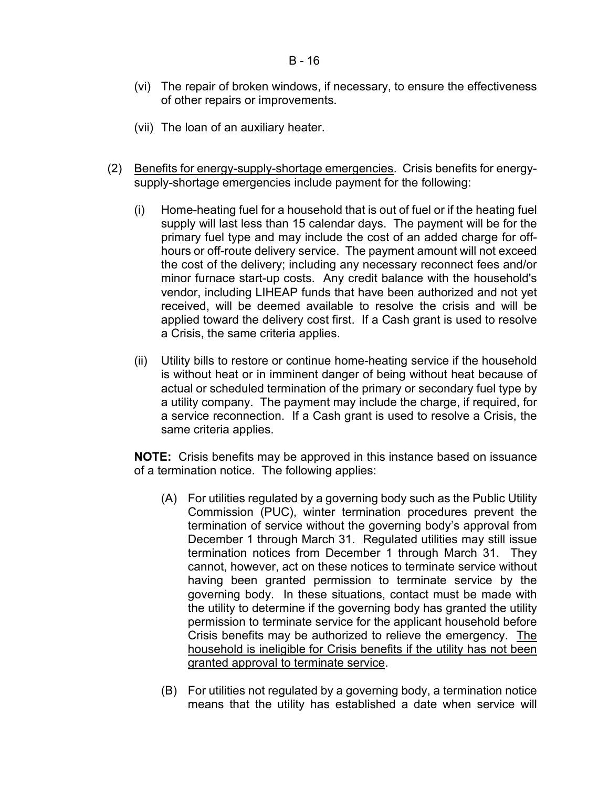- (vi) The repair of broken windows, if necessary, to ensure the effectiveness of other repairs or improvements.
- (vii) The loan of an auxiliary heater.
- (2) Benefits for energy-supply-shortage emergencies. Crisis benefits for energysupply-shortage emergencies include payment for the following:
	- (i) Home-heating fuel for a household that is out of fuel or if the heating fuel supply will last less than 15 calendar days. The payment will be for the primary fuel type and may include the cost of an added charge for offhours or off-route delivery service. The payment amount will not exceed the cost of the delivery; including any necessary reconnect fees and/or minor furnace start-up costs. Any credit balance with the household's vendor, including LIHEAP funds that have been authorized and not yet received, will be deemed available to resolve the crisis and will be applied toward the delivery cost first. If a Cash grant is used to resolve a Crisis, the same criteria applies.
	- (ii) Utility bills to restore or continue home-heating service if the household is without heat or in imminent danger of being without heat because of actual or scheduled termination of the primary or secondary fuel type by a utility company. The payment may include the charge, if required, for a service reconnection. If a Cash grant is used to resolve a Crisis, the same criteria applies.

**NOTE:** Crisis benefits may be approved in this instance based on issuance of a termination notice. The following applies:

- (A) For utilities regulated by a governing body such as the Public Utility Commission (PUC), winter termination procedures prevent the termination of service without the governing body's approval from December 1 through March 31. Regulated utilities may still issue termination notices from December 1 through March 31. They cannot, however, act on these notices to terminate service without having been granted permission to terminate service by the governing body. In these situations, contact must be made with the utility to determine if the governing body has granted the utility permission to terminate service for the applicant household before Crisis benefits may be authorized to relieve the emergency. The household is ineligible for Crisis benefits if the utility has not been granted approval to terminate service.
- (B) For utilities not regulated by a governing body, a termination notice means that the utility has established a date when service will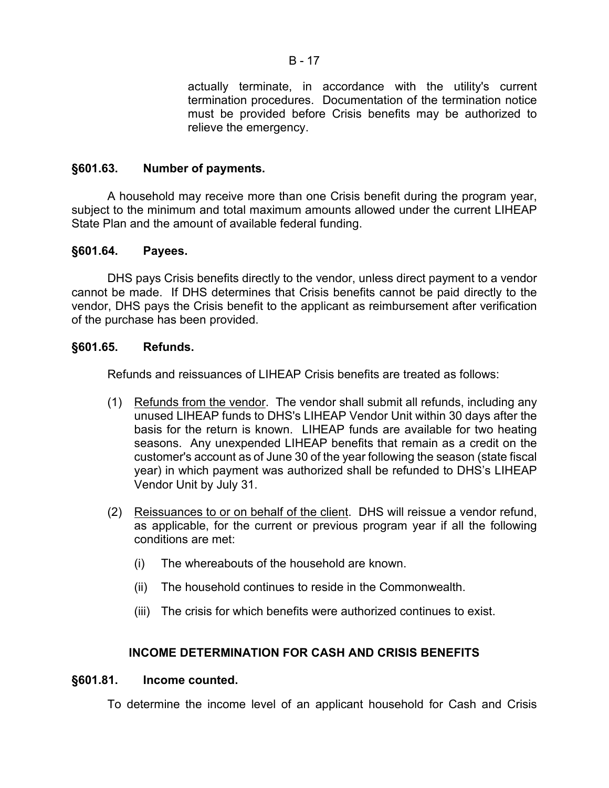actually terminate, in accordance with the utility's current termination procedures. Documentation of the termination notice must be provided before Crisis benefits may be authorized to relieve the emergency.

# **§601.63. Number of payments.**

A household may receive more than one Crisis benefit during the program year, subject to the minimum and total maximum amounts allowed under the current LIHEAP State Plan and the amount of available federal funding.

# **§601.64. Payees.**

DHS pays Crisis benefits directly to the vendor, unless direct payment to a vendor cannot be made. If DHS determines that Crisis benefits cannot be paid directly to the vendor, DHS pays the Crisis benefit to the applicant as reimbursement after verification of the purchase has been provided.

# **§601.65. Refunds.**

Refunds and reissuances of LIHEAP Crisis benefits are treated as follows:

- (1) Refunds from the vendor. The vendor shall submit all refunds, including any unused LIHEAP funds to DHS's LIHEAP Vendor Unit within 30 days after the basis for the return is known. LIHEAP funds are available for two heating seasons. Any unexpended LIHEAP benefits that remain as a credit on the customer's account as of June 30 of the year following the season (state fiscal year) in which payment was authorized shall be refunded to DHS's LIHEAP Vendor Unit by July 31.
- (2) Reissuances to or on behalf of the client. DHS will reissue a vendor refund, as applicable, for the current or previous program year if all the following conditions are met:
	- (i) The whereabouts of the household are known.
	- (ii) The household continues to reside in the Commonwealth.
	- (iii) The crisis for which benefits were authorized continues to exist.

# **INCOME DETERMINATION FOR CASH AND CRISIS BENEFITS**

# **§601.81. Income counted.**

To determine the income level of an applicant household for Cash and Crisis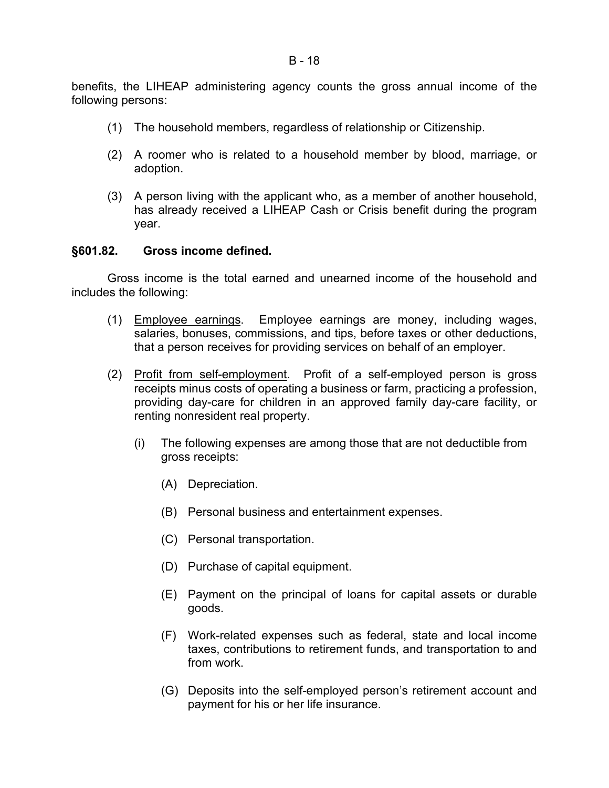benefits, the LIHEAP administering agency counts the gross annual income of the following persons:

- (1) The household members, regardless of relationship or Citizenship.
- (2) A roomer who is related to a household member by blood, marriage, or adoption.
- (3) A person living with the applicant who, as a member of another household, has already received a LIHEAP Cash or Crisis benefit during the program year.

### **§601.82. Gross income defined.**

Gross income is the total earned and unearned income of the household and includes the following:

- (1) Employee earnings. Employee earnings are money, including wages, salaries, bonuses, commissions, and tips, before taxes or other deductions, that a person receives for providing services on behalf of an employer.
- (2) Profit from self-employment. Profit of a self-employed person is gross receipts minus costs of operating a business or farm, practicing a profession, providing day-care for children in an approved family day-care facility, or renting nonresident real property.
	- (i) The following expenses are among those that are not deductible from gross receipts:
		- (A) Depreciation.
		- (B) Personal business and entertainment expenses.
		- (C) Personal transportation.
		- (D) Purchase of capital equipment.
		- (E) Payment on the principal of loans for capital assets or durable goods.
		- (F) Work-related expenses such as federal, state and local income taxes, contributions to retirement funds, and transportation to and from work.
		- (G) Deposits into the self-employed person's retirement account and payment for his or her life insurance.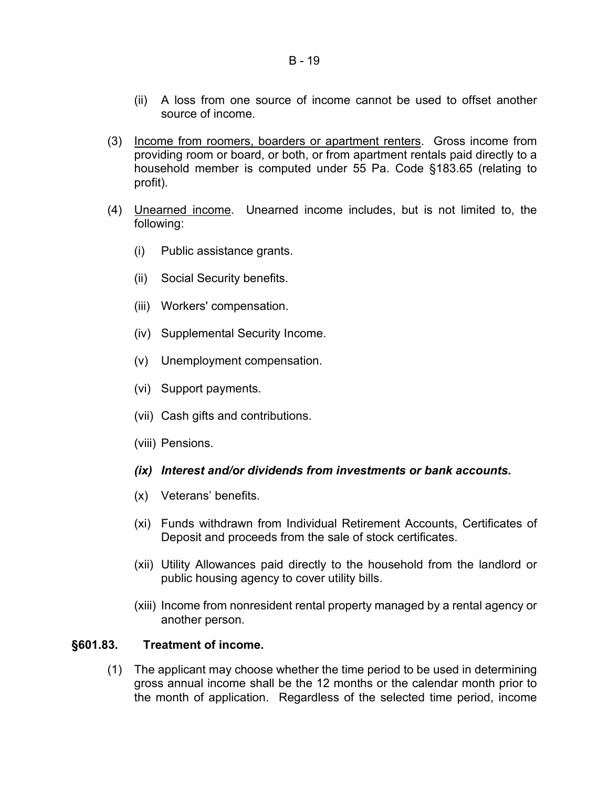- (ii) A loss from one source of income cannot be used to offset another source of income.
- (3) Income from roomers, boarders or apartment renters. Gross income from providing room or board, or both, or from apartment rentals paid directly to a household member is computed under 55 Pa. Code §183.65 (relating to profit).
- (4) Unearned income. Unearned income includes, but is not limited to, the following:
	- (i) Public assistance grants.
	- (ii) Social Security benefits.
	- (iii) Workers' compensation.
	- (iv) Supplemental Security Income.
	- (v) Unemployment compensation.
	- (vi) Support payments.
	- (vii) Cash gifts and contributions.
	- (viii) Pensions.

### *(ix) Interest and/or dividends from investments or bank accounts.*

- (x) Veterans' benefits.
- (xi) Funds withdrawn from Individual Retirement Accounts, Certificates of Deposit and proceeds from the sale of stock certificates.
- (xii) Utility Allowances paid directly to the household from the landlord or public housing agency to cover utility bills.
- (xiii) Income from nonresident rental property managed by a rental agency or another person.

### **§601.83. Treatment of income.**

(1) The applicant may choose whether the time period to be used in determining gross annual income shall be the 12 months or the calendar month prior to the month of application. Regardless of the selected time period, income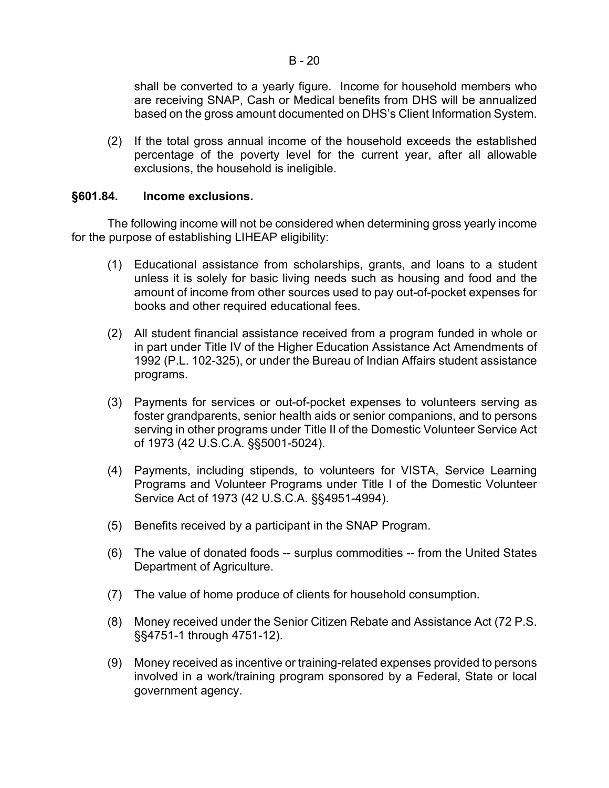(2) If the total gross annual income of the household exceeds the established percentage of the poverty level for the current year, after all allowable exclusions, the household is ineligible.

# **§601.84. Income exclusions.**

The following income will not be considered when determining gross yearly income for the purpose of establishing LIHEAP eligibility:

- (1) Educational assistance from scholarships, grants, and loans to a student unless it is solely for basic living needs such as housing and food and the amount of income from other sources used to pay out-of-pocket expenses for books and other required educational fees.
- (2) All student financial assistance received from a program funded in whole or in part under Title IV of the Higher Education Assistance Act Amendments of 1992 (P.L. 102-325), or under the Bureau of Indian Affairs student assistance programs.
- (3) Payments for services or out-of-pocket expenses to volunteers serving as foster grandparents, senior health aids or senior companions, and to persons serving in other programs under Title II of the Domestic Volunteer Service Act of 1973 (42 U.S.C.A. §§5001-5024).
- (4) Payments, including stipends, to volunteers for VISTA, Service Learning Programs and Volunteer Programs under Title I of the Domestic Volunteer Service Act of 1973 (42 U.S.C.A. §§4951-4994).
- (5) Benefits received by a participant in the SNAP Program.
- (6) The value of donated foods -- surplus commodities -- from the United States Department of Agriculture.
- (7) The value of home produce of clients for household consumption.
- (8) Money received under the Senior Citizen Rebate and Assistance Act (72 P.S. §§4751-1 through 4751-12).
- (9) Money received as incentive or training-related expenses provided to persons involved in a work/training program sponsored by a Federal, State or local government agency.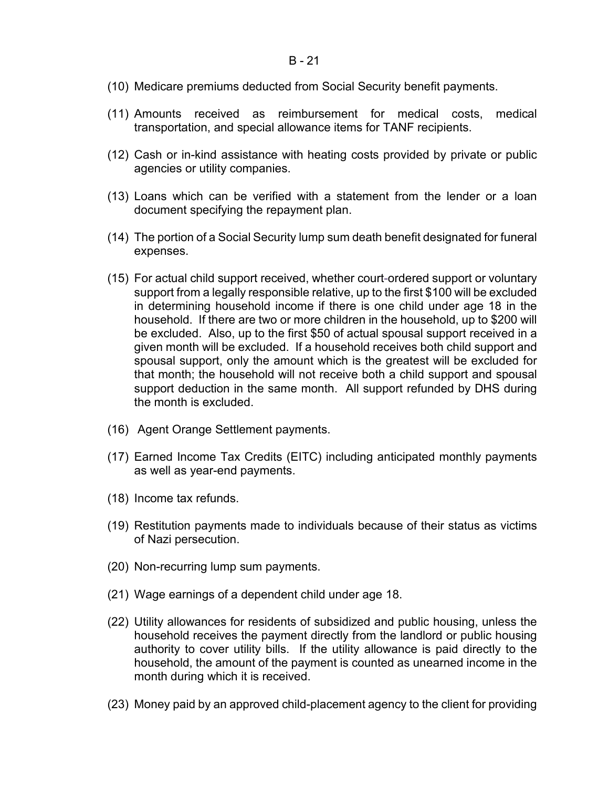- (10) Medicare premiums deducted from Social Security benefit payments.
- (11) Amounts received as reimbursement for medical costs, medical transportation, and special allowance items for TANF recipients.
- (12) Cash or in-kind assistance with heating costs provided by private or public agencies or utility companies.
- (13) Loans which can be verified with a statement from the lender or a loan document specifying the repayment plan.
- (14) The portion of a Social Security lump sum death benefit designated for funeral expenses.
- (15) For actual child support received, whether court-ordered support or voluntary support from a legally responsible relative, up to the first \$100 will be excluded in determining household income if there is one child under age 18 in the household. If there are two or more children in the household, up to \$200 will be excluded. Also, up to the first \$50 of actual spousal support received in a given month will be excluded. If a household receives both child support and spousal support, only the amount which is the greatest will be excluded for that month; the household will not receive both a child support and spousal support deduction in the same month. All support refunded by DHS during the month is excluded.
- (16) Agent Orange Settlement payments.
- (17) Earned Income Tax Credits (EITC) including anticipated monthly payments as well as year-end payments.
- (18) Income tax refunds.
- (19) Restitution payments made to individuals because of their status as victims of Nazi persecution.
- (20) Non-recurring lump sum payments.
- (21) Wage earnings of a dependent child under age 18.
- (22) Utility allowances for residents of subsidized and public housing, unless the household receives the payment directly from the landlord or public housing authority to cover utility bills. If the utility allowance is paid directly to the household, the amount of the payment is counted as unearned income in the month during which it is received.
- (23) Money paid by an approved child-placement agency to the client for providing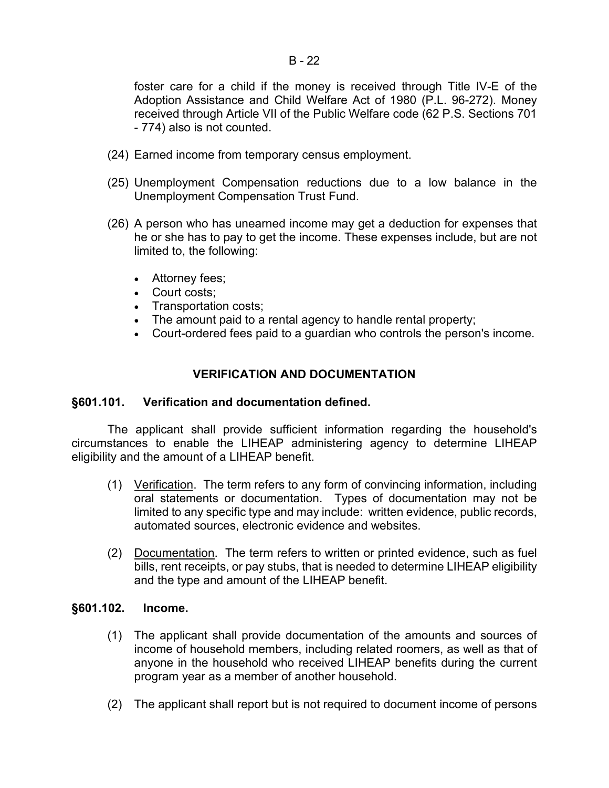foster care for a child if the money is received through Title IV-E of the Adoption Assistance and Child Welfare Act of 1980 (P.L. 96-272). Money received through Article VII of the Public Welfare code (62 P.S. Sections 701 - 774) also is not counted.

- (24) Earned income from temporary census employment.
- (25) Unemployment Compensation reductions due to a low balance in the Unemployment Compensation Trust Fund.
- (26) A person who has unearned income may get a deduction for expenses that he or she has to pay to get the income. These expenses include, but are not limited to, the following:
	- Attorney fees;
	- Court costs:
	- Transportation costs;
	- The amount paid to a rental agency to handle rental property;
	- Court-ordered fees paid to a guardian who controls the person's income.

# **VERIFICATION AND DOCUMENTATION**

### **§601.101. Verification and documentation defined.**

The applicant shall provide sufficient information regarding the household's circumstances to enable the LIHEAP administering agency to determine LIHEAP eligibility and the amount of a LIHEAP benefit.

- (1) Verification. The term refers to any form of convincing information, including oral statements or documentation. Types of documentation may not be limited to any specific type and may include: written evidence, public records, automated sources, electronic evidence and websites.
- (2) Documentation. The term refers to written or printed evidence, such as fuel bills, rent receipts, or pay stubs, that is needed to determine LIHEAP eligibility and the type and amount of the LIHEAP benefit.

### **§601.102. Income.**

- (1) The applicant shall provide documentation of the amounts and sources of income of household members, including related roomers, as well as that of anyone in the household who received LIHEAP benefits during the current program year as a member of another household.
- (2) The applicant shall report but is not required to document income of persons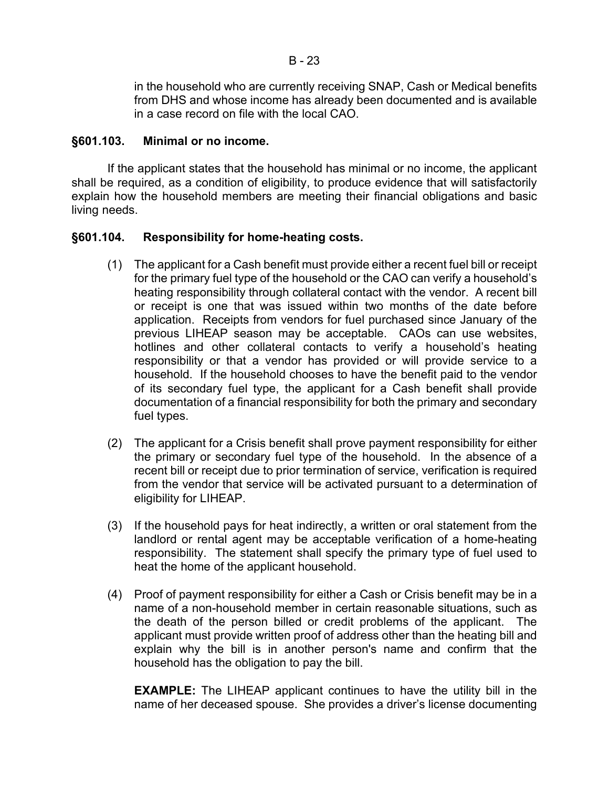in the household who are currently receiving SNAP, Cash or Medical benefits from DHS and whose income has already been documented and is available in a case record on file with the local CAO.

# **§601.103. Minimal or no income.**

If the applicant states that the household has minimal or no income, the applicant shall be required, as a condition of eligibility, to produce evidence that will satisfactorily explain how the household members are meeting their financial obligations and basic living needs.

# **§601.104. Responsibility for home-heating costs.**

- (1) The applicant for a Cash benefit must provide either a recent fuel bill or receipt for the primary fuel type of the household or the CAO can verify a household's heating responsibility through collateral contact with the vendor. A recent bill or receipt is one that was issued within two months of the date before application. Receipts from vendors for fuel purchased since January of the previous LIHEAP season may be acceptable. CAOs can use websites, hotlines and other collateral contacts to verify a household's heating responsibility or that a vendor has provided or will provide service to a household. If the household chooses to have the benefit paid to the vendor of its secondary fuel type, the applicant for a Cash benefit shall provide documentation of a financial responsibility for both the primary and secondary fuel types.
- (2) The applicant for a Crisis benefit shall prove payment responsibility for either the primary or secondary fuel type of the household. In the absence of a recent bill or receipt due to prior termination of service, verification is required from the vendor that service will be activated pursuant to a determination of eligibility for LIHEAP.
- (3) If the household pays for heat indirectly, a written or oral statement from the landlord or rental agent may be acceptable verification of a home-heating responsibility. The statement shall specify the primary type of fuel used to heat the home of the applicant household.
- (4) Proof of payment responsibility for either a Cash or Crisis benefit may be in a name of a non-household member in certain reasonable situations, such as the death of the person billed or credit problems of the applicant. The applicant must provide written proof of address other than the heating bill and explain why the bill is in another person's name and confirm that the household has the obligation to pay the bill.

**EXAMPLE:** The LIHEAP applicant continues to have the utility bill in the name of her deceased spouse. She provides a driver's license documenting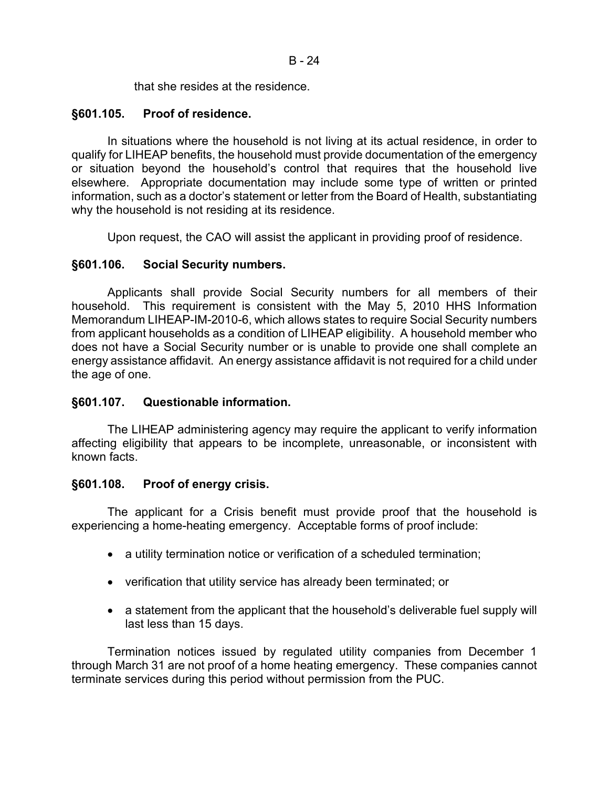that she resides at the residence.

# **§601.105. Proof of residence.**

In situations where the household is not living at its actual residence, in order to qualify for LIHEAP benefits, the household must provide documentation of the emergency or situation beyond the household's control that requires that the household live elsewhere. Appropriate documentation may include some type of written or printed information, such as a doctor's statement or letter from the Board of Health, substantiating why the household is not residing at its residence.

Upon request, the CAO will assist the applicant in providing proof of residence.

# **§601.106. Social Security numbers.**

Applicants shall provide Social Security numbers for all members of their household. This requirement is consistent with the May 5, 2010 HHS Information Memorandum LIHEAP-IM-2010-6, which allows states to require Social Security numbers from applicant households as a condition of LIHEAP eligibility. A household member who does not have a Social Security number or is unable to provide one shall complete an energy assistance affidavit. An energy assistance affidavit is not required for a child under the age of one.

# **§601.107. Questionable information.**

The LIHEAP administering agency may require the applicant to verify information affecting eligibility that appears to be incomplete, unreasonable, or inconsistent with known facts.

# **§601.108. Proof of energy crisis.**

The applicant for a Crisis benefit must provide proof that the household is experiencing a home-heating emergency. Acceptable forms of proof include:

- a utility termination notice or verification of a scheduled termination;
- verification that utility service has already been terminated; or
- a statement from the applicant that the household's deliverable fuel supply will last less than 15 days.

Termination notices issued by regulated utility companies from December 1 through March 31 are not proof of a home heating emergency. These companies cannot terminate services during this period without permission from the PUC.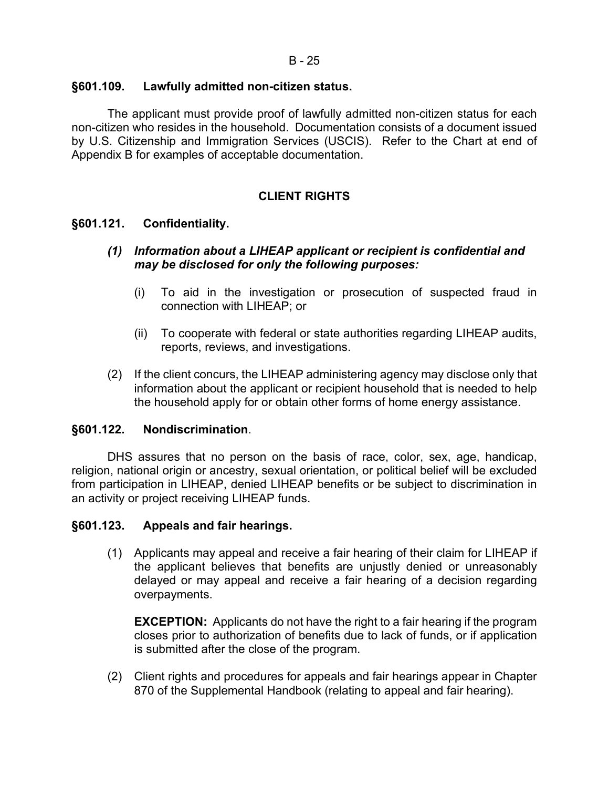# **§601.109. Lawfully admitted non-citizen status.**

The applicant must provide proof of lawfully admitted non-citizen status for each non-citizen who resides in the household. Documentation consists of a document issued by U.S. Citizenship and Immigration Services (USCIS). Refer to the Chart at end of Appendix B for examples of acceptable documentation.

# **CLIENT RIGHTS**

# **§601.121. Confidentiality.**

## *(1) Information about a LIHEAP applicant or recipient is confidential and may be disclosed for only the following purposes:*

- (i) To aid in the investigation or prosecution of suspected fraud in connection with LIHEAP; or
- (ii) To cooperate with federal or state authorities regarding LIHEAP audits, reports, reviews, and investigations.
- (2) If the client concurs, the LIHEAP administering agency may disclose only that information about the applicant or recipient household that is needed to help the household apply for or obtain other forms of home energy assistance.

# **§601.122. Nondiscrimination**.

DHS assures that no person on the basis of race, color, sex, age, handicap, religion, national origin or ancestry, sexual orientation, or political belief will be excluded from participation in LIHEAP, denied LIHEAP benefits or be subject to discrimination in an activity or project receiving LIHEAP funds.

# **§601.123. Appeals and fair hearings.**

(1) Applicants may appeal and receive a fair hearing of their claim for LIHEAP if the applicant believes that benefits are unjustly denied or unreasonably delayed or may appeal and receive a fair hearing of a decision regarding overpayments.

**EXCEPTION:** Applicants do not have the right to a fair hearing if the program closes prior to authorization of benefits due to lack of funds, or if application is submitted after the close of the program.

(2) Client rights and procedures for appeals and fair hearings appear in Chapter 870 of the Supplemental Handbook (relating to appeal and fair hearing).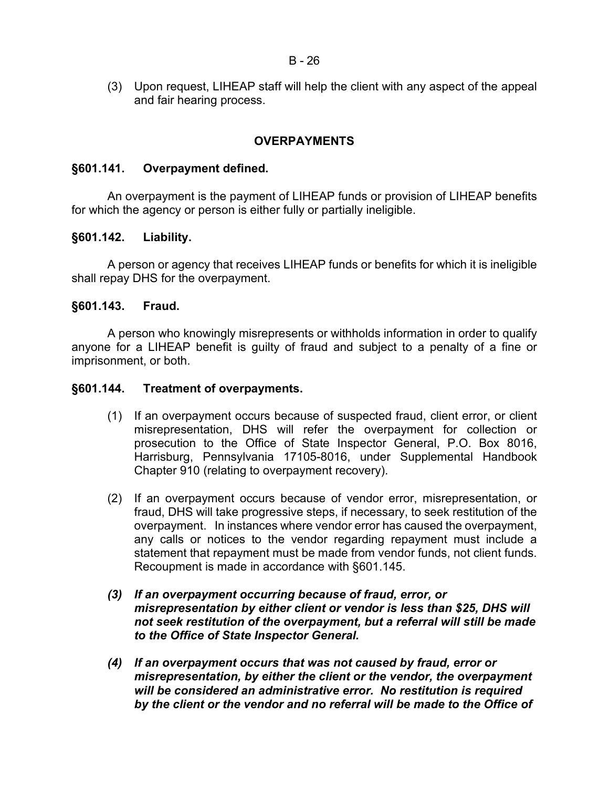(3) Upon request, LIHEAP staff will help the client with any aspect of the appeal and fair hearing process.

# **OVERPAYMENTS**

# **§601.141. Overpayment defined.**

An overpayment is the payment of LIHEAP funds or provision of LIHEAP benefits for which the agency or person is either fully or partially ineligible.

# **§601.142. Liability.**

A person or agency that receives LIHEAP funds or benefits for which it is ineligible shall repay DHS for the overpayment.

### **§601.143. Fraud.**

A person who knowingly misrepresents or withholds information in order to qualify anyone for a LIHEAP benefit is guilty of fraud and subject to a penalty of a fine or imprisonment, or both.

### **§601.144. Treatment of overpayments.**

- (1) If an overpayment occurs because of suspected fraud, client error, or client misrepresentation, DHS will refer the overpayment for collection or prosecution to the Office of State Inspector General, P.O. Box 8016, Harrisburg, Pennsylvania 17105-8016, under Supplemental Handbook Chapter 910 (relating to overpayment recovery).
- (2) If an overpayment occurs because of vendor error, misrepresentation, or fraud, DHS will take progressive steps, if necessary, to seek restitution of the overpayment. In instances where vendor error has caused the overpayment, any calls or notices to the vendor regarding repayment must include a statement that repayment must be made from vendor funds, not client funds. Recoupment is made in accordance with §601.145.
- *(3) If an overpayment occurring because of fraud, error, or misrepresentation by either client or vendor is less than \$25, DHS will not seek restitution of the overpayment, but a referral will still be made to the Office of State Inspector General.*
- *(4) If an overpayment occurs that was not caused by fraud, error or misrepresentation, by either the client or the vendor, the overpayment will be considered an administrative error. No restitution is required by the client or the vendor and no referral will be made to the Office of*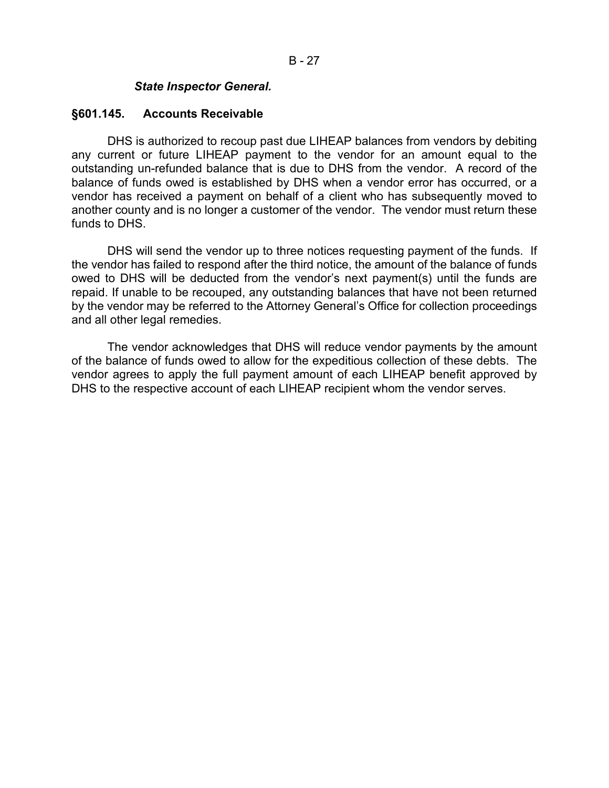### *State Inspector General.*

#### **§601.145. Accounts Receivable**

DHS is authorized to recoup past due LIHEAP balances from vendors by debiting any current or future LIHEAP payment to the vendor for an amount equal to the outstanding un-refunded balance that is due to DHS from the vendor. A record of the balance of funds owed is established by DHS when a vendor error has occurred, or a vendor has received a payment on behalf of a client who has subsequently moved to another county and is no longer a customer of the vendor. The vendor must return these funds to DHS.

DHS will send the vendor up to three notices requesting payment of the funds. If the vendor has failed to respond after the third notice, the amount of the balance of funds owed to DHS will be deducted from the vendor's next payment(s) until the funds are repaid. If unable to be recouped, any outstanding balances that have not been returned by the vendor may be referred to the Attorney General's Office for collection proceedings and all other legal remedies.

The vendor acknowledges that DHS will reduce vendor payments by the amount of the balance of funds owed to allow for the expeditious collection of these debts. The vendor agrees to apply the full payment amount of each LIHEAP benefit approved by DHS to the respective account of each LIHEAP recipient whom the vendor serves.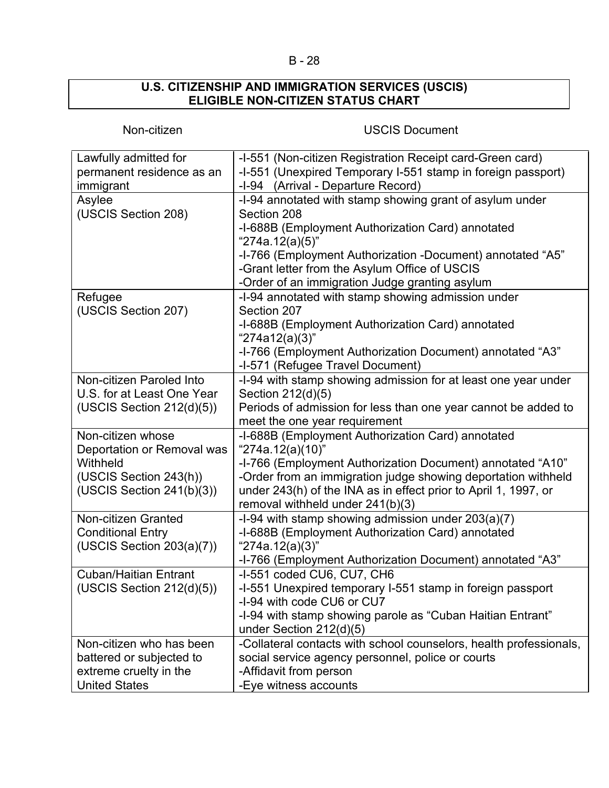# B - 28

### **U.S. CITIZENSHIP AND IMMIGRATION SERVICES (USCIS) ELIGIBLE NON-CITIZEN STATUS CHART**

# Non-citizen USCIS Document

| Lawfully admitted for        | -I-551 (Non-citizen Registration Receipt card-Green card)          |
|------------------------------|--------------------------------------------------------------------|
| permanent residence as an    | -I-551 (Unexpired Temporary I-551 stamp in foreign passport)       |
| immigrant                    | -I-94 (Arrival - Departure Record)                                 |
| Asylee                       | -I-94 annotated with stamp showing grant of asylum under           |
| (USCIS Section 208)          | Section 208                                                        |
|                              | -I-688B (Employment Authorization Card) annotated                  |
|                              | "274a.12(a)(5)"                                                    |
|                              | -I-766 (Employment Authorization -Document) annotated "A5"         |
|                              | -Grant letter from the Asylum Office of USCIS                      |
|                              | -Order of an immigration Judge granting asylum                     |
| Refugee                      | -I-94 annotated with stamp showing admission under                 |
| (USCIS Section 207)          | Section 207                                                        |
|                              | -I-688B (Employment Authorization Card) annotated                  |
|                              | "274a12(a)(3)"                                                     |
|                              | -I-766 (Employment Authorization Document) annotated "A3"          |
|                              | -I-571 (Refugee Travel Document)                                   |
| Non-citizen Paroled Into     | -I-94 with stamp showing admission for at least one year under     |
| U.S. for at Least One Year   | Section 212(d)(5)                                                  |
| (USCIS Section 212(d)(5))    | Periods of admission for less than one year cannot be added to     |
|                              | meet the one year requirement                                      |
| Non-citizen whose            | -I-688B (Employment Authorization Card) annotated                  |
| Deportation or Removal was   | "274a.12(a)(10)"                                                   |
| Withheld                     | -I-766 (Employment Authorization Document) annotated "A10"         |
| (USCIS Section 243(h))       | -Order from an immigration judge showing deportation withheld      |
| (USCIS Section 241(b)(3))    | under 243(h) of the INA as in effect prior to April 1, 1997, or    |
|                              | removal withheld under 241(b)(3)                                   |
| <b>Non-citizen Granted</b>   | -I-94 with stamp showing admission under $203(a)(7)$               |
| <b>Conditional Entry</b>     | -I-688B (Employment Authorization Card) annotated                  |
| (USCIS Section 203(a)(7))    | "274a.12(a)(3)"                                                    |
|                              | -I-766 (Employment Authorization Document) annotated "A3"          |
| <b>Cuban/Haitian Entrant</b> | -I-551 coded CU6, CU7, CH6                                         |
| (USCIS Section 212(d)(5))    | -I-551 Unexpired temporary I-551 stamp in foreign passport         |
|                              | -I-94 with code CU6 or CU7                                         |
|                              | -I-94 with stamp showing parole as "Cuban Haitian Entrant"         |
|                              | under Section 212(d)(5)                                            |
| Non-citizen who has been     | -Collateral contacts with school counselors, health professionals, |
| battered or subjected to     | social service agency personnel, police or courts                  |
| extreme cruelty in the       | -Affidavit from person                                             |
| <b>United States</b>         | -Eye witness accounts                                              |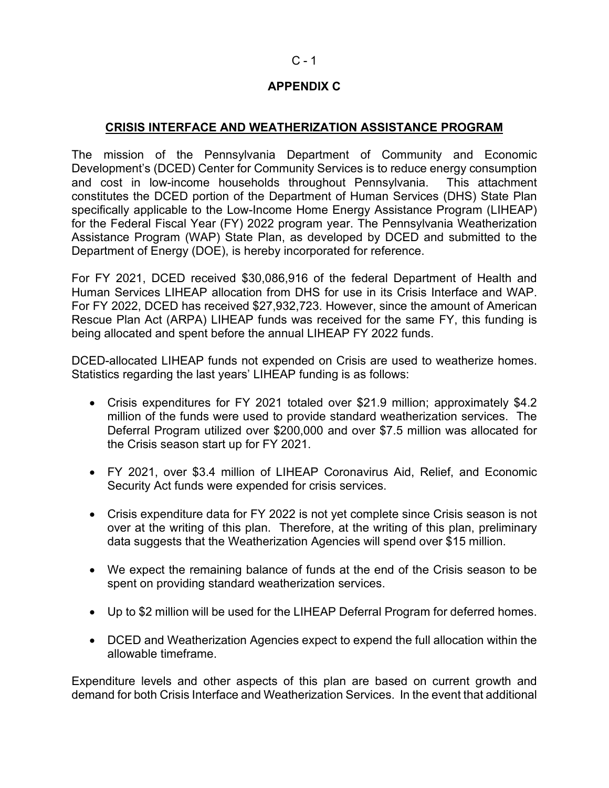# $C - 1$

# **APPENDIX C**

# **CRISIS INTERFACE AND WEATHERIZATION ASSISTANCE PROGRAM**

The mission of the Pennsylvania Department of Community and Economic Development's (DCED) Center for Community Services is to reduce energy consumption and cost in low-income households throughout Pennsylvania. This attachment constitutes the DCED portion of the Department of Human Services (DHS) State Plan specifically applicable to the Low-Income Home Energy Assistance Program (LIHEAP) for the Federal Fiscal Year (FY) 2022 program year. The Pennsylvania Weatherization Assistance Program (WAP) State Plan, as developed by DCED and submitted to the Department of Energy (DOE), is hereby incorporated for reference.

For FY 2021, DCED received \$30,086,916 of the federal Department of Health and Human Services LIHEAP allocation from DHS for use in its Crisis Interface and WAP. For FY 2022, DCED has received \$27,932,723. However, since the amount of American Rescue Plan Act (ARPA) LIHEAP funds was received for the same FY, this funding is being allocated and spent before the annual LIHEAP FY 2022 funds.

DCED-allocated LIHEAP funds not expended on Crisis are used to weatherize homes. Statistics regarding the last years' LIHEAP funding is as follows:

- Crisis expenditures for FY 2021 totaled over \$21.9 million; approximately \$4.2 million of the funds were used to provide standard weatherization services. The Deferral Program utilized over \$200,000 and over \$7.5 million was allocated for the Crisis season start up for FY 2021.
- FY 2021, over \$3.4 million of LIHEAP Coronavirus Aid, Relief, and Economic Security Act funds were expended for crisis services.
- Crisis expenditure data for FY 2022 is not yet complete since Crisis season is not over at the writing of this plan. Therefore, at the writing of this plan, preliminary data suggests that the Weatherization Agencies will spend over \$15 million.
- We expect the remaining balance of funds at the end of the Crisis season to be spent on providing standard weatherization services.
- Up to \$2 million will be used for the LIHEAP Deferral Program for deferred homes.
- DCED and Weatherization Agencies expect to expend the full allocation within the allowable timeframe.

Expenditure levels and other aspects of this plan are based on current growth and demand for both Crisis Interface and Weatherization Services. In the event that additional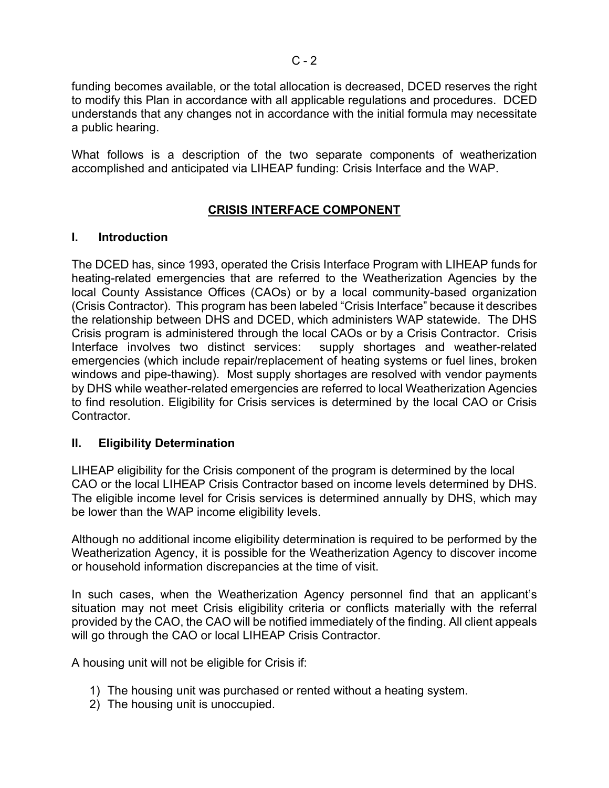funding becomes available, or the total allocation is decreased, DCED reserves the right to modify this Plan in accordance with all applicable regulations and procedures. DCED understands that any changes not in accordance with the initial formula may necessitate a public hearing.

What follows is a description of the two separate components of weatherization accomplished and anticipated via LIHEAP funding: Crisis Interface and the WAP.

# **CRISIS INTERFACE COMPONENT**

# **I. Introduction**

The DCED has, since 1993, operated the Crisis Interface Program with LIHEAP funds for heating-related emergencies that are referred to the Weatherization Agencies by the local County Assistance Offices (CAOs) or by a local community-based organization (Crisis Contractor). This program has been labeled "Crisis Interface" because it describes the relationship between DHS and DCED, which administers WAP statewide. The DHS Crisis program is administered through the local CAOs or by a Crisis Contractor. Crisis Interface involves two distinct services: supply shortages and weather-related emergencies (which include repair/replacement of heating systems or fuel lines, broken windows and pipe-thawing). Most supply shortages are resolved with vendor payments by DHS while weather-related emergencies are referred to local Weatherization Agencies to find resolution. Eligibility for Crisis services is determined by the local CAO or Crisis Contractor.

# **II. Eligibility Determination**

LIHEAP eligibility for the Crisis component of the program is determined by the local CAO or the local LIHEAP Crisis Contractor based on income levels determined by DHS. The eligible income level for Crisis services is determined annually by DHS, which may be lower than the WAP income eligibility levels.

Although no additional income eligibility determination is required to be performed by the Weatherization Agency, it is possible for the Weatherization Agency to discover income or household information discrepancies at the time of visit.

In such cases, when the Weatherization Agency personnel find that an applicant's situation may not meet Crisis eligibility criteria or conflicts materially with the referral provided by the CAO, the CAO will be notified immediately of the finding. All client appeals will go through the CAO or local LIHEAP Crisis Contractor.

A housing unit will not be eligible for Crisis if:

- 1) The housing unit was purchased or rented without a heating system.
- 2) The housing unit is unoccupied.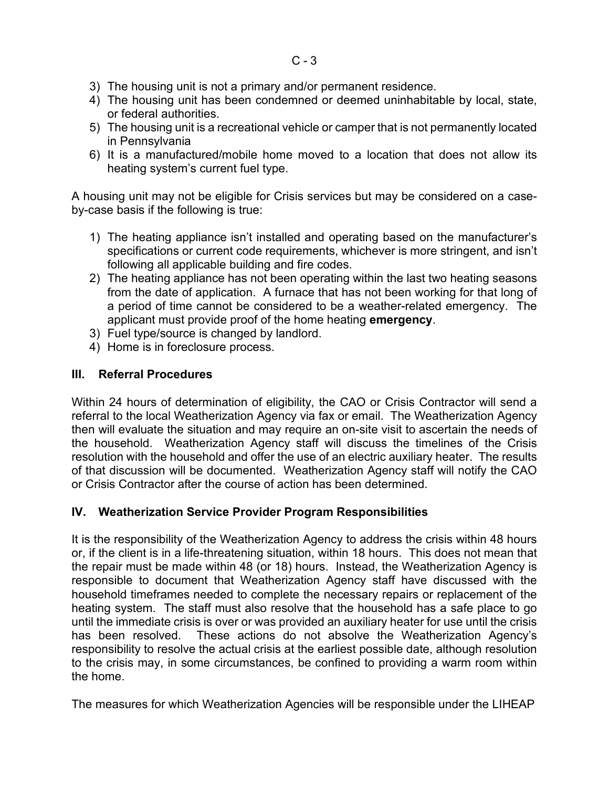- 3) The housing unit is not a primary and/or permanent residence.
- 4) The housing unit has been condemned or deemed uninhabitable by local, state, or federal authorities.
- 5) The housing unit is a recreational vehicle or camper that is not permanently located in Pennsylvania
- 6) It is a manufactured/mobile home moved to a location that does not allow its heating system's current fuel type.

A housing unit may not be eligible for Crisis services but may be considered on a caseby-case basis if the following is true:

- 1) The heating appliance isn't installed and operating based on the manufacturer's specifications or current code requirements, whichever is more stringent, and isn't following all applicable building and fire codes.
- 2) The heating appliance has not been operating within the last two heating seasons from the date of application. A furnace that has not been working for that long of a period of time cannot be considered to be a weather-related emergency. The applicant must provide proof of the home heating **emergency**.
- 3) Fuel type/source is changed by landlord.
- 4) Home is in foreclosure process.

# **III. Referral Procedures**

Within 24 hours of determination of eligibility, the CAO or Crisis Contractor will send a referral to the local Weatherization Agency via fax or email. The Weatherization Agency then will evaluate the situation and may require an on-site visit to ascertain the needs of the household. Weatherization Agency staff will discuss the timelines of the Crisis resolution with the household and offer the use of an electric auxiliary heater. The results of that discussion will be documented. Weatherization Agency staff will notify the CAO or Crisis Contractor after the course of action has been determined.

# **IV. Weatherization Service Provider Program Responsibilities**

It is the responsibility of the Weatherization Agency to address the crisis within 48 hours or, if the client is in a life-threatening situation, within 18 hours. This does not mean that the repair must be made within 48 (or 18) hours. Instead, the Weatherization Agency is responsible to document that Weatherization Agency staff have discussed with the household timeframes needed to complete the necessary repairs or replacement of the heating system. The staff must also resolve that the household has a safe place to go until the immediate crisis is over or was provided an auxiliary heater for use until the crisis has been resolved. These actions do not absolve the Weatherization Agency's responsibility to resolve the actual crisis at the earliest possible date, although resolution to the crisis may, in some circumstances, be confined to providing a warm room within the home.

The measures for which Weatherization Agencies will be responsible under the LIHEAP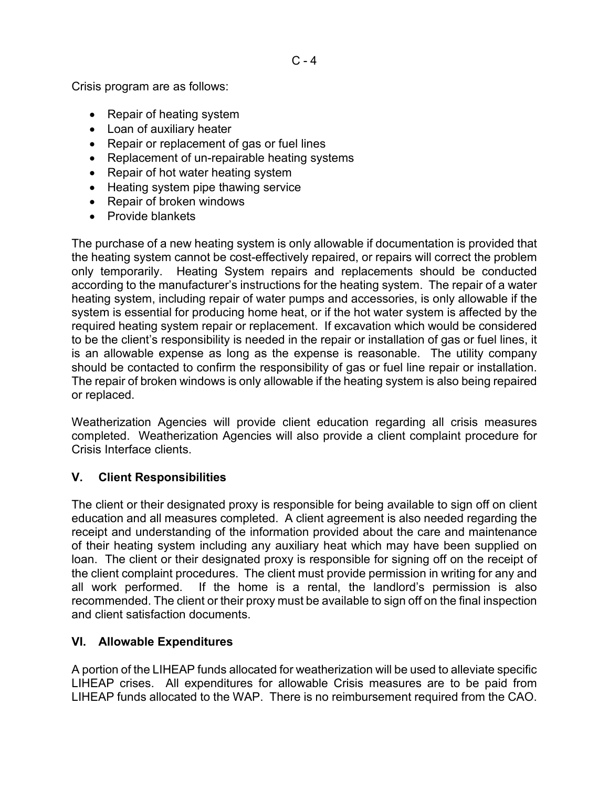Crisis program are as follows:

- Repair of heating system
- Loan of auxiliary heater
- Repair or replacement of gas or fuel lines
- Replacement of un-repairable heating systems
- Repair of hot water heating system
- Heating system pipe thawing service
- Repair of broken windows
- Provide blankets

The purchase of a new heating system is only allowable if documentation is provided that the heating system cannot be cost-effectively repaired, or repairs will correct the problem only temporarily. Heating System repairs and replacements should be conducted according to the manufacturer's instructions for the heating system. The repair of a water heating system, including repair of water pumps and accessories, is only allowable if the system is essential for producing home heat, or if the hot water system is affected by the required heating system repair or replacement. If excavation which would be considered to be the client's responsibility is needed in the repair or installation of gas or fuel lines, it is an allowable expense as long as the expense is reasonable. The utility company should be contacted to confirm the responsibility of gas or fuel line repair or installation. The repair of broken windows is only allowable if the heating system is also being repaired or replaced.

Weatherization Agencies will provide client education regarding all crisis measures completed. Weatherization Agencies will also provide a client complaint procedure for Crisis Interface clients.

# **V. Client Responsibilities**

The client or their designated proxy is responsible for being available to sign off on client education and all measures completed. A client agreement is also needed regarding the receipt and understanding of the information provided about the care and maintenance of their heating system including any auxiliary heat which may have been supplied on loan. The client or their designated proxy is responsible for signing off on the receipt of the client complaint procedures. The client must provide permission in writing for any and all work performed. If the home is a rental, the landlord's permission is also recommended. The client or their proxy must be available to sign off on the final inspection and client satisfaction documents.

# **VI. Allowable Expenditures**

A portion of the LIHEAP funds allocated for weatherization will be used to alleviate specific LIHEAP crises. All expenditures for allowable Crisis measures are to be paid from LIHEAP funds allocated to the WAP. There is no reimbursement required from the CAO.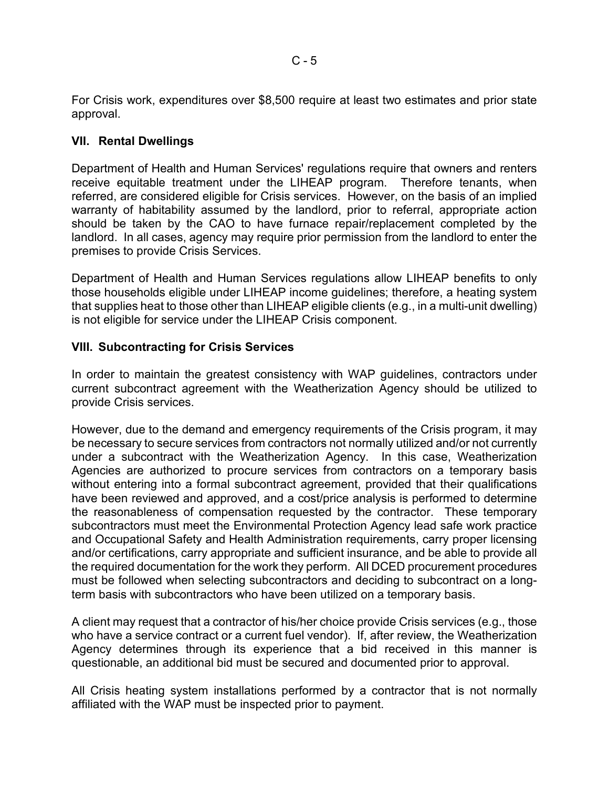For Crisis work, expenditures over \$8,500 require at least two estimates and prior state approval.

# **VII. Rental Dwellings**

Department of Health and Human Services' regulations require that owners and renters receive equitable treatment under the LIHEAP program. Therefore tenants, when referred, are considered eligible for Crisis services. However, on the basis of an implied warranty of habitability assumed by the landlord, prior to referral, appropriate action should be taken by the CAO to have furnace repair/replacement completed by the landlord. In all cases, agency may require prior permission from the landlord to enter the premises to provide Crisis Services.

Department of Health and Human Services regulations allow LIHEAP benefits to only those households eligible under LIHEAP income guidelines; therefore, a heating system that supplies heat to those other than LIHEAP eligible clients (e.g., in a multi-unit dwelling) is not eligible for service under the LIHEAP Crisis component.

# **VIII. Subcontracting for Crisis Services**

In order to maintain the greatest consistency with WAP guidelines, contractors under current subcontract agreement with the Weatherization Agency should be utilized to provide Crisis services.

However, due to the demand and emergency requirements of the Crisis program, it may be necessary to secure services from contractors not normally utilized and/or not currently under a subcontract with the Weatherization Agency. In this case, Weatherization Agencies are authorized to procure services from contractors on a temporary basis without entering into a formal subcontract agreement, provided that their qualifications have been reviewed and approved, and a cost/price analysis is performed to determine the reasonableness of compensation requested by the contractor. These temporary subcontractors must meet the Environmental Protection Agency lead safe work practice and Occupational Safety and Health Administration requirements, carry proper licensing and/or certifications, carry appropriate and sufficient insurance, and be able to provide all the required documentation for the work they perform. All DCED procurement procedures must be followed when selecting subcontractors and deciding to subcontract on a longterm basis with subcontractors who have been utilized on a temporary basis.

A client may request that a contractor of his/her choice provide Crisis services (e.g., those who have a service contract or a current fuel vendor). If, after review, the Weatherization Agency determines through its experience that a bid received in this manner is questionable, an additional bid must be secured and documented prior to approval.

All Crisis heating system installations performed by a contractor that is not normally affiliated with the WAP must be inspected prior to payment.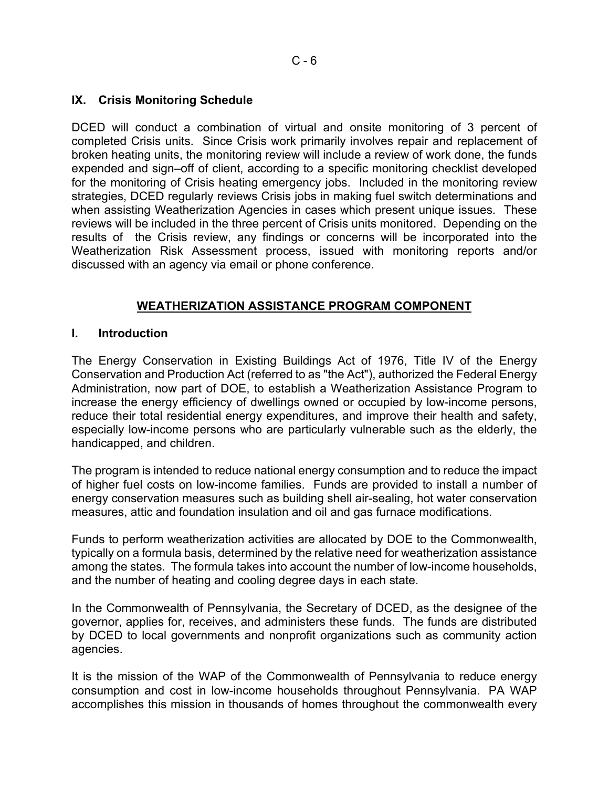# **IX. Crisis Monitoring Schedule**

DCED will conduct a combination of virtual and onsite monitoring of 3 percent of completed Crisis units. Since Crisis work primarily involves repair and replacement of broken heating units, the monitoring review will include a review of work done, the funds expended and sign–off of client, according to a specific monitoring checklist developed for the monitoring of Crisis heating emergency jobs. Included in the monitoring review strategies, DCED regularly reviews Crisis jobs in making fuel switch determinations and when assisting Weatherization Agencies in cases which present unique issues. These reviews will be included in the three percent of Crisis units monitored. Depending on the results of the Crisis review, any findings or concerns will be incorporated into the Weatherization Risk Assessment process, issued with monitoring reports and/or discussed with an agency via email or phone conference.

# **WEATHERIZATION ASSISTANCE PROGRAM COMPONENT**

### **I. Introduction**

The Energy Conservation in Existing Buildings Act of 1976, Title IV of the Energy Conservation and Production Act (referred to as "the Act"), authorized the Federal Energy Administration, now part of DOE, to establish a Weatherization Assistance Program to increase the energy efficiency of dwellings owned or occupied by low-income persons, reduce their total residential energy expenditures, and improve their health and safety, especially low-income persons who are particularly vulnerable such as the elderly, the handicapped, and children.

The program is intended to reduce national energy consumption and to reduce the impact of higher fuel costs on low-income families. Funds are provided to install a number of energy conservation measures such as building shell air-sealing, hot water conservation measures, attic and foundation insulation and oil and gas furnace modifications.

Funds to perform weatherization activities are allocated by DOE to the Commonwealth, typically on a formula basis, determined by the relative need for weatherization assistance among the states. The formula takes into account the number of low-income households, and the number of heating and cooling degree days in each state.

In the Commonwealth of Pennsylvania, the Secretary of DCED, as the designee of the governor, applies for, receives, and administers these funds. The funds are distributed by DCED to local governments and nonprofit organizations such as community action agencies.

It is the mission of the WAP of the Commonwealth of Pennsylvania to reduce energy consumption and cost in low-income households throughout Pennsylvania. PA WAP accomplishes this mission in thousands of homes throughout the commonwealth every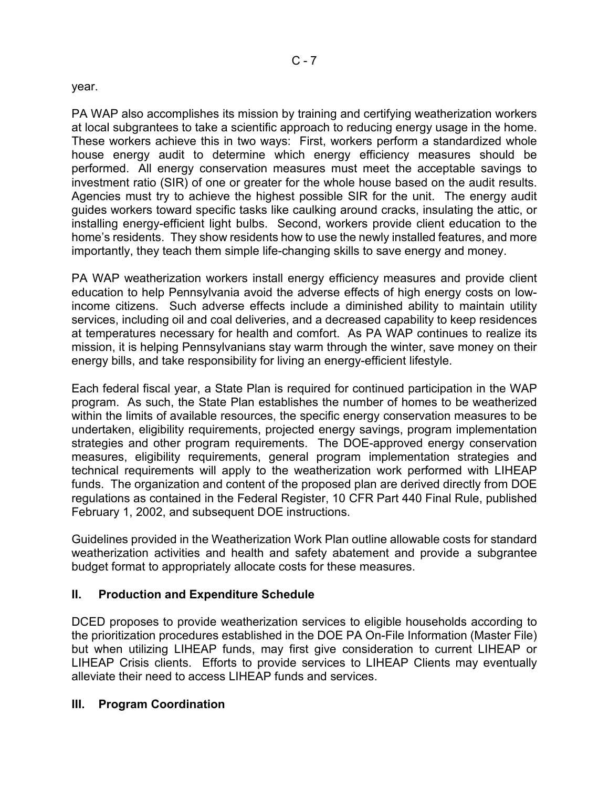## year.

PA WAP also accomplishes its mission by training and certifying weatherization workers at local subgrantees to take a scientific approach to reducing energy usage in the home. These workers achieve this in two ways: First, workers perform a standardized whole house energy audit to determine which energy efficiency measures should be performed. All energy conservation measures must meet the acceptable savings to investment ratio (SIR) of one or greater for the whole house based on the audit results. Agencies must try to achieve the highest possible SIR for the unit. The energy audit guides workers toward specific tasks like caulking around cracks, insulating the attic, or installing energy-efficient light bulbs. Second, workers provide client education to the home's residents. They show residents how to use the newly installed features, and more importantly, they teach them simple life-changing skills to save energy and money.

PA WAP weatherization workers install energy efficiency measures and provide client education to help Pennsylvania avoid the adverse effects of high energy costs on lowincome citizens. Such adverse effects include a diminished ability to maintain utility services, including oil and coal deliveries, and a decreased capability to keep residences at temperatures necessary for health and comfort. As PA WAP continues to realize its mission, it is helping Pennsylvanians stay warm through the winter, save money on their energy bills, and take responsibility for living an energy-efficient lifestyle.

Each federal fiscal year, a State Plan is required for continued participation in the WAP program. As such, the State Plan establishes the number of homes to be weatherized within the limits of available resources, the specific energy conservation measures to be undertaken, eligibility requirements, projected energy savings, program implementation strategies and other program requirements. The DOE-approved energy conservation measures, eligibility requirements, general program implementation strategies and technical requirements will apply to the weatherization work performed with LIHEAP funds. The organization and content of the proposed plan are derived directly from DOE regulations as contained in the Federal Register, 10 CFR Part 440 Final Rule, published February 1, 2002, and subsequent DOE instructions.

Guidelines provided in the Weatherization Work Plan outline allowable costs for standard weatherization activities and health and safety abatement and provide a subgrantee budget format to appropriately allocate costs for these measures.

# **II. Production and Expenditure Schedule**

DCED proposes to provide weatherization services to eligible households according to the prioritization procedures established in the DOE PA On-File Information (Master File) but when utilizing LIHEAP funds, may first give consideration to current LIHEAP or LIHEAP Crisis clients. Efforts to provide services to LIHEAP Clients may eventually alleviate their need to access LIHEAP funds and services.

# **III. Program Coordination**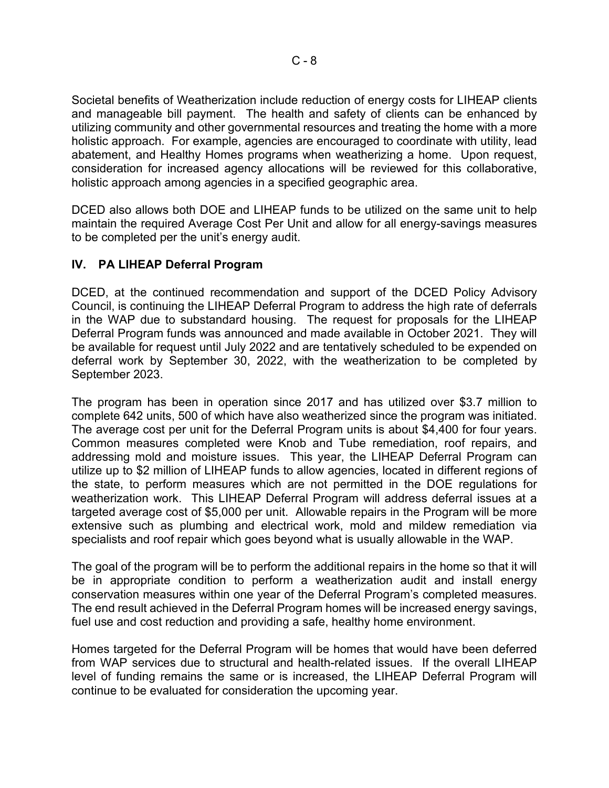Societal benefits of Weatherization include reduction of energy costs for LIHEAP clients and manageable bill payment. The health and safety of clients can be enhanced by utilizing community and other governmental resources and treating the home with a more holistic approach. For example, agencies are encouraged to coordinate with utility, lead abatement, and Healthy Homes programs when weatherizing a home. Upon request, consideration for increased agency allocations will be reviewed for this collaborative, holistic approach among agencies in a specified geographic area.

DCED also allows both DOE and LIHEAP funds to be utilized on the same unit to help maintain the required Average Cost Per Unit and allow for all energy-savings measures to be completed per the unit's energy audit.

# **IV. PA LIHEAP Deferral Program**

DCED, at the continued recommendation and support of the DCED Policy Advisory Council, is continuing the LIHEAP Deferral Program to address the high rate of deferrals in the WAP due to substandard housing. The request for proposals for the LIHEAP Deferral Program funds was announced and made available in October 2021. They will be available for request until July 2022 and are tentatively scheduled to be expended on deferral work by September 30, 2022, with the weatherization to be completed by September 2023.

The program has been in operation since 2017 and has utilized over \$3.7 million to complete 642 units, 500 of which have also weatherized since the program was initiated. The average cost per unit for the Deferral Program units is about \$4,400 for four years. Common measures completed were Knob and Tube remediation, roof repairs, and addressing mold and moisture issues. This year, the LIHEAP Deferral Program can utilize up to \$2 million of LIHEAP funds to allow agencies, located in different regions of the state, to perform measures which are not permitted in the DOE regulations for weatherization work. This LIHEAP Deferral Program will address deferral issues at a targeted average cost of \$5,000 per unit. Allowable repairs in the Program will be more extensive such as plumbing and electrical work, mold and mildew remediation via specialists and roof repair which goes beyond what is usually allowable in the WAP.

The goal of the program will be to perform the additional repairs in the home so that it will be in appropriate condition to perform a weatherization audit and install energy conservation measures within one year of the Deferral Program's completed measures. The end result achieved in the Deferral Program homes will be increased energy savings, fuel use and cost reduction and providing a safe, healthy home environment.

Homes targeted for the Deferral Program will be homes that would have been deferred from WAP services due to structural and health-related issues. If the overall LIHEAP level of funding remains the same or is increased, the LIHEAP Deferral Program will continue to be evaluated for consideration the upcoming year.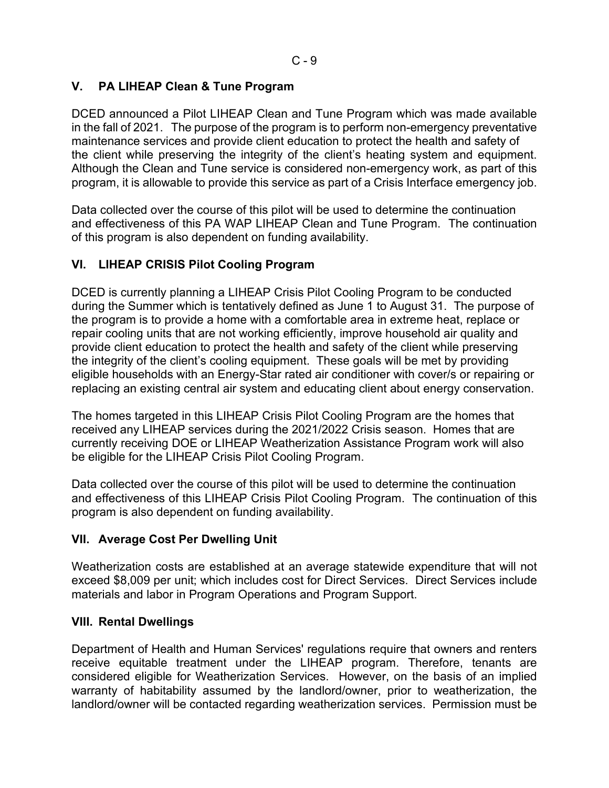# **V. PA LIHEAP Clean & Tune Program**

DCED announced a Pilot LIHEAP Clean and Tune Program which was made available in the fall of 2021. The purpose of the program is to perform non-emergency preventative maintenance services and provide client education to protect the health and safety of the client while preserving the integrity of the client's heating system and equipment. Although the Clean and Tune service is considered non-emergency work, as part of this program, it is allowable to provide this service as part of a Crisis Interface emergency job.

Data collected over the course of this pilot will be used to determine the continuation and effectiveness of this PA WAP LIHEAP Clean and Tune Program. The continuation of this program is also dependent on funding availability.

# **VI. LIHEAP CRISIS Pilot Cooling Program**

DCED is currently planning a LIHEAP Crisis Pilot Cooling Program to be conducted during the Summer which is tentatively defined as June 1 to August 31. The purpose of the program is to provide a home with a comfortable area in extreme heat, replace or repair cooling units that are not working efficiently, improve household air quality and provide client education to protect the health and safety of the client while preserving the integrity of the client's cooling equipment. These goals will be met by providing eligible households with an Energy-Star rated air conditioner with cover/s or repairing or replacing an existing central air system and educating client about energy conservation.

The homes targeted in this LIHEAP Crisis Pilot Cooling Program are the homes that received any LIHEAP services during the 2021/2022 Crisis season. Homes that are currently receiving DOE or LIHEAP Weatherization Assistance Program work will also be eligible for the LIHEAP Crisis Pilot Cooling Program.

Data collected over the course of this pilot will be used to determine the continuation and effectiveness of this LIHEAP Crisis Pilot Cooling Program. The continuation of this program is also dependent on funding availability.

# **VII. Average Cost Per Dwelling Unit**

Weatherization costs are established at an average statewide expenditure that will not exceed \$8,009 per unit; which includes cost for Direct Services. Direct Services include materials and labor in Program Operations and Program Support.

# **VIII. Rental Dwellings**

Department of Health and Human Services' regulations require that owners and renters receive equitable treatment under the LIHEAP program. Therefore, tenants are considered eligible for Weatherization Services. However, on the basis of an implied warranty of habitability assumed by the landlord/owner, prior to weatherization, the landlord/owner will be contacted regarding weatherization services. Permission must be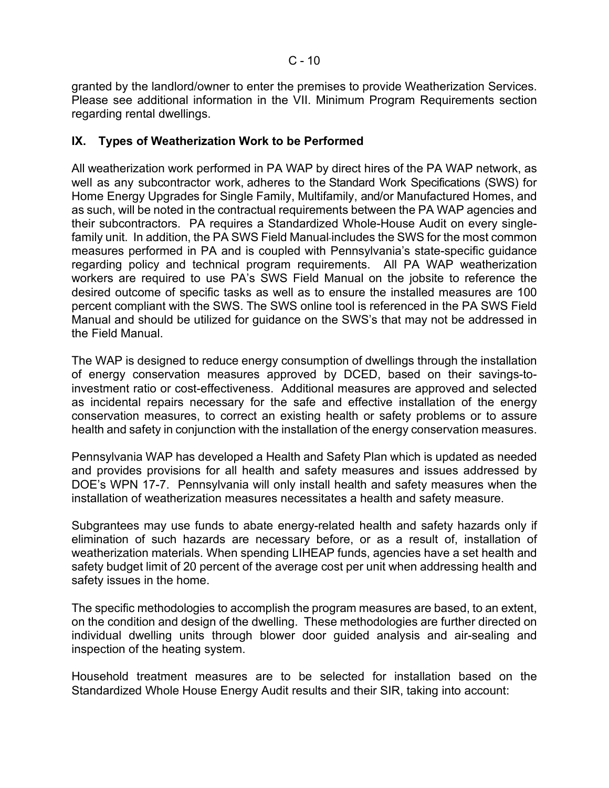granted by the landlord/owner to enter the premises to provide Weatherization Services. Please see additional information in the VII. Minimum Program Requirements section regarding rental dwellings.

# **IX. Types of Weatherization Work to be Performed**

All weatherization work performed in PA WAP by direct hires of the PA WAP network, as well as any subcontractor work, adheres to the Standard Work Specifications (SWS) for Home Energy Upgrades for Single Family, Multifamily, and/or Manufactured Homes, and as such, will be noted in the contractual requirements between the PA WAP agencies and their subcontractors. PA requires a Standardized Whole-House Audit on every singlefamily unit. In addition, the PA SWS Field Manual includes the SWS for the most common measures performed in PA and is coupled with Pennsylvania's state-specific guidance regarding policy and technical program requirements. All PA WAP weatherization workers are required to use PA's SWS Field Manual on the jobsite to reference the desired outcome of specific tasks as well as to ensure the installed measures are 100 percent compliant with the SWS. The SWS online tool is referenced in the PA SWS Field Manual and should be utilized for guidance on the SWS's that may not be addressed in the Field Manual.

The WAP is designed to reduce energy consumption of dwellings through the installation of energy conservation measures approved by DCED, based on their savings-toinvestment ratio or cost-effectiveness. Additional measures are approved and selected as incidental repairs necessary for the safe and effective installation of the energy conservation measures, to correct an existing health or safety problems or to assure health and safety in conjunction with the installation of the energy conservation measures.

Pennsylvania WAP has developed a Health and Safety Plan which is updated as needed and provides provisions for all health and safety measures and issues addressed by DOE's WPN 17-7. Pennsylvania will only install health and safety measures when the installation of weatherization measures necessitates a health and safety measure.

Subgrantees may use funds to abate energy-related health and safety hazards only if elimination of such hazards are necessary before, or as a result of, installation of weatherization materials. When spending LIHEAP funds, agencies have a set health and safety budget limit of 20 percent of the average cost per unit when addressing health and safety issues in the home.

The specific methodologies to accomplish the program measures are based, to an extent, on the condition and design of the dwelling. These methodologies are further directed on individual dwelling units through blower door guided analysis and air-sealing and inspection of the heating system.

Household treatment measures are to be selected for installation based on the Standardized Whole House Energy Audit results and their SIR, taking into account: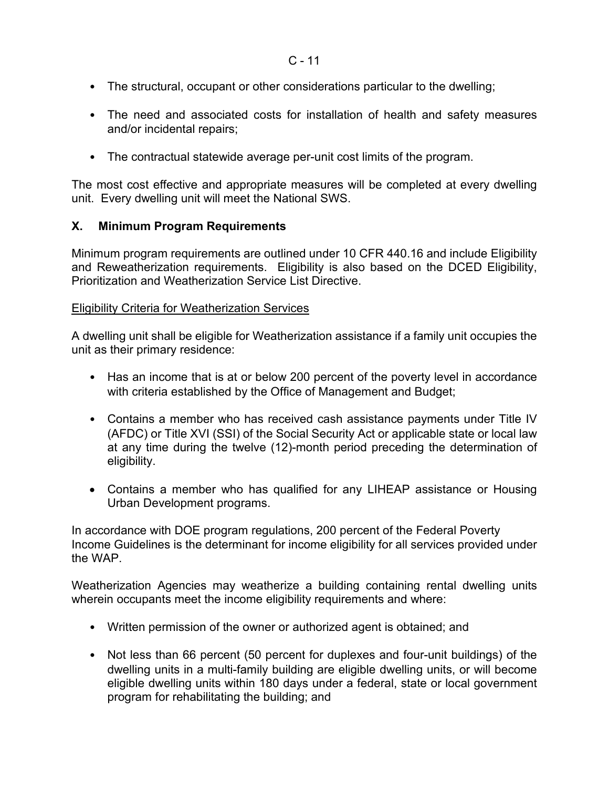- The structural, occupant or other considerations particular to the dwelling;
- The need and associated costs for installation of health and safety measures and/or incidental repairs;
- The contractual statewide average per-unit cost limits of the program.

The most cost effective and appropriate measures will be completed at every dwelling unit. Every dwelling unit will meet the National SWS.

# **X. Minimum Program Requirements**

Minimum program requirements are outlined under 10 CFR 440.16 and include Eligibility and Reweatherization requirements. Eligibility is also based on the DCED Eligibility, Prioritization and Weatherization Service List Directive.

# Eligibility Criteria for Weatherization Services

A dwelling unit shall be eligible for Weatherization assistance if a family unit occupies the unit as their primary residence:

- Has an income that is at or below 200 percent of the poverty level in accordance with criteria established by the Office of Management and Budget;
- Contains a member who has received cash assistance payments under Title IV (AFDC) or Title XVI (SSI) of the Social Security Act or applicable state or local law at any time during the twelve (12)-month period preceding the determination of eligibility.
- Contains a member who has qualified for any LIHEAP assistance or Housing Urban Development programs.

In accordance with DOE program regulations, 200 percent of the Federal Poverty Income Guidelines is the determinant for income eligibility for all services provided under the WAP.

Weatherization Agencies may weatherize a building containing rental dwelling units wherein occupants meet the income eligibility requirements and where:

- Written permission of the owner or authorized agent is obtained; and
- Not less than 66 percent (50 percent for duplexes and four-unit buildings) of the dwelling units in a multi-family building are eligible dwelling units, or will become eligible dwelling units within 180 days under a federal, state or local government program for rehabilitating the building; and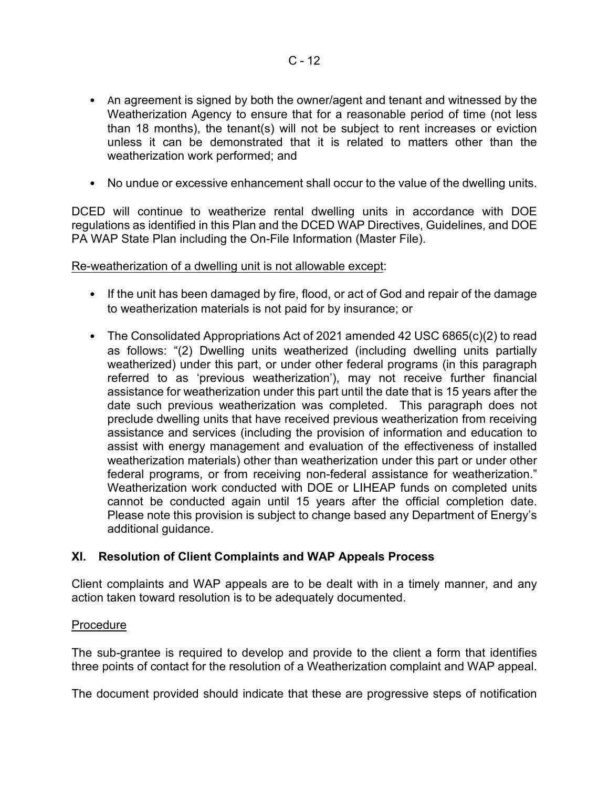- An agreement is signed by both the owner/agent and tenant and witnessed by the Weatherization Agency to ensure that for a reasonable period of time (not less than 18 months), the tenant(s) will not be subject to rent increases or eviction unless it can be demonstrated that it is related to matters other than the weatherization work performed; and
- No undue or excessive enhancement shall occur to the value of the dwelling units.

DCED will continue to weatherize rental dwelling units in accordance with DOE regulations as identified in this Plan and the DCED WAP Directives, Guidelines, and DOE PA WAP State Plan including the On-File Information (Master File).

Re-weatherization of a dwelling unit is not allowable except:

- If the unit has been damaged by fire, flood, or act of God and repair of the damage to weatherization materials is not paid for by insurance; or
- The Consolidated Appropriations Act of 2021 amended 42 USC 6865(c)(2) to read as follows: "(2) Dwelling units weatherized (including dwelling units partially weatherized) under this part, or under other federal programs (in this paragraph referred to as 'previous weatherization'), may not receive further financial assistance for weatherization under this part until the date that is 15 years after the date such previous weatherization was completed. This paragraph does not preclude dwelling units that have received previous weatherization from receiving assistance and services (including the provision of information and education to assist with energy management and evaluation of the effectiveness of installed weatherization materials) other than weatherization under this part or under other federal programs, or from receiving non-federal assistance for weatherization." Weatherization work conducted with DOE or LIHEAP funds on completed units cannot be conducted again until 15 years after the official completion date. Please note this provision is subject to change based any Department of Energy's additional guidance.

# **XI. Resolution of Client Complaints and WAP Appeals Process**

Client complaints and WAP appeals are to be dealt with in a timely manner, and any action taken toward resolution is to be adequately documented.

### Procedure

The sub-grantee is required to develop and provide to the client a form that identifies three points of contact for the resolution of a Weatherization complaint and WAP appeal.

The document provided should indicate that these are progressive steps of notification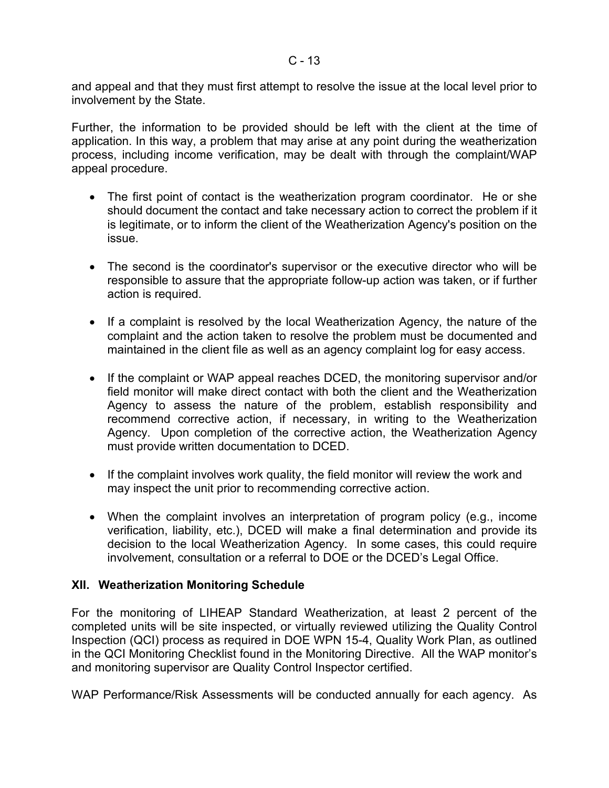and appeal and that they must first attempt to resolve the issue at the local level prior to involvement by the State.

Further, the information to be provided should be left with the client at the time of application. In this way, a problem that may arise at any point during the weatherization process, including income verification, may be dealt with through the complaint/WAP appeal procedure.

- The first point of contact is the weatherization program coordinator. He or she should document the contact and take necessary action to correct the problem if it is legitimate, or to inform the client of the Weatherization Agency's position on the issue.
- The second is the coordinator's supervisor or the executive director who will be responsible to assure that the appropriate follow-up action was taken, or if further action is required.
- If a complaint is resolved by the local Weatherization Agency, the nature of the complaint and the action taken to resolve the problem must be documented and maintained in the client file as well as an agency complaint log for easy access.
- If the complaint or WAP appeal reaches DCED, the monitoring supervisor and/or field monitor will make direct contact with both the client and the Weatherization Agency to assess the nature of the problem, establish responsibility and recommend corrective action, if necessary, in writing to the Weatherization Agency. Upon completion of the corrective action, the Weatherization Agency must provide written documentation to DCED.
- If the complaint involves work quality, the field monitor will review the work and may inspect the unit prior to recommending corrective action.
- When the complaint involves an interpretation of program policy (e.g., income verification, liability, etc.), DCED will make a final determination and provide its decision to the local Weatherization Agency. In some cases, this could require involvement, consultation or a referral to DOE or the DCED's Legal Office.

# **XII. Weatherization Monitoring Schedule**

For the monitoring of LIHEAP Standard Weatherization, at least 2 percent of the completed units will be site inspected, or virtually reviewed utilizing the Quality Control Inspection (QCI) process as required in DOE WPN 15-4, Quality Work Plan, as outlined in the QCI Monitoring Checklist found in the Monitoring Directive. All the WAP monitor's and monitoring supervisor are Quality Control Inspector certified.

WAP Performance/Risk Assessments will be conducted annually for each agency. As